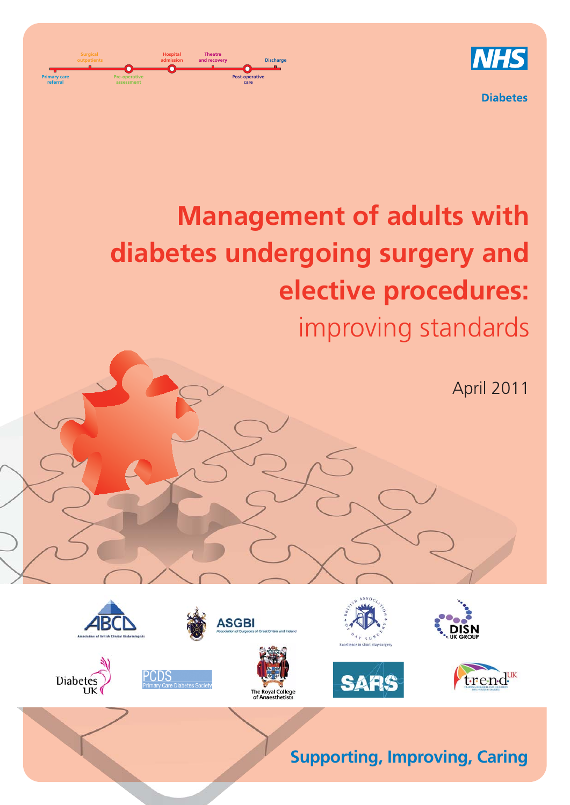

**Diabetes** 

# **Management of adults with diabetes undergoing surgery and elective procedures:** improving standards

**Post-operative care**

**and recovery Discharge**

ASGBI

.<br>byal College

**Theatre**

**Primary care referral**

**Surgical outpatients**

Diabetes

CDS

**Pre-operative assessment**

**Hospital admission**

April 2011

trend

**Supporting, Improving, Caring**

**SARS**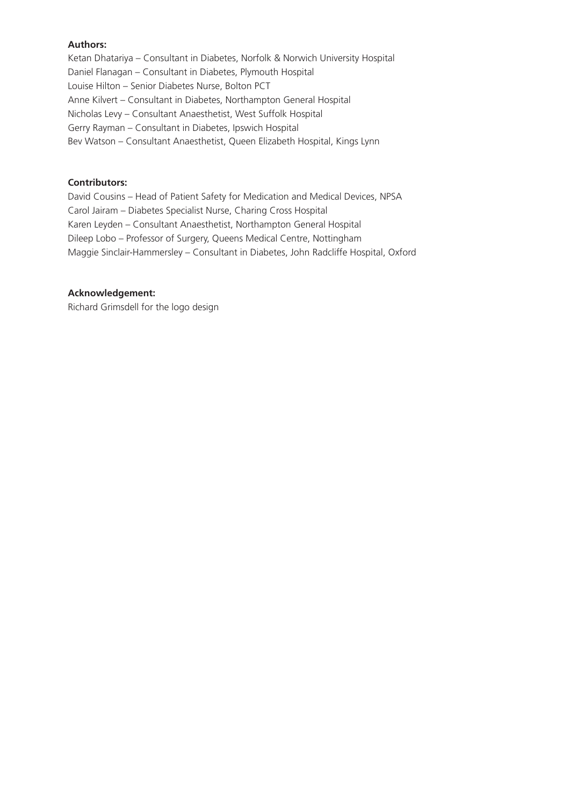#### **Authors:**

Ketan Dhatariya – Consultant in Diabetes, Norfolk & Norwich University Hospital Daniel Flanagan – Consultant in Diabetes, Plymouth Hospital Louise Hilton – Senior Diabetes Nurse, Bolton PCT Anne Kilvert – Consultant in Diabetes, Northampton General Hospital Nicholas Levy – Consultant Anaesthetist, West Suffolk Hospital Gerry Rayman – Consultant in Diabetes, Ipswich Hospital Bev Watson – Consultant Anaesthetist, Queen Elizabeth Hospital, Kings Lynn

#### **Contributors:**

David Cousins – Head of Patient Safety for Medication and Medical Devices, NPSA Carol Jairam – Diabetes Specialist Nurse, Charing Cross Hospital Karen Leyden – Consultant Anaesthetist, Northampton General Hospital Dileep Lobo – Professor of Surgery, Queens Medical Centre, Nottingham Maggie Sinclair-Hammersley – Consultant in Diabetes, John Radcliffe Hospital, Oxford

#### **Acknowledgement:**

Richard Grimsdell for the logo design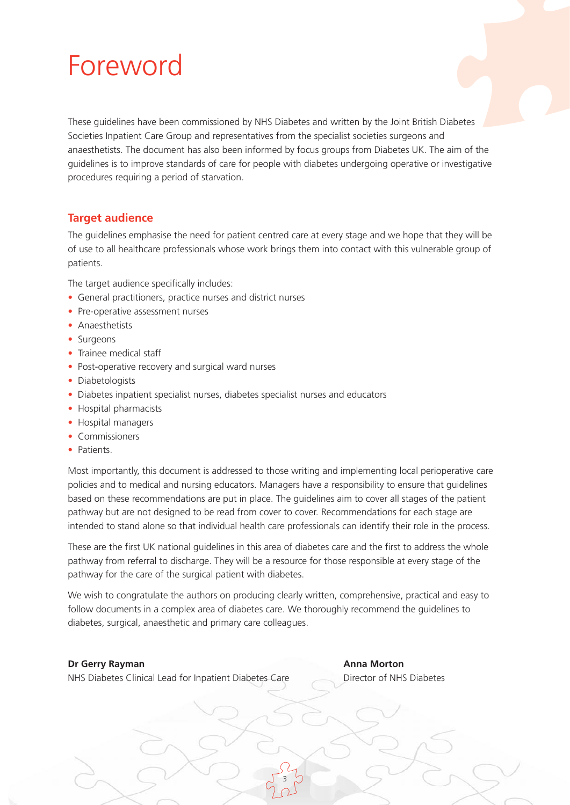# Foreword

These guidelines have been commissioned by NHS Diabetes and written by the Joint British Diabetes Societies Inpatient Care Group and representatives from the specialist societies surgeons and anaesthetists. The document has also been informed by focus groups from Diabetes UK. The aim of the guidelines is to improve standards of care for people with diabetes undergoing operative or investigative procedures requiring a period of starvation.

## **Target audience**

The guidelines emphasise the need for patient centred care at every stage and we hope that they will be of use to all healthcare professionals whose work brings them into contact with this vulnerable group of patients.

The target audience specifically includes:

- General practitioners, practice nurses and district nurses
- Pre-operative assessment nurses
- Anaesthetists
- Surgeons
- Trainee medical staff
- Post-operative recovery and surgical ward nurses
- Diabetologists
- Diabetes inpatient specialist nurses, diabetes specialist nurses and educators
- Hospital pharmacists
- Hospital managers
- Commissioners
- Patients.

Most importantly, this document is addressed to those writing and implementing local perioperative care policies and to medical and nursing educators. Managers have a responsibility to ensure that guidelines based on these recommendations are put in place. The guidelines aim to cover all stages of the patient pathway but are not designed to be read from cover to cover. Recommendations for each stage are intended to stand alone so that individual health care professionals can identify their role in the process.

These are the first UK national guidelines in this area of diabetes care and the first to address the whole pathway from referral to discharge. They will be a resource for those responsible at every stage of the pathway for the care of the surgical patient with diabetes.

We wish to congratulate the authors on producing clearly written, comprehensive, practical and easy to follow documents in a complex area of diabetes care. We thoroughly recommend the guidelines to diabetes, surgical, anaesthetic and primary care colleagues.

3

#### **Dr Gerry Rayman Anna Morton**

NHS Diabetes Clinical Lead for Inpatient Diabetes Care Director of NHS Diabetes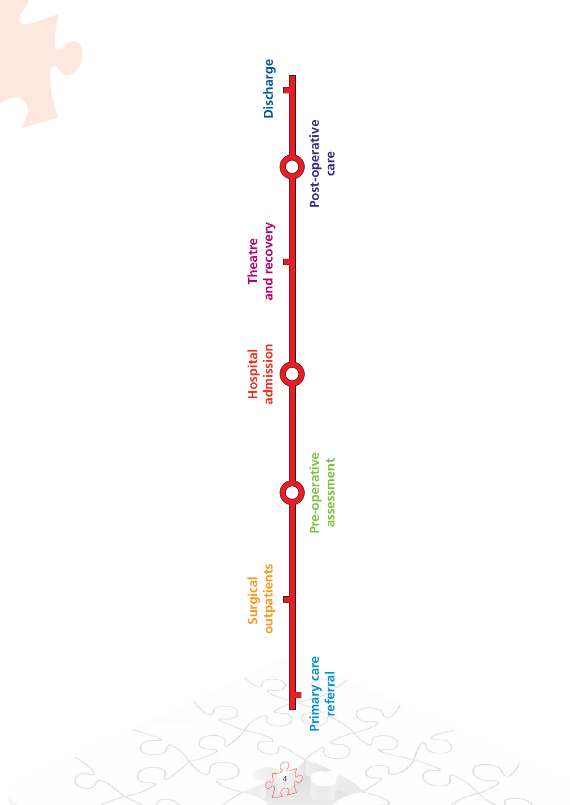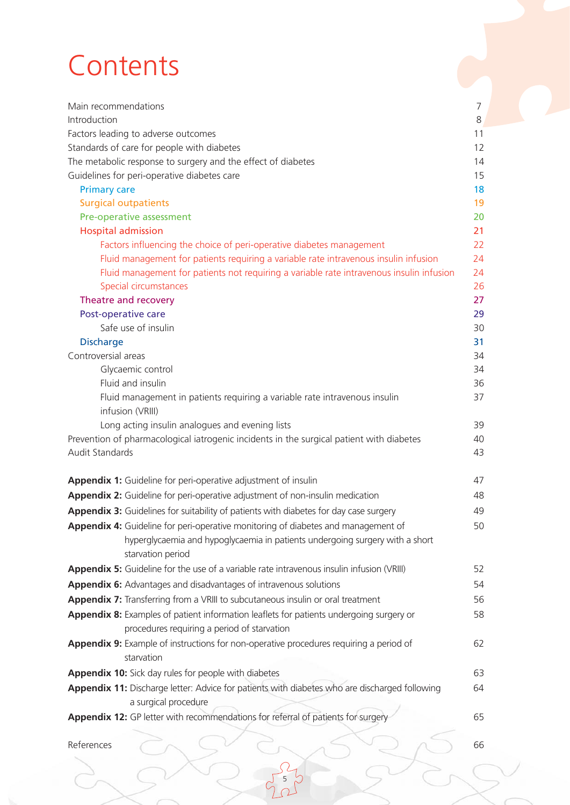# **Contents**

| Main recommendations                                                                                                  | 7  |
|-----------------------------------------------------------------------------------------------------------------------|----|
| Introduction                                                                                                          | 8  |
| Factors leading to adverse outcomes                                                                                   | 11 |
| Standards of care for people with diabetes                                                                            | 12 |
| The metabolic response to surgery and the effect of diabetes                                                          | 14 |
| Guidelines for peri-operative diabetes care                                                                           | 15 |
| <b>Primary care</b>                                                                                                   | 18 |
| <b>Surgical outpatients</b>                                                                                           | 19 |
| Pre-operative assessment                                                                                              | 20 |
| <b>Hospital admission</b>                                                                                             | 21 |
| Factors influencing the choice of peri-operative diabetes management                                                  | 22 |
| Fluid management for patients requiring a variable rate intravenous insulin infusion                                  | 24 |
| Fluid management for patients not requiring a variable rate intravenous insulin infusion                              | 24 |
| Special circumstances                                                                                                 | 26 |
| Theatre and recovery                                                                                                  | 27 |
| Post-operative care                                                                                                   | 29 |
| Safe use of insulin                                                                                                   | 30 |
| <b>Discharge</b>                                                                                                      | 31 |
| Controversial areas                                                                                                   | 34 |
| Glycaemic control                                                                                                     | 34 |
| Fluid and insulin                                                                                                     | 36 |
| Fluid management in patients requiring a variable rate intravenous insulin<br>infusion (VRIII)                        | 37 |
| Long acting insulin analogues and evening lists                                                                       | 39 |
| Prevention of pharmacological iatrogenic incidents in the surgical patient with diabetes                              | 40 |
| Audit Standards                                                                                                       | 43 |
| Appendix 1: Guideline for peri-operative adjustment of insulin                                                        | 47 |
| Appendix 2: Guideline for peri-operative adjustment of non-insulin medication                                         | 48 |
| Appendix 3: Guidelines for suitability of patients with diabetes for day case surgery                                 | 49 |
| Appendix 4: Guideline for peri-operative monitoring of diabetes and management of                                     | 50 |
| hyperglycaemia and hypoglycaemia in patients undergoing surgery with a short<br>starvation period                     |    |
| Appendix 5: Guideline for the use of a variable rate intravenous insulin infusion (VRIII)                             | 52 |
| Appendix 6: Advantages and disadvantages of intravenous solutions                                                     | 54 |
| Appendix 7: Transferring from a VRIII to subcutaneous insulin or oral treatment                                       | 56 |
| Appendix 8: Examples of patient information leaflets for patients undergoing surgery or                               | 58 |
| procedures requiring a period of starvation                                                                           |    |
| Appendix 9: Example of instructions for non-operative procedures requiring a period of<br>starvation                  | 62 |
| Appendix 10: Sick day rules for people with diabetes                                                                  | 63 |
| Appendix 11: Discharge letter: Advice for patients with diabetes who are discharged following<br>a surgical procedure | 64 |
| Appendix 12: GP letter with recommendations for referral of patients for surgery                                      | 65 |
|                                                                                                                       |    |
| References                                                                                                            | 66 |
|                                                                                                                       |    |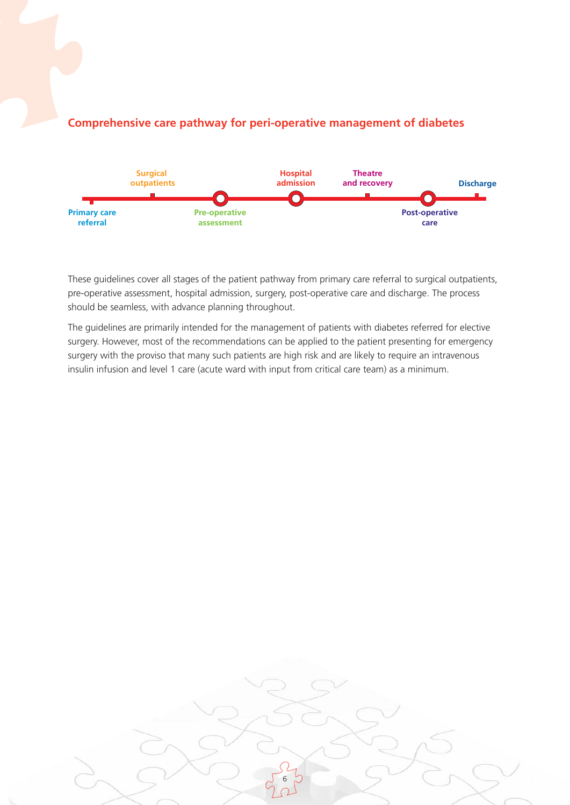

### **Comprehensive care pathway for peri-operative management of diabetes**

These guidelines cover all stages of the patient pathway from primary care referral to surgical outpatients, pre-operative assessment, hospital admission, surgery, post-operative care and discharge. The process should be seamless, with advance planning throughout.

The guidelines are primarily intended for the management of patients with diabetes referred for elective surgery. However, most of the recommendations can be applied to the patient presenting for emergency surgery with the proviso that many such patients are high risk and are likely to require an intravenous insulin infusion and level 1 care (acute ward with input from critical care team) as a minimum.

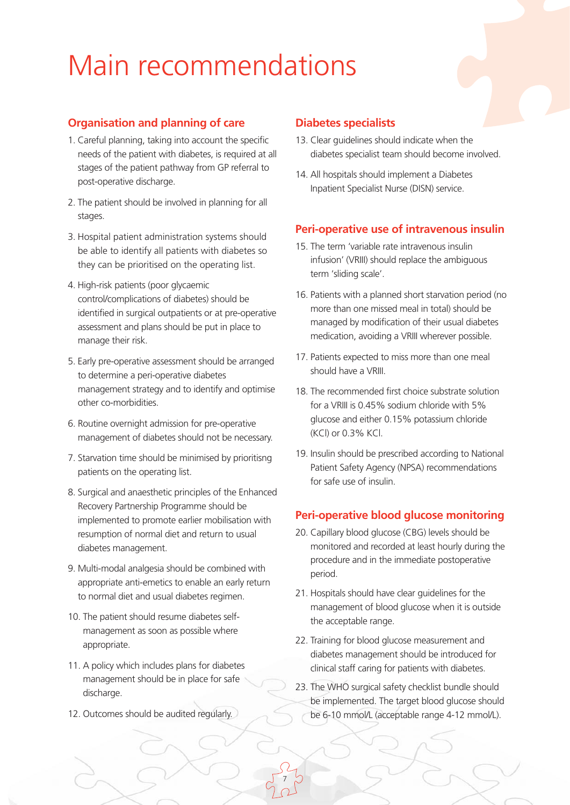# Main recommendations

## **Organisation and planning of care**

- 1. Careful planning, taking into account the specific needs of the patient with diabetes, is required at all stages of the patient pathway from GP referral to post-operative discharge.
- 2. The patient should be involved in planning for all stages.
- 3. Hospital patient administration systems should be able to identify all patients with diabetes so they can be prioritised on the operating list.
- 4. High-risk patients (poor glycaemic control/complications of diabetes) should be identified in surgical outpatients or at pre-operative assessment and plans should be put in place to manage their risk.
- 5. Early pre-operative assessment should be arranged to determine a peri-operative diabetes management strategy and to identify and optimise other co-morbidities.
- 6. Routine overnight admission for pre-operative management of diabetes should not be necessary.
- 7. Starvation time should be minimised by prioritisng patients on the operating list.
- 8. Surgical and anaesthetic principles of the Enhanced Recovery Partnership Programme should be implemented to promote earlier mobilisation with resumption of normal diet and return to usual diabetes management.
- 9. Multi-modal analgesia should be combined with appropriate anti-emetics to enable an early return to normal diet and usual diabetes regimen.
- 10. The patient should resume diabetes selfmanagement as soon as possible where appropriate.
- 11. A policy which includes plans for diabetes management should be in place for safe discharge.
- 12. Outcomes should be audited regularly.

#### **Diabetes specialists**

- 13. Clear guidelines should indicate when the diabetes specialist team should become involved.
- 14. All hospitals should implement a Diabetes Inpatient Specialist Nurse (DISN) service.

### **Peri-operative use of intravenous insulin**

- 15. The term 'variable rate intravenous insulin infusion' (VRIII) should replace the ambiguous term 'sliding scale'.
- 16. Patients with a planned short starvation period (no more than one missed meal in total) should be managed by modification of their usual diabetes medication, avoiding a VRIII wherever possible.
- 17. Patients expected to miss more than one meal should have a VRIII.
- 18. The recommended first choice substrate solution for a VRIII is 0.45% sodium chloride with 5% glucose and either 0.15% potassium chloride (KCl) or 0.3% KCl.
- 19. Insulin should be prescribed according to National Patient Safety Agency (NPSA) recommendations for safe use of insulin.

### **Peri-operative blood glucose monitoring**

- 20. Capillary blood glucose (CBG) levels should be monitored and recorded at least hourly during the procedure and in the immediate postoperative period.
- 21. Hospitals should have clear guidelines for the management of blood glucose when it is outside the acceptable range.
- 22. Training for blood glucose measurement and diabetes management should be introduced for clinical staff caring for patients with diabetes.
- 23. The WHO surgical safety checklist bundle should be implemented. The target blood glucose should be 6-10 mmol/L (acceptable range 4-12 mmol/L).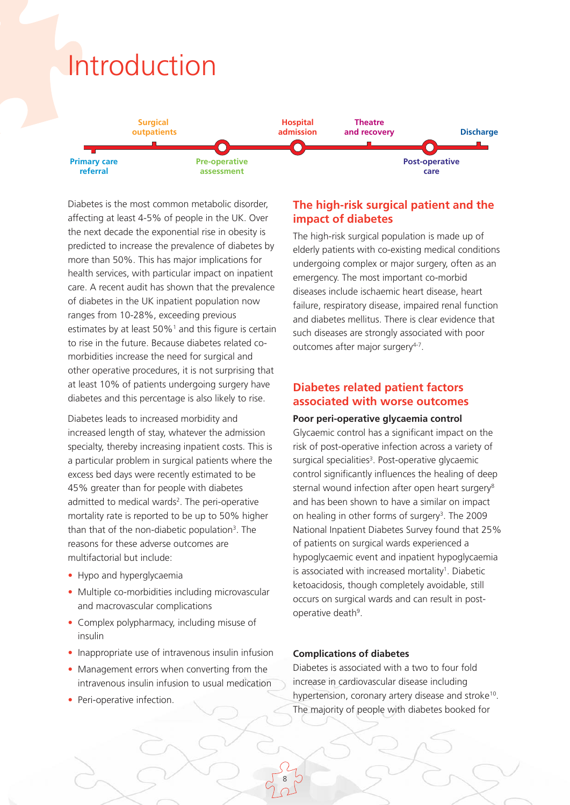# Introduction



Diabetes is the most common metabolic disorder, affecting at least 4-5% of people in the UK. Over the next decade the exponential rise in obesity is predicted to increase the prevalence of diabetes by more than 50%. This has major implications for health services, with particular impact on inpatient care. A recent audit has shown that the prevalence of diabetes in the UK inpatient population now ranges from 10-28%, exceeding previous estimates by at least 50%<sup>1</sup> and this figure is certain to rise in the future. Because diabetes related comorbidities increase the need for surgical and other operative procedures, it is not surprising that at least 10% of patients undergoing surgery have diabetes and this percentage is also likely to rise.

Diabetes leads to increased morbidity and increased length of stay, whatever the admission specialty, thereby increasing inpatient costs. This is a particular problem in surgical patients where the excess bed days were recently estimated to be 45% greater than for people with diabetes admitted to medical wards<sup>2</sup>. The peri-operative mortality rate is reported to be up to 50% higher than that of the non-diabetic population<sup>3</sup>. The reasons for these adverse outcomes are multifactorial but include:

- Hypo and hyperglycaemia
- Multiple co-morbidities including microvascular and macrovascular complications
- Complex polypharmacy, including misuse of insulin
- Inappropriate use of intravenous insulin infusion
- Management errors when converting from the intravenous insulin infusion to usual medication
- Peri-operative infection.

# **The high-risk surgical patient and the impact of diabetes**

The high-risk surgical population is made up of elderly patients with co-existing medical conditions undergoing complex or major surgery, often as an emergency. The most important co-morbid diseases include ischaemic heart disease, heart failure, respiratory disease, impaired renal function and diabetes mellitus. There is clear evidence that such diseases are strongly associated with poor outcomes after major surgery<sup>4-7</sup>.

### **Diabetes related patient factors associated with worse outcomes**

#### **Poor peri-operative glycaemia control**

Glycaemic control has a significant impact on the risk of post-operative infection across a variety of surgical specialities<sup>3</sup>. Post-operative glycaemic control significantly influences the healing of deep sternal wound infection after open heart surgery<sup>8</sup> and has been shown to have a similar on impact on healing in other forms of surgery<sup>3</sup>. The 2009 National Inpatient Diabetes Survey found that 25% of patients on surgical wards experienced a hypoglycaemic event and inpatient hypoglycaemia is associated with increased mortality<sup>1</sup>. Diabetic ketoacidosis, though completely avoidable, still occurs on surgical wards and can result in postoperative death<sup>9</sup>.

#### **Complications of diabetes**

8

Diabetes is associated with a two to four fold increase in cardiovascular disease including hypertension, coronary artery disease and stroke<sup>10</sup>. The majority of people with diabetes booked for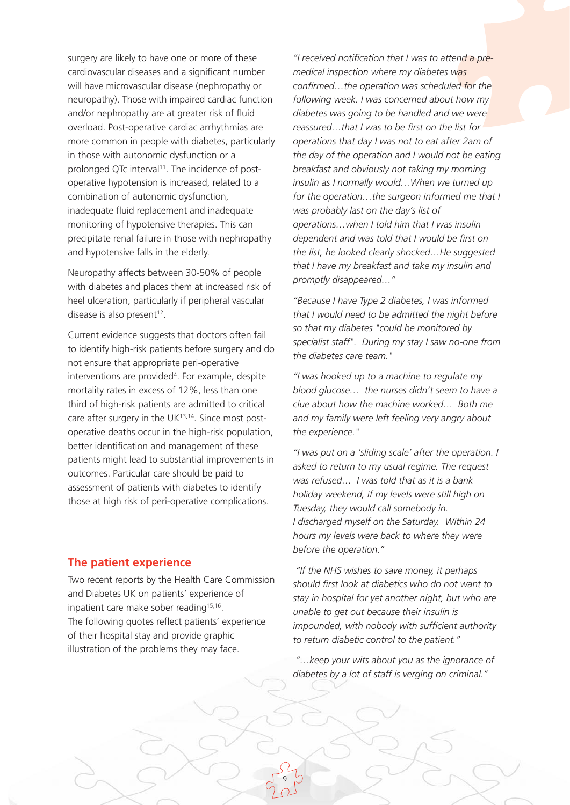surgery are likely to have one or more of these cardiovascular diseases and a significant number will have microvascular disease (nephropathy or neuropathy). Those with impaired cardiac function and/or nephropathy are at greater risk of fluid overload. Post-operative cardiac arrhythmias are more common in people with diabetes, particularly in those with autonomic dysfunction or a prolonged OTc interval<sup>11</sup>. The incidence of postoperative hypotension is increased, related to a combination of autonomic dysfunction, inadequate fluid replacement and inadequate monitoring of hypotensive therapies. This can precipitate renal failure in those with nephropathy and hypotensive falls in the elderly.

Neuropathy affects between 30-50% of people with diabetes and places them at increased risk of heel ulceration, particularly if peripheral vascular disease is also present<sup>12</sup>.

Current evidence suggests that doctors often fail to identify high-risk patients before surgery and do not ensure that appropriate peri-operative interventions are provided<sup>4</sup>. For example, despite mortality rates in excess of 12%, less than one third of high-risk patients are admitted to critical care after surgery in the UK $13,14$ . Since most postoperative deaths occur in the high-risk population, better identification and management of these patients might lead to substantial improvements in outcomes. Particular care should be paid to assessment of patients with diabetes to identify those at high risk of peri-operative complications.

#### **The patient experience**

Two recent reports by the Health Care Commission and Diabetes UK on patients' experience of inpatient care make sober reading<sup>15,16</sup>. The following quotes reflect patients' experience of their hospital stay and provide graphic illustration of the problems they may face.

*"I received notification that I was to attend a premedical inspection where my diabetes was confirmed…the operation was scheduled for the following week. I was concerned about how my diabetes was going to be handled and we were reassured…that I was to be first on the list for operations that day I was not to eat after 2am of the day of the operation and I would not be eating breakfast and obviously not taking my morning insulin as I normally would…When we turned up for the operation…the surgeon informed me that I was probably last on the day's list of operations…when I told him that I was insulin dependent and was told that I would be first on the list, he looked clearly shocked…He suggested that I have my breakfast and take my insulin and promptly disappeared…"*

*"Because I have Type 2 diabetes, I was informed that I would need to be admitted the night before so that my diabetes "could be monitored by specialist staff". During my stay I saw no-one from the diabetes care team."*

*"I was hooked up to a machine to regulate my blood glucose… the nurses didn't seem to have a clue about how the machine worked… Both me and my family were left feeling very angry about the experience."*

*"I was put on a 'sliding scale' after the operation. I asked to return to my usual regime. The request was refused… I was told that as it is a bank holiday weekend, if my levels were still high on Tuesday, they would call somebody in. I discharged myself on the Saturday. Within 24 hours my levels were back to where they were before the operation."*

*"If the NHS wishes to save money, it perhaps should first look at diabetics who do not want to stay in hospital for yet another night, but who are unable to get out because their insulin is impounded, with nobody with sufficient authority to return diabetic control to the patient."*

*"…keep your wits about you as the ignorance of diabetes by a lot of staff is verging on criminal."*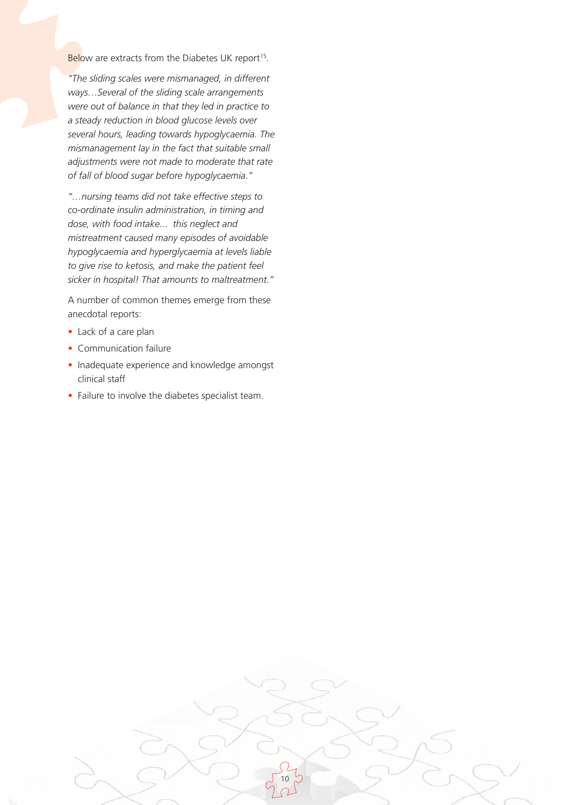Below are extracts from the Diabetes UK report<sup>15</sup>.

*"The sliding scales were mismanaged, in different ways…Several of the sliding scale arrangements were out of balance in that they led in practice to a steady reduction in blood glucose levels over several hours, leading towards hypoglycaemia. The mismanagement lay in the fact that suitable small adjustments were not made to moderate that rate of fall of blood sugar before hypoglycaemia."*

*"…nursing teams did not take effective steps to co-ordinate insulin administration, in timing and dose, with food intake... this neglect and mistreatment caused many episodes of avoidable hypoglycaemia and hyperglycaemia at levels liable to give rise to ketosis, and make the patient feel sicker in hospital! That amounts to maltreatment."*

A number of common themes emerge from these anecdotal reports:

- Lack of a care plan
- Communication failure
- Inadequate experience and knowledge amongst clinical staff
- Failure to involve the diabetes specialist team.

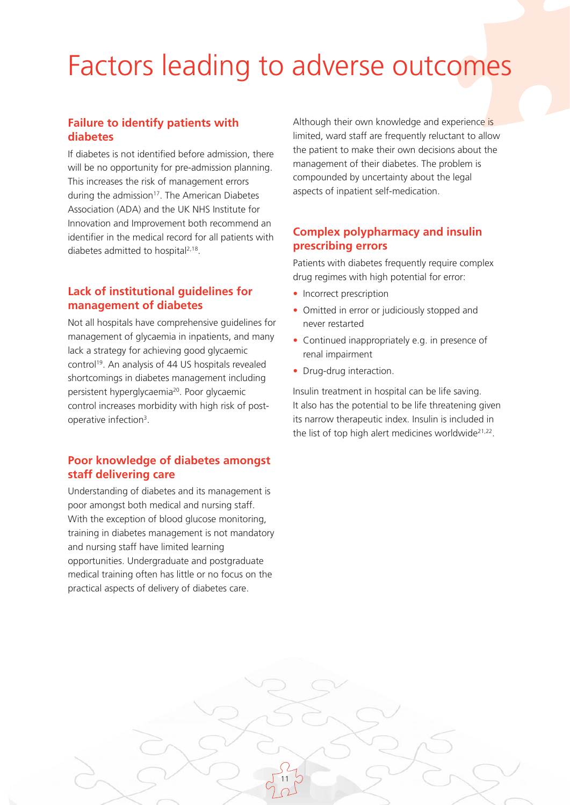# Factors leading to adverse outcomes

### **Failure to identify patients with diabetes**

If diabetes is not identified before admission, there will be no opportunity for pre-admission planning. This increases the risk of management errors during the admission<sup>17</sup>. The American Diabetes Association (ADA) and the UK NHS Institute for Innovation and Improvement both recommend an identifier in the medical record for all patients with diabetes admitted to hospital<sup>2,18</sup>.

### **Lack of institutional guidelines for management of diabetes**

Not all hospitals have comprehensive guidelines for management of glycaemia in inpatients, and many lack a strategy for achieving good glycaemic control<sup>19</sup>. An analysis of 44 US hospitals revealed shortcomings in diabetes management including persistent hyperglycaemia<sup>20</sup>. Poor glycaemic control increases morbidity with high risk of postoperative infection3.

## **Poor knowledge of diabetes amongst staff delivering care**

Understanding of diabetes and its management is poor amongst both medical and nursing staff. With the exception of blood glucose monitoring, training in diabetes management is not mandatory and nursing staff have limited learning opportunities. Undergraduate and postgraduate medical training often has little or no focus on the practical aspects of delivery of diabetes care.

Although their own knowledge and experience is limited, ward staff are frequently reluctant to allow the patient to make their own decisions about the management of their diabetes. The problem is compounded by uncertainty about the legal aspects of inpatient self-medication.

## **Complex polypharmacy and insulin prescribing errors**

Patients with diabetes frequently require complex drug regimes with high potential for error:

- Incorrect prescription
- Omitted in error or judiciously stopped and never restarted
- Continued inappropriately e.g. in presence of renal impairment
- Drug-drug interaction.

11

Insulin treatment in hospital can be life saving. It also has the potential to be life threatening given its narrow therapeutic index. Insulin is included in the list of top high alert medicines worldwide<sup>21,22</sup>.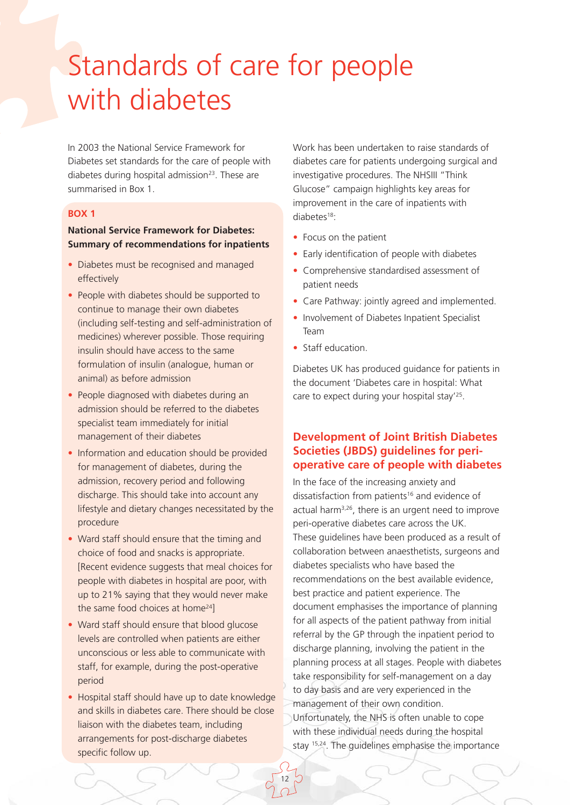# Standards of care for people with diabetes

In 2003 the National Service Framework for Diabetes set standards for the care of people with diabetes during hospital admission<sup>23</sup>. These are summarised in Box 1.

#### **BOX 1**

#### **National Service Framework for Diabetes: Summary of recommendations for inpatients**

- Diabetes must be recognised and managed effectively
- People with diabetes should be supported to continue to manage their own diabetes (including self-testing and self-administration of medicines) wherever possible. Those requiring insulin should have access to the same formulation of insulin (analogue, human or animal) as before admission
- People diagnosed with diabetes during an admission should be referred to the diabetes specialist team immediately for initial management of their diabetes
- Information and education should be provided for management of diabetes, during the admission, recovery period and following discharge. This should take into account any lifestyle and dietary changes necessitated by the procedure
- Ward staff should ensure that the timing and choice of food and snacks is appropriate. [Recent evidence suggests that meal choices for people with diabetes in hospital are poor, with up to 21% saying that they would never make the same food choices at home<sup>24</sup>]
- Ward staff should ensure that blood glucose levels are controlled when patients are either unconscious or less able to communicate with staff, for example, during the post-operative period
- Hospital staff should have up to date knowledge and skills in diabetes care. There should be close liaison with the diabetes team, including arrangements for post-discharge diabetes specific follow up.

12

Work has been undertaken to raise standards of diabetes care for patients undergoing surgical and investigative procedures. The NHSIII "Think Glucose" campaign highlights key areas for improvement in the care of inpatients with diabetes<sup>18</sup>:

- Focus on the patient
- Early identification of people with diabetes
- Comprehensive standardised assessment of patient needs
- Care Pathway: jointly agreed and implemented.
- Involvement of Diabetes Inpatient Specialist Team
- Staff education.

Diabetes UK has produced guidance for patients in the document 'Diabetes care in hospital: What care to expect during your hospital stay'25.

## **Development of Joint British Diabetes Societies (JBDS) guidelines for perioperative care of people with diabetes**

In the face of the increasing anxiety and dissatisfaction from patients<sup>16</sup> and evidence of actual harm3,26, there is an urgent need to improve peri-operative diabetes care across the UK. These guidelines have been produced as a result of collaboration between anaesthetists, surgeons and diabetes specialists who have based the recommendations on the best available evidence, best practice and patient experience. The document emphasises the importance of planning for all aspects of the patient pathway from initial referral by the GP through the inpatient period to discharge planning, involving the patient in the planning process at all stages. People with diabetes take responsibility for self-management on a day to day basis and are very experienced in the management of their own condition. Unfortunately, the NHS is often unable to cope with these individual needs during the hospital stay 15,24. The guidelines emphasise the importance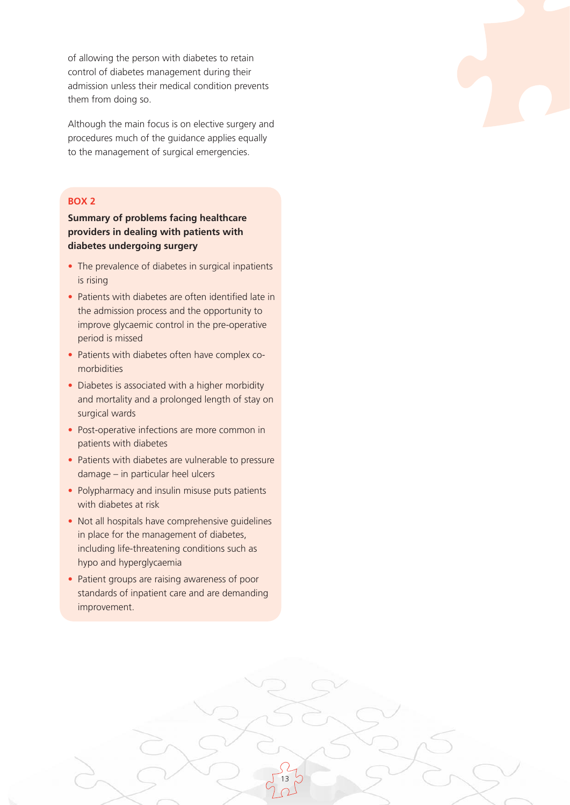of allowing the person with diabetes to retain control of diabetes management during their admission unless their medical condition prevents them from doing so.

Although the main focus is on elective surgery and procedures much of the guidance applies equally to the management of surgical emergencies.

#### **BOX 2**

**Summary of problems facing healthcare providers in dealing with patients with diabetes undergoing surgery**

- The prevalence of diabetes in surgical inpatients is rising
- Patients with diabetes are often identified late in the admission process and the opportunity to improve glycaemic control in the pre-operative period is missed
- Patients with diabetes often have complex comorbidities
- Diabetes is associated with a higher morbidity and mortality and a prolonged length of stay on surgical wards
- Post-operative infections are more common in patients with diabetes
- Patients with diabetes are vulnerable to pressure damage – in particular heel ulcers
- Polypharmacy and insulin misuse puts patients with diabetes at risk
- Not all hospitals have comprehensive guidelines in place for the management of diabetes, including life-threatening conditions such as hypo and hyperglycaemia
- Patient groups are raising awareness of poor standards of inpatient care and are demanding improvement.

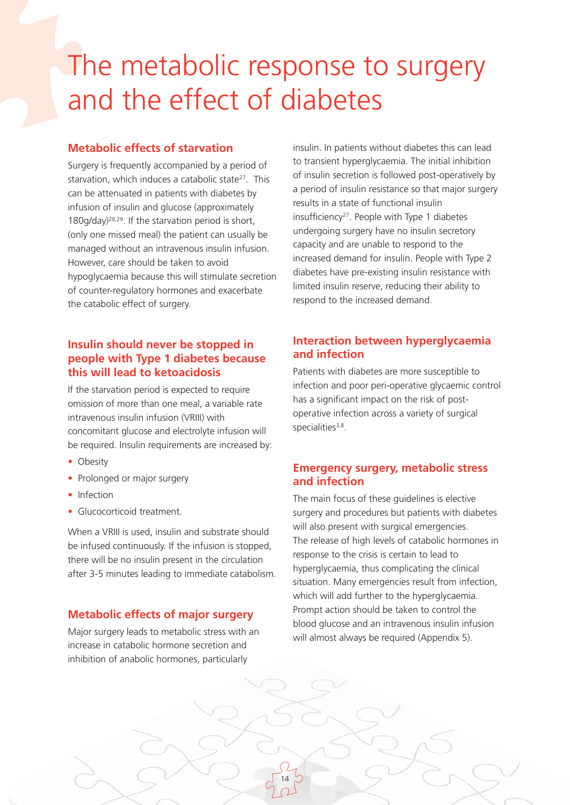# The metabolic response to surgery and the effect of diabetes

14

### **Metabolic effects of starvation**

Surgery is frequently accompanied by a period of starvation, which induces a catabolic state<sup>27</sup>. This can be attenuated in patients with diabetes by infusion of insulin and glucose (approximately 180g/day)28,29. If the starvation period is short, (only one missed meal) the patient can usually be managed without an intravenous insulin infusion. However, care should be taken to avoid hypoglycaemia because this will stimulate secretion of counter-regulatory hormones and exacerbate the catabolic effect of surgery.

#### **Insulin should never be stopped in people with Type 1 diabetes because this will lead to ketoacidosis**

If the starvation period is expected to require omission of more than one meal, a variable rate intravenous insulin infusion (VRIII) with concomitant glucose and electrolyte infusion will be required. Insulin requirements are increased by:

- Obesity
- Prolonged or major surgery
- Infection
- Glucocorticoid treatment.

When a VRIII is used, insulin and substrate should be infused continuously. If the infusion is stopped, there will be no insulin present in the circulation after 3-5 minutes leading to immediate catabolism.

### **Metabolic effects of major surgery**

Major surgery leads to metabolic stress with an increase in catabolic hormone secretion and inhibition of anabolic hormones, particularly

insulin. In patients without diabetes this can lead to transient hyperglycaemia. The initial inhibition of insulin secretion is followed post-operatively by a period of insulin resistance so that major surgery results in a state of functional insulin insufficiency<sup>27</sup>. People with Type 1 diabetes undergoing surgery have no insulin secretory capacity and are unable to respond to the increased demand for insulin. People with Type 2 diabetes have pre-existing insulin resistance with limited insulin reserve, reducing their ability to respond to the increased demand.

## **Interaction between hyperglycaemia and infection**

Patients with diabetes are more susceptible to infection and poor peri-operative glycaemic control has a significant impact on the risk of postoperative infection across a variety of surgical specialities<sup>3,8</sup>.

### **Emergency surgery, metabolic stress and infection**

The main focus of these guidelines is elective surgery and procedures but patients with diabetes will also present with surgical emergencies. The release of high levels of catabolic hormones in response to the crisis is certain to lead to hyperglycaemia, thus complicating the clinical situation. Many emergencies result from infection, which will add further to the hyperglycaemia. Prompt action should be taken to control the blood glucose and an intravenous insulin infusion will almost always be required (Appendix 5).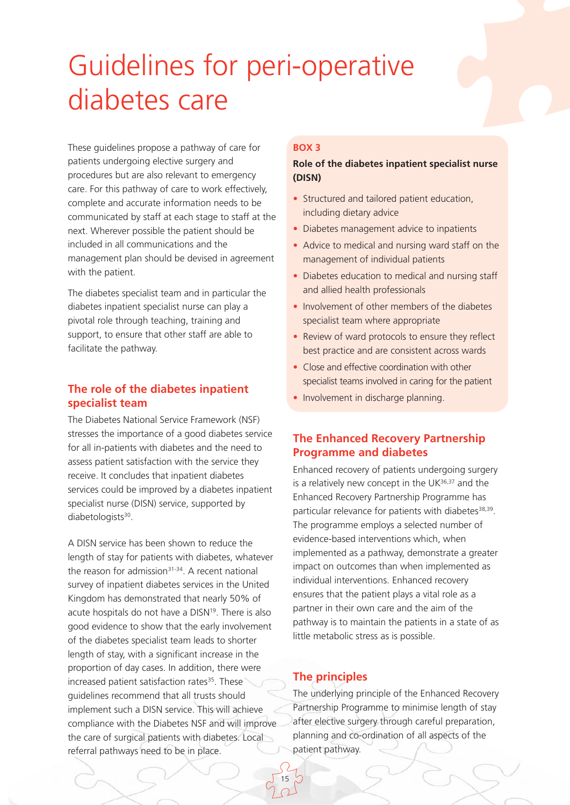# Guidelines for peri-operative diabetes care

These guidelines propose a pathway of care for patients undergoing elective surgery and procedures but are also relevant to emergency care. For this pathway of care to work effectively, complete and accurate information needs to be communicated by staff at each stage to staff at the next. Wherever possible the patient should be included in all communications and the management plan should be devised in agreement with the patient.

The diabetes specialist team and in particular the diabetes inpatient specialist nurse can play a pivotal role through teaching, training and support, to ensure that other staff are able to facilitate the pathway.

## **The role of the diabetes inpatient specialist team**

The Diabetes National Service Framework (NSF) stresses the importance of a good diabetes service for all in-patients with diabetes and the need to assess patient satisfaction with the service they receive. It concludes that inpatient diabetes services could be improved by a diabetes inpatient specialist nurse (DISN) service, supported by diabetologists<sup>30</sup>.

A DISN service has been shown to reduce the length of stay for patients with diabetes, whatever the reason for admission $31-34$ . A recent national survey of inpatient diabetes services in the United Kingdom has demonstrated that nearly 50% of acute hospitals do not have a DISN<sup>19</sup>. There is also good evidence to show that the early involvement of the diabetes specialist team leads to shorter length of stay, with a significant increase in the proportion of day cases. In addition, there were increased patient satisfaction rates<sup>35</sup>. These guidelines recommend that all trusts should implement such a DISN service. This will achieve compliance with the Diabetes NSF and will improve the care of surgical patients with diabetes. Local referral pathways need to be in place.

#### **BOX 3**

#### **Role of the diabetes inpatient specialist nurse (DISN)**

- Structured and tailored patient education, including dietary advice
- Diabetes management advice to inpatients
- Advice to medical and nursing ward staff on the management of individual patients
- Diabetes education to medical and nursing staff and allied health professionals
- Involvement of other members of the diabetes specialist team where appropriate
- Review of ward protocols to ensure they reflect best practice and are consistent across wards
- Close and effective coordination with other specialist teams involved in caring for the patient
- Involvement in discharge planning.

## **The Enhanced Recovery Partnership Programme and diabetes**

Enhanced recovery of patients undergoing surgery is a relatively new concept in the  $UK^{36,37}$  and the Enhanced Recovery Partnership Programme has particular relevance for patients with diabetes<sup>38,39</sup>. The programme employs a selected number of evidence-based interventions which, when implemented as a pathway, demonstrate a greater impact on outcomes than when implemented as individual interventions. Enhanced recovery ensures that the patient plays a vital role as a partner in their own care and the aim of the pathway is to maintain the patients in a state of as little metabolic stress as is possible.

# **The principles**

15

The underlying principle of the Enhanced Recovery Partnership Programme to minimise length of stay after elective surgery through careful preparation, planning and co-ordination of all aspects of the patient pathway.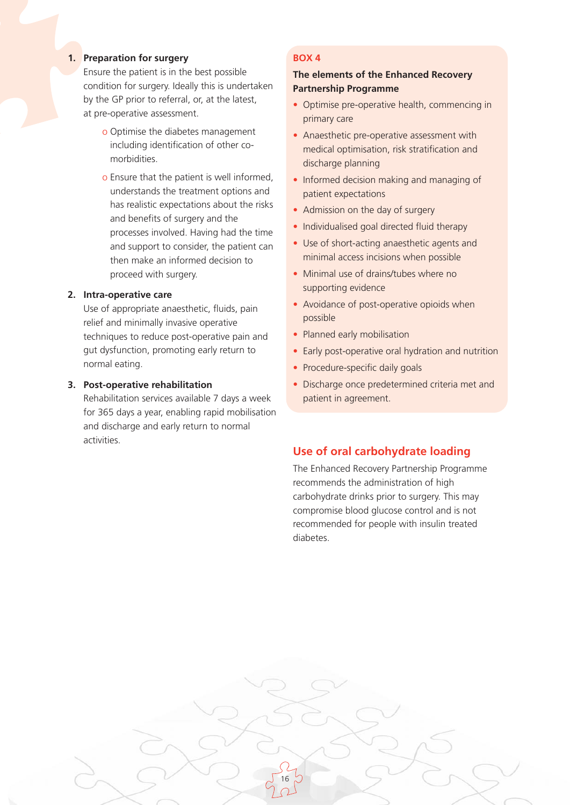#### **1. Preparation for surgery**

Ensure the patient is in the best possible condition for surgery. Ideally this is undertaken by the GP prior to referral, or, at the latest, at pre-operative assessment.

- o Optimise the diabetes management including identification of other comorbidities.
- o Ensure that the patient is well informed, understands the treatment options and has realistic expectations about the risks and benefits of surgery and the processes involved. Having had the time and support to consider, the patient can then make an informed decision to proceed with surgery.

#### **2. Intra-operative care**

Use of appropriate anaesthetic, fluids, pain relief and minimally invasive operative techniques to reduce post-operative pain and gut dysfunction, promoting early return to normal eating.

#### **3. Post-operative rehabilitation**

Rehabilitation services available 7 days a week for 365 days a year, enabling rapid mobilisation and discharge and early return to normal activities.

#### **BOX 4**

#### **The elements of the Enhanced Recovery Partnership Programme**

- Optimise pre-operative health, commencing in primary care
- Anaesthetic pre-operative assessment with medical optimisation, risk stratification and discharge planning
- Informed decision making and managing of patient expectations
- Admission on the day of surgery
- Individualised goal directed fluid therapy
- Use of short-acting anaesthetic agents and minimal access incisions when possible
- Minimal use of drains/tubes where no supporting evidence
- Avoidance of post-operative opioids when possible
- Planned early mobilisation
- Early post-operative oral hydration and nutrition
- Procedure-specific daily goals

16

• Discharge once predetermined criteria met and patient in agreement.

# **Use of oral carbohydrate loading**

The Enhanced Recovery Partnership Programme recommends the administration of high carbohydrate drinks prior to surgery. This may compromise blood glucose control and is not recommended for people with insulin treated diabetes.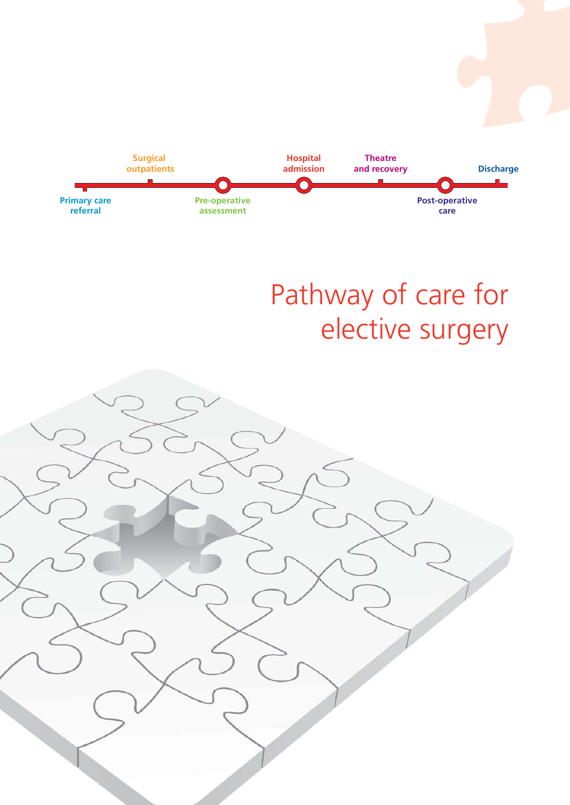

# Pathway of care for elective surgery

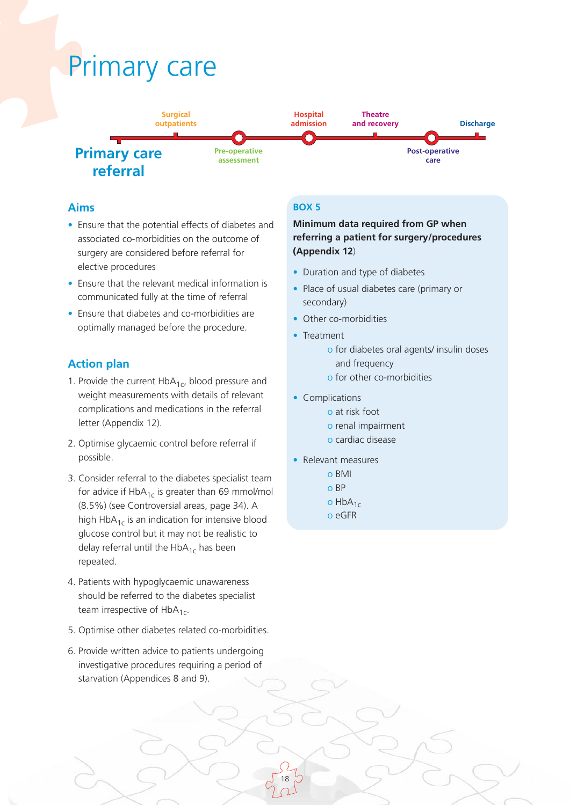# Primary care



### **Aims**

- Ensure that the potential effects of diabetes and associated co-morbidities on the outcome of surgery are considered before referral for elective procedures
- Ensure that the relevant medical information is communicated fully at the time of referral
- Ensure that diabetes and co-morbidities are optimally managed before the procedure.

## **Action plan**

- 1. Provide the current  $HbA_{1c}$ , blood pressure and weight measurements with details of relevant complications and medications in the referral letter (Appendix 12).
- 2. Optimise glycaemic control before referral if possible.
- 3. Consider referral to the diabetes specialist team for advice if  $HbA_{1c}$  is greater than 69 mmol/mol (8.5%) (see Controversial areas, page 34). A high  $HbA_{1c}$  is an indication for intensive blood glucose control but it may not be realistic to delay referral until the  $HbA_{1c}$  has been repeated.
- 4. Patients with hypoglycaemic unawareness should be referred to the diabetes specialist team irrespective of  $HbA_{1c}$ .
- 5. Optimise other diabetes related co-morbidities.
- 6. Provide written advice to patients undergoing investigative procedures requiring a period of starvation (Appendices 8 and 9).

#### **BOX 5**

### **Minimum data required from GP when referring a patient for surgery/procedures (Appendix 12**)

- Duration and type of diabetes
- Place of usual diabetes care (primary or secondary)
- Other co-morbidities
- Treatment
	- o for diabetes oral agents/ insulin doses and frequency o for other co-morbidities
	-
- Complications
	- o at risk foot o renal impairment
	- o cardiac disease
- Relevant measures
	- o BMI
	- o BP
	- o  $HbA_{1c}$
	- o eGFR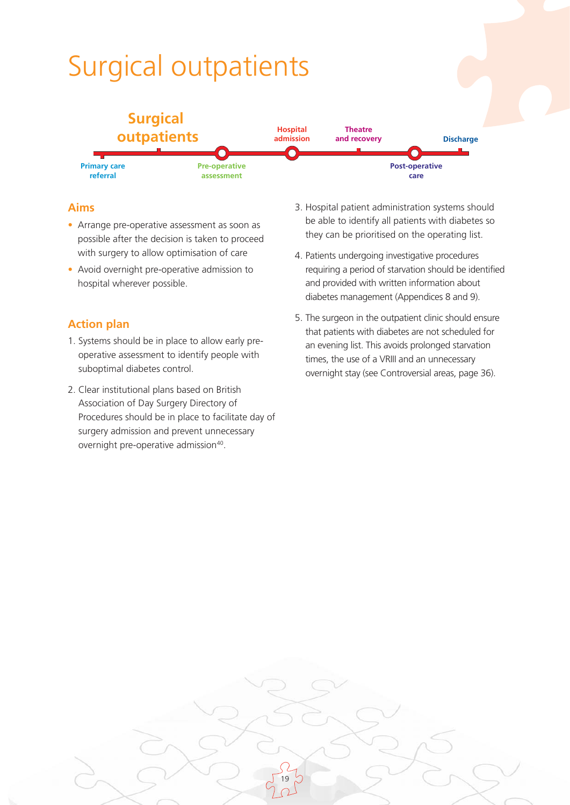# Surgical outpatients



## **Aims**

- Arrange pre-operative assessment as soon as possible after the decision is taken to proceed with surgery to allow optimisation of care
- Avoid overnight pre-operative admission to hospital wherever possible.

# **Action plan**

- 1. Systems should be in place to allow early preoperative assessment to identify people with suboptimal diabetes control.
- 2. Clear institutional plans based on British Association of Day Surgery Directory of Procedures should be in place to facilitate day of surgery admission and prevent unnecessary overnight pre-operative admission<sup>40</sup>.
- 3. Hospital patient administration systems should be able to identify all patients with diabetes so they can be prioritised on the operating list.
- 4. Patients undergoing investigative procedures requiring a period of starvation should be identified and provided with written information about diabetes management (Appendices 8 and 9).
- 5. The surgeon in the outpatient clinic should ensure that patients with diabetes are not scheduled for an evening list. This avoids prolonged starvation times, the use of a VRIII and an unnecessary overnight stay (see Controversial areas, page 36).

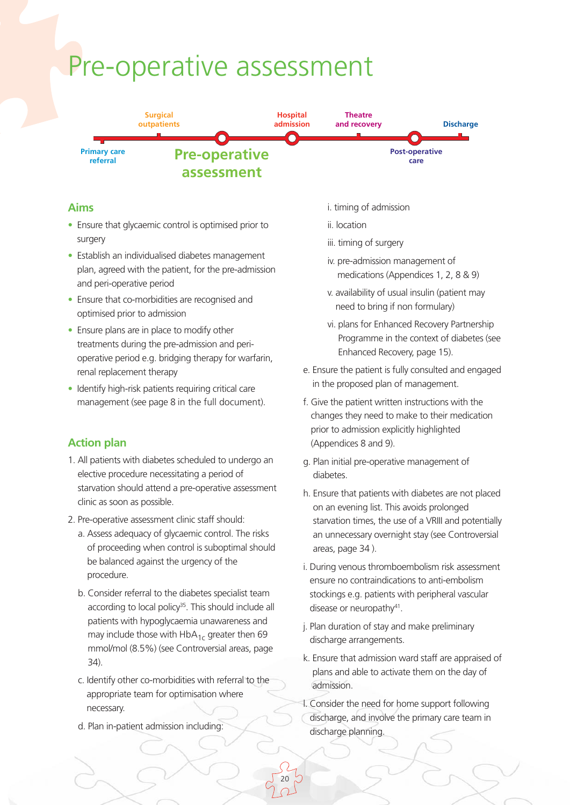# Pre-operative assessment



### **Aims**

- Ensure that glycaemic control is optimised prior to surgery
- Establish an individualised diabetes management plan, agreed with the patient, for the pre-admission and peri-operative period
- Ensure that co-morbidities are recognised and optimised prior to admission
- Ensure plans are in place to modify other treatments during the pre-admission and perioperative period e.g. bridging therapy for warfarin, renal replacement therapy
- Identify high-risk patients requiring critical care management (see page 8 in the full document).

### **Action plan**

- 1. All patients with diabetes scheduled to undergo an elective procedure necessitating a period of starvation should attend a pre-operative assessment clinic as soon as possible.
- 2. Pre-operative assessment clinic staff should:
	- a. Assess adequacy of glycaemic control. The risks of proceeding when control is suboptimal should be balanced against the urgency of the procedure.
	- b. Consider referral to the diabetes specialist team according to local policy<sup>35</sup>. This should include all patients with hypoglycaemia unawareness and may include those with  $HbA_{1c}$  greater then 69 mmol/mol (8.5%) (see Controversial areas, page 34).
	- c. Identify other co-morbidities with referral to the appropriate team for optimisation where necessary.
	- d. Plan in-patient admission including:
- i. timing of admission
- ii. location
- iii. timing of surgery
- iv. pre-admission management of medications (Appendices 1, 2, 8 & 9)
- v. availability of usual insulin (patient may need to bring if non formulary)
- vi. plans for Enhanced Recovery Partnership Programme in the context of diabetes (see Enhanced Recovery, page 15).
- e. Ensure the patient is fully consulted and engaged in the proposed plan of management.
- f. Give the patient written instructions with the changes they need to make to their medication prior to admission explicitly highlighted (Appendices 8 and 9).
- g. Plan initial pre-operative management of diabetes.
- h. Ensure that patients with diabetes are not placed on an evening list. This avoids prolonged starvation times, the use of a VRIII and potentially an unnecessary overnight stay (see Controversial areas, page 34 ).
- i. During venous thromboembolism risk assessment ensure no contraindications to anti-embolism stockings e.g. patients with peripheral vascular disease or neuropathy<sup>41</sup>.
- j. Plan duration of stay and make preliminary discharge arrangements.
- k. Ensure that admission ward staff are appraised of plans and able to activate them on the day of admission.
- l. Consider the need for home support following discharge, and involve the primary care team in discharge planning.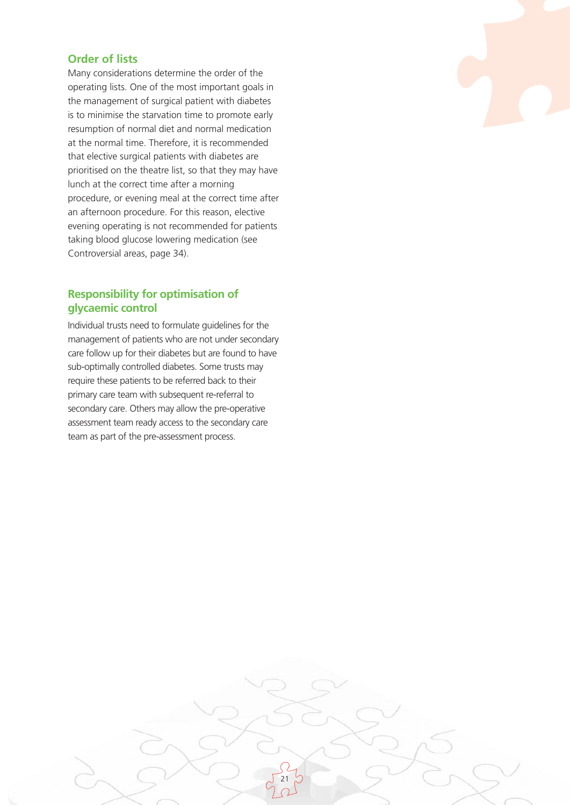#### **Order of lists**

Many considerations determine the order of the operating lists. One of the most important goals in the management of surgical patient with diabetes is to minimise the starvation time to promote early resumption of normal diet and normal medication at the normal time. Therefore, it is recommended that elective surgical patients with diabetes are prioritised on the theatre list, so that they may have lunch at the correct time after a morning procedure, or evening meal at the correct time after an afternoon procedure. For this reason, elective evening operating is not recommended for patients taking blood glucose lowering medication (see Controversial areas, page 34).

### **Responsibility for optimisation of glycaemic control**

Individual trusts need to formulate guidelines for the management of patients who are not under secondary care follow up for their diabetes but are found to have sub-optimally controlled diabetes. Some trusts may require these patients to be referred back to their primary care team with subsequent re-referral to secondary care. Others may allow the pre-operative assessment team ready access to the secondary care team as part of the pre-assessment process.

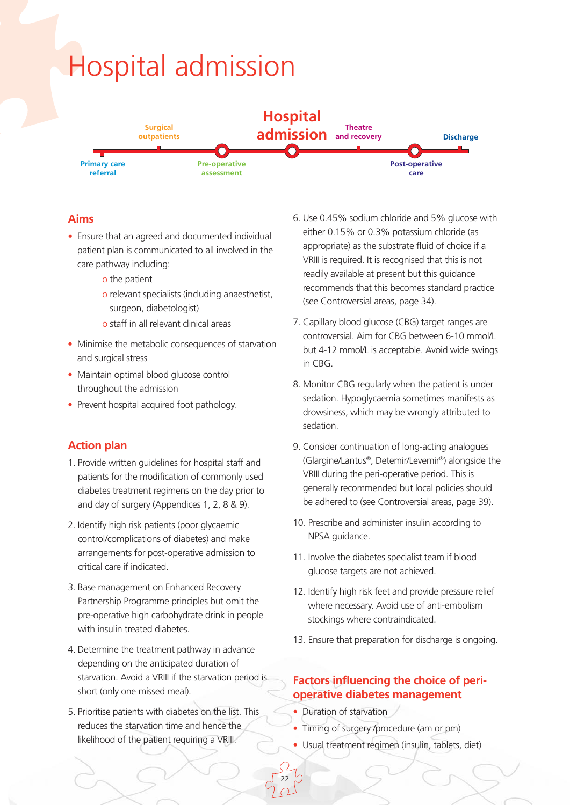# Hospital admission



## **Aims**

- Ensure that an agreed and documented individual patient plan is communicated to all involved in the care pathway including:
	- o the patient
	- o relevant specialists (including anaesthetist, surgeon, diabetologist)
	- o staff in all relevant clinical areas
- Minimise the metabolic consequences of starvation and surgical stress
- Maintain optimal blood glucose control throughout the admission
- Prevent hospital acquired foot pathology.

# **Action plan**

- 1. Provide written guidelines for hospital staff and patients for the modification of commonly used diabetes treatment regimens on the day prior to and day of surgery (Appendices 1, 2, 8 & 9).
- 2. Identify high risk patients (poor glycaemic control/complications of diabetes) and make arrangements for post-operative admission to critical care if indicated.
- 3. Base management on Enhanced Recovery Partnership Programme principles but omit the pre-operative high carbohydrate drink in people with insulin treated diabetes.
- 4. Determine the treatment pathway in advance depending on the anticipated duration of starvation. Avoid a VRIII if the starvation period is short (only one missed meal).
- 5. Prioritise patients with diabetes on the list. This reduces the starvation time and hence the likelihood of the patient requiring a VRIII.
- 6. Use 0.45% sodium chloride and 5% glucose with either 0.15% or 0.3% potassium chloride (as appropriate) as the substrate fluid of choice if a VRIII is required. It is recognised that this is not readily available at present but this guidance recommends that this becomes standard practice (see Controversial areas, page 34).
- 7. Capillary blood glucose (CBG) target ranges are controversial. Aim for CBG between 6-10 mmol/L but 4-12 mmol/L is acceptable. Avoid wide swings in CBG.
- 8. Monitor CBG regularly when the patient is under sedation. Hypoglycaemia sometimes manifests as drowsiness, which may be wrongly attributed to sedation.
- 9. Consider continuation of long-acting analogues (Glargine/Lantus®, Detemir/Levemir®) alongside the VRIII during the peri-operative period. This is generally recommended but local policies should be adhered to (see Controversial areas, page 39).
- 10. Prescribe and administer insulin according to NPSA guidance.
- 11. Involve the diabetes specialist team if blood glucose targets are not achieved.
- 12. Identify high risk feet and provide pressure relief where necessary. Avoid use of anti-embolism stockings where contraindicated.
- 13. Ensure that preparation for discharge is ongoing.

## **Factors influencing the choice of perioperative diabetes management**

• Duration of starvation

- Timing of surgery /procedure (am or pm)
- Usual treatment regimen (insulin, tablets, diet)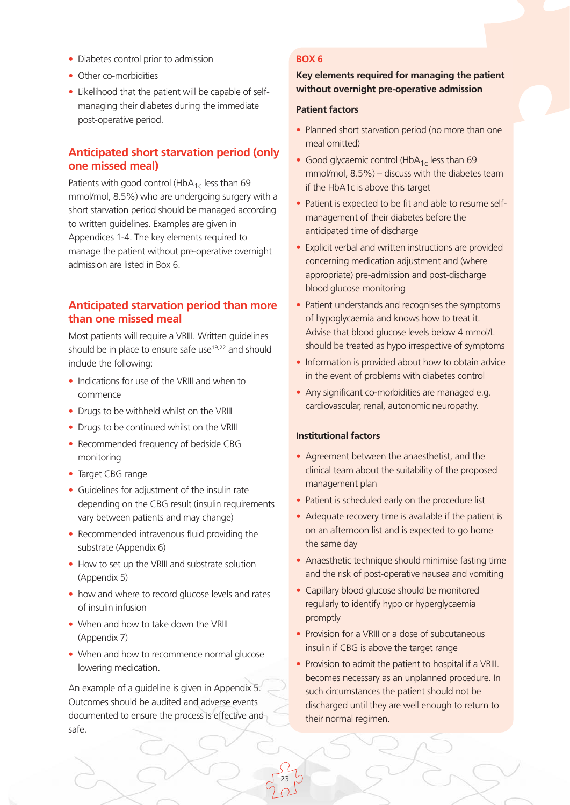- Diabetes control prior to admission
- Other co-morbidities
- Likelihood that the patient will be capable of selfmanaging their diabetes during the immediate post-operative period.

#### **Anticipated short starvation period (only one missed meal)**

Patients with good control (HbA $_{1c}$  less than 69 mmol/mol, 8.5%) who are undergoing surgery with a short starvation period should be managed according to written guidelines. Examples are given in Appendices 1-4. The key elements required to manage the patient without pre-operative overnight admission are listed in Box 6.

#### **Anticipated starvation period than more than one missed meal**

Most patients will require a VRIII. Written guidelines should be in place to ensure safe use<sup>19,22</sup> and should include the following:

- Indications for use of the VRIII and when to commence
- Drugs to be withheld whilst on the VRIII
- Drugs to be continued whilst on the VRIII
- Recommended frequency of bedside CBG monitoring
- Target CBG range
- Guidelines for adjustment of the insulin rate depending on the CBG result (insulin requirements vary between patients and may change)
- Recommended intravenous fluid providing the substrate (Appendix 6)
- How to set up the VRIII and substrate solution (Appendix 5)
- how and where to record glucose levels and rates of insulin infusion
- When and how to take down the VRIII (Appendix 7)
- When and how to recommence normal glucose lowering medication.

An example of a guideline is given in Appendix 5. Outcomes should be audited and adverse events documented to ensure the process is effective and safe.

#### **BOX 6**

#### **Key elements required for managing the patient without overnight pre-operative admission**

#### **Patient factors**

- Planned short starvation period (no more than one meal omitted)
- Good glycaemic control (HbA $_{1c}$  less than 69 mmol/mol, 8.5%) – discuss with the diabetes team if the HbA1c is above this target
- Patient is expected to be fit and able to resume selfmanagement of their diabetes before the anticipated time of discharge
- Explicit verbal and written instructions are provided concerning medication adjustment and (where appropriate) pre-admission and post-discharge blood glucose monitoring
- Patient understands and recognises the symptoms of hypoglycaemia and knows how to treat it. Advise that blood glucose levels below 4 mmol/L should be treated as hypo irrespective of symptoms
- Information is provided about how to obtain advice in the event of problems with diabetes control
- Any significant co-morbidities are managed e.g. cardiovascular, renal, autonomic neuropathy.

#### **Institutional factors**

- Agreement between the anaesthetist, and the clinical team about the suitability of the proposed management plan
- Patient is scheduled early on the procedure list
- Adequate recovery time is available if the patient is on an afternoon list and is expected to go home the same day
- Anaesthetic technique should minimise fasting time and the risk of post-operative nausea and vomiting
- Capillary blood glucose should be monitored regularly to identify hypo or hyperglycaemia promptly
- Provision for a VRIII or a dose of subcutaneous insulin if CBG is above the target range
- Provision to admit the patient to hospital if a VRIII. becomes necessary as an unplanned procedure. In such circumstances the patient should not be discharged until they are well enough to return to their normal regimen.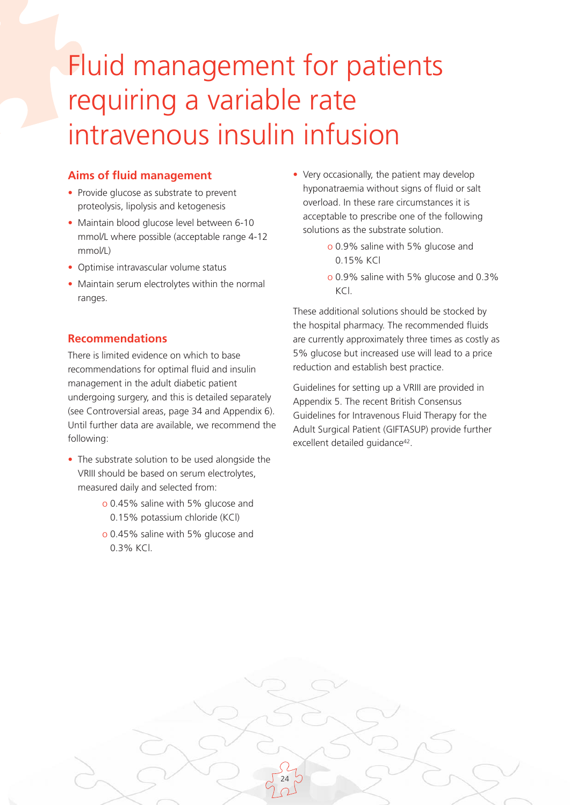# Fluid management for patients requiring a variable rate intravenous insulin infusion

### **Aims of fluid management**

- Provide glucose as substrate to prevent proteolysis, lipolysis and ketogenesis
- Maintain blood glucose level between 6-10 mmol/L where possible (acceptable range 4-12 mmol/L)
- Optimise intravascular volume status
- Maintain serum electrolytes within the normal ranges.

## **Recommendations**

There is limited evidence on which to base recommendations for optimal fluid and insulin management in the adult diabetic patient undergoing surgery, and this is detailed separately (see Controversial areas, page 34 and Appendix 6). Until further data are available, we recommend the following:

- The substrate solution to be used alongside the VRIII should be based on serum electrolytes, measured daily and selected from:
	- o 0.45% saline with 5% glucose and 0.15% potassium chloride (KCl)
	- o 0.45% saline with 5% glucose and 0.3% KCl.

24

- Very occasionally, the patient may develop hyponatraemia without signs of fluid or salt overload. In these rare circumstances it is acceptable to prescribe one of the following solutions as the substrate solution.
	- o 0.9% saline with 5% glucose and 0.15% KCl
	- o 0.9% saline with 5% glucose and 0.3%  $KCl$

These additional solutions should be stocked by the hospital pharmacy. The recommended fluids are currently approximately three times as costly as 5% glucose but increased use will lead to a price reduction and establish best practice.

Guidelines for setting up a VRIII are provided in Appendix 5. The recent British Consensus Guidelines for Intravenous Fluid Therapy for the Adult Surgical Patient (GIFTASUP) provide further excellent detailed guidance<sup>42</sup>.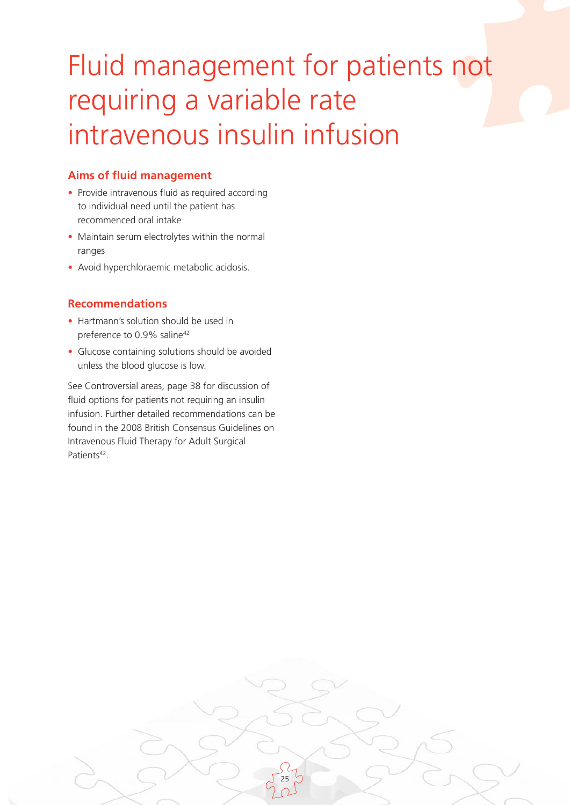# Fluid management for patients not requiring a variable rate intravenous insulin infusion

# **Aims of fluid management**

- Provide intravenous fluid as required according to individual need until the patient has recommenced oral intake
- Maintain serum electrolytes within the normal ranges
- Avoid hyperchloraemic metabolic acidosis.

## **Recommendations**

- Hartmann's solution should be used in preference to 0.9% saline<sup>42</sup>
- Glucose containing solutions should be avoided unless the blood glucose is low.

See Controversial areas, page 38 for discussion of fluid options for patients not requiring an insulin infusion. Further detailed recommendations can be found in the 2008 British Consensus Guidelines on Intravenous Fluid Therapy for Adult Surgical Patients<sup>42</sup>.

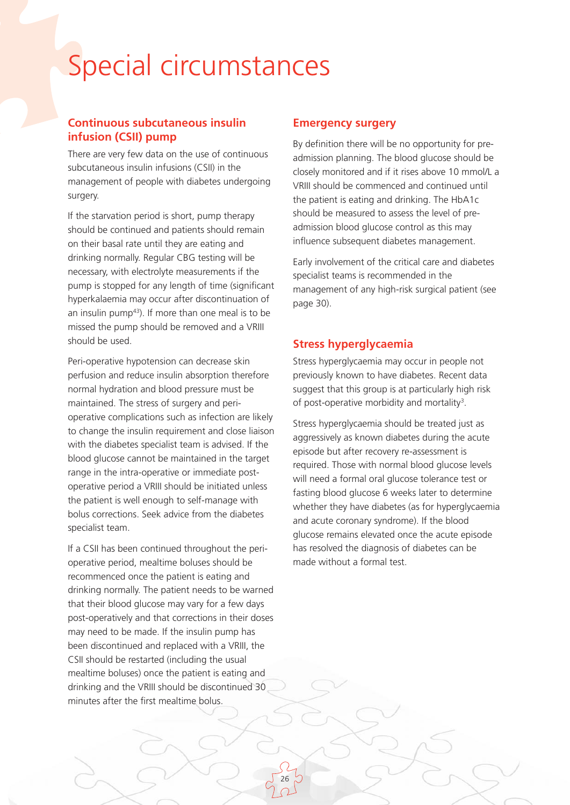# Special circumstances

## **Continuous subcutaneous insulin infusion (CSII) pump**

There are very few data on the use of continuous subcutaneous insulin infusions (CSII) in the management of people with diabetes undergoing surgery.

If the starvation period is short, pump therapy should be continued and patients should remain on their basal rate until they are eating and drinking normally. Regular CBG testing will be necessary, with electrolyte measurements if the pump is stopped for any length of time (significant hyperkalaemia may occur after discontinuation of an insulin pump $43$ ). If more than one meal is to be missed the pump should be removed and a VRIII should be used.

Peri-operative hypotension can decrease skin perfusion and reduce insulin absorption therefore normal hydration and blood pressure must be maintained. The stress of surgery and perioperative complications such as infection are likely to change the insulin requirement and close liaison with the diabetes specialist team is advised. If the blood glucose cannot be maintained in the target range in the intra-operative or immediate postoperative period a VRIII should be initiated unless the patient is well enough to self-manage with bolus corrections. Seek advice from the diabetes specialist team.

If a CSII has been continued throughout the perioperative period, mealtime boluses should be recommenced once the patient is eating and drinking normally. The patient needs to be warned that their blood glucose may vary for a few days post-operatively and that corrections in their doses may need to be made. If the insulin pump has been discontinued and replaced with a VRIII, the CSII should be restarted (including the usual mealtime boluses) once the patient is eating and drinking and the VRIII should be discontinued 30 minutes after the first mealtime bolus.

26

#### **Emergency surgery**

By definition there will be no opportunity for preadmission planning. The blood glucose should be closely monitored and if it rises above 10 mmol/L a VRIII should be commenced and continued until the patient is eating and drinking. The HbA1c should be measured to assess the level of preadmission blood glucose control as this may influence subsequent diabetes management.

Early involvement of the critical care and diabetes specialist teams is recommended in the management of any high-risk surgical patient (see page 30).

## **Stress hyperglycaemia**

Stress hyperglycaemia may occur in people not previously known to have diabetes. Recent data suggest that this group is at particularly high risk of post-operative morbidity and mortality<sup>3</sup>.

Stress hyperglycaemia should be treated just as aggressively as known diabetes during the acute episode but after recovery re-assessment is required. Those with normal blood glucose levels will need a formal oral glucose tolerance test or fasting blood glucose 6 weeks later to determine whether they have diabetes (as for hyperglycaemia and acute coronary syndrome). If the blood glucose remains elevated once the acute episode has resolved the diagnosis of diabetes can be made without a formal test.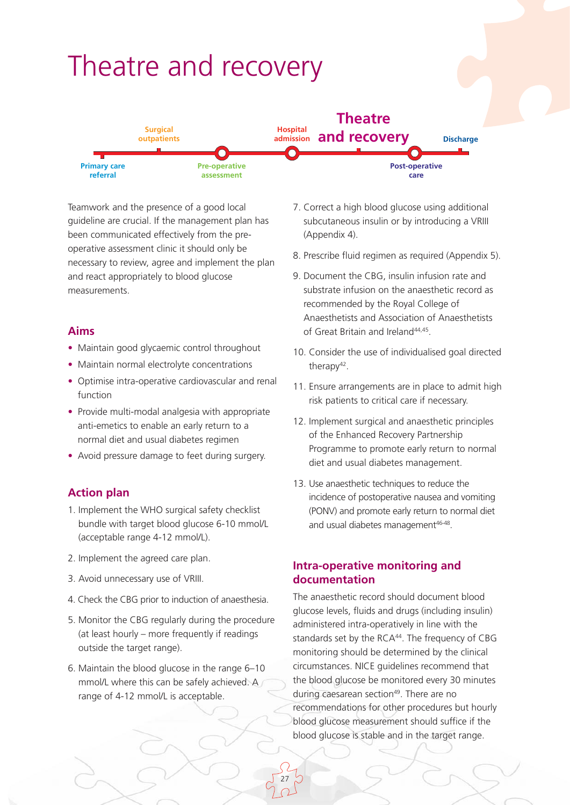

Teamwork and the presence of a good local guideline are crucial. If the management plan has been communicated effectively from the preoperative assessment clinic it should only be necessary to review, agree and implement the plan and react appropriately to blood glucose measurements.

#### **Aims**

- Maintain good glycaemic control throughout
- Maintain normal electrolyte concentrations
- Optimise intra-operative cardiovascular and renal function
- Provide multi-modal analgesia with appropriate anti-emetics to enable an early return to a normal diet and usual diabetes regimen
- Avoid pressure damage to feet during surgery.

### **Action plan**

- 1. Implement the WHO surgical safety checklist bundle with target blood glucose 6-10 mmol/L (acceptable range 4-12 mmol/L).
- 2. Implement the agreed care plan.
- 3. Avoid unnecessary use of VRIII.
- 4. Check the CBG prior to induction of anaesthesia.
- 5. Monitor the CBG regularly during the procedure (at least hourly – more frequently if readings outside the target range).
- 6. Maintain the blood glucose in the range 6–10 mmol/L where this can be safely achieved. A range of 4-12 mmol/L is acceptable.
- 7. Correct a high blood glucose using additional subcutaneous insulin or by introducing a VRIII (Appendix 4).
- 8. Prescribe fluid regimen as required (Appendix 5).
- 9. Document the CBG, insulin infusion rate and substrate infusion on the anaesthetic record as recommended by the Royal College of Anaesthetists and Association of Anaesthetists of Great Britain and Ireland44,45.
- 10. Consider the use of individualised goal directed therapy<sup>42</sup>.
- 11. Ensure arrangements are in place to admit high risk patients to critical care if necessary.
- 12. Implement surgical and anaesthetic principles of the Enhanced Recovery Partnership Programme to promote early return to normal diet and usual diabetes management.
- 13. Use anaesthetic techniques to reduce the incidence of postoperative nausea and vomiting (PONV) and promote early return to normal diet and usual diabetes management<sup>46-48</sup>.

#### **Intra-operative monitoring and documentation**

27

The anaesthetic record should document blood glucose levels, fluids and drugs (including insulin) administered intra-operatively in line with the standards set by the RCA<sup>44</sup>. The frequency of CBG monitoring should be determined by the clinical circumstances. NICE guidelines recommend that the blood glucose be monitored every 30 minutes during caesarean section<sup>49</sup>. There are no recommendations for other procedures but hourly blood glucose measurement should suffice if the blood glucose is stable and in the target range.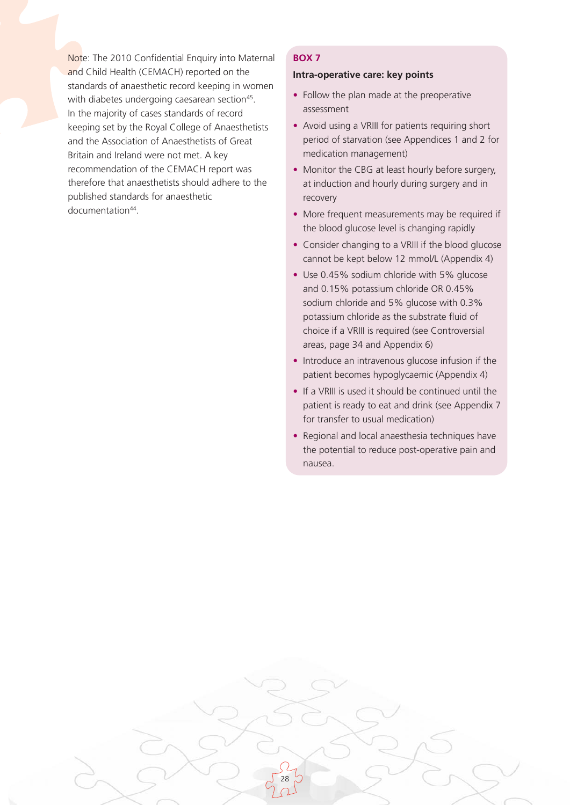Note: The 2010 Confidential Enquiry into Maternal and Child Health (CEMACH) reported on the standards of anaesthetic record keeping in women with diabetes undergoing caesarean section<sup>45</sup>. In the majority of cases standards of record keeping set by the Royal College of Anaesthetists and the Association of Anaesthetists of Great Britain and Ireland were not met. A key recommendation of the CEMACH report was therefore that anaesthetists should adhere to the published standards for anaesthetic documentation44.

#### **BOX 7**

#### **Intra-operative care: key points**

- Follow the plan made at the preoperative assessment
- Avoid using a VRIII for patients requiring short period of starvation (see Appendices 1 and 2 for medication management)
- Monitor the CBG at least hourly before surgery, at induction and hourly during surgery and in recovery
- More frequent measurements may be required if the blood glucose level is changing rapidly
- Consider changing to a VRIII if the blood glucose cannot be kept below 12 mmol/L (Appendix 4)
- Use 0.45% sodium chloride with 5% glucose and 0.15% potassium chloride OR 0.45% sodium chloride and 5% glucose with 0.3% potassium chloride as the substrate fluid of choice if a VRIII is required (see Controversial areas, page 34 and Appendix 6)
- Introduce an intravenous glucose infusion if the patient becomes hypoglycaemic (Appendix 4)
- If a VRIII is used it should be continued until the patient is ready to eat and drink (see Appendix 7 for transfer to usual medication)
- Regional and local anaesthesia techniques have the potential to reduce post-operative pain and nausea.

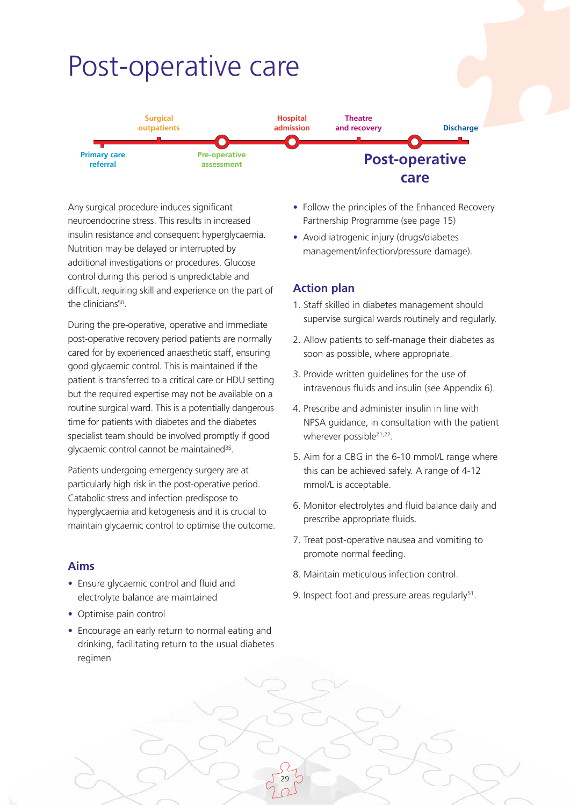# Post-operative care



Any surgical procedure induces significant neuroendocrine stress. This results in increased insulin resistance and consequent hyperglycaemia. Nutrition may be delayed or interrupted by additional investigations or procedures. Glucose control during this period is unpredictable and difficult, requiring skill and experience on the part of the clinicians<sup>50</sup>.

During the pre-operative, operative and immediate post-operative recovery period patients are normally cared for by experienced anaesthetic staff, ensuring good glycaemic control. This is maintained if the patient is transferred to a critical care or HDU setting but the required expertise may not be available on a routine surgical ward. This is a potentially dangerous time for patients with diabetes and the diabetes specialist team should be involved promptly if good glycaemic control cannot be maintained<sup>35</sup>.

Patients undergoing emergency surgery are at particularly high risk in the post-operative period. Catabolic stress and infection predispose to hyperglycaemia and ketogenesis and it is crucial to maintain glycaemic control to optimise the outcome.

#### **Aims**

- Ensure glycaemic control and fluid and electrolyte balance are maintained
- Optimise pain control
- Encourage an early return to normal eating and drinking, facilitating return to the usual diabetes regimen
- Follow the principles of the Enhanced Recovery Partnership Programme (see page 15)
- Avoid iatrogenic injury (drugs/diabetes management/infection/pressure damage).

#### **Action plan**

- 1. Staff skilled in diabetes management should supervise surgical wards routinely and regularly.
- 2. Allow patients to self-manage their diabetes as soon as possible, where appropriate.
- 3. Provide written guidelines for the use of intravenous fluids and insulin (see Appendix 6).
- 4. Prescribe and administer insulin in line with NPSA guidance, in consultation with the patient wherever possible<sup>21,22</sup>.
- 5. Aim for a CBG in the 6-10 mmol/L range where this can be achieved safely. A range of 4-12 mmol/L is acceptable.
- 6. Monitor electrolytes and fluid balance daily and prescribe appropriate fluids.
- 7. Treat post-operative nausea and vomiting to promote normal feeding.
- 8. Maintain meticulous infection control.
- 9. Inspect foot and pressure areas regularly $51$ .

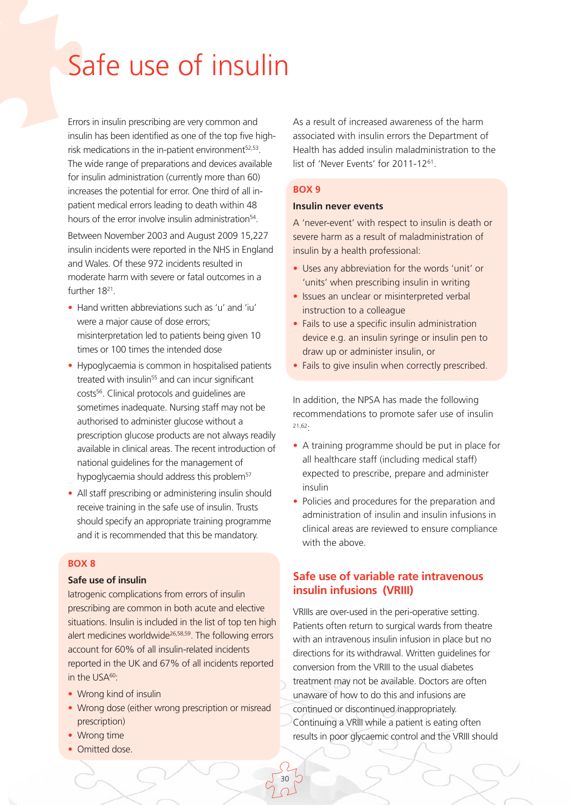# Safe use of insulin

Errors in insulin prescribing are very common and insulin has been identified as one of the top five highrisk medications in the in-patient environment $52,53$ . The wide range of preparations and devices available for insulin administration (currently more than 60) increases the potential for error. One third of all inpatient medical errors leading to death within 48 hours of the error involve insulin administration<sup>54</sup>.

Between November 2003 and August 2009 15,227 insulin incidents were reported in the NHS in England and Wales. Of these 972 incidents resulted in moderate harm with severe or fatal outcomes in a further 1821.

- Hand written abbreviations such as 'u' and 'iu' were a major cause of dose errors; misinterpretation led to patients being given 10 times or 100 times the intended dose
- Hypoglycaemia is common in hospitalised patients treated with insulin<sup>55</sup> and can incur significant costs56. Clinical protocols and guidelines are sometimes inadequate. Nursing staff may not be authorised to administer glucose without a prescription glucose products are not always readily available in clinical areas. The recent introduction of national guidelines for the management of hypoglycaemia should address this problem<sup>57</sup>
- All staff prescribing or administering insulin should receive training in the safe use of insulin. Trusts should specify an appropriate training programme and it is recommended that this be mandatory.

#### **BOX 8**

#### **Safe use of insulin**

Iatrogenic complications from errors of insulin prescribing are common in both acute and elective situations. Insulin is included in the list of top ten high alert medicines worldwide<sup>26,58,59</sup>. The following errors account for 60% of all insulin-related incidents reported in the UK and 67% of all incidents reported in the USA<sup>60</sup>:

- Wrong kind of insulin
- Wrong dose (either wrong prescription or misread prescription)

30

- Wrong time
- Omitted dose.

As a result of increased awareness of the harm associated with insulin errors the Department of Health has added insulin maladministration to the list of 'Never Events' for 2011-1261.

#### **BOX 9**

#### **Insulin never events**

A 'never-event' with respect to insulin is death or severe harm as a result of maladministration of insulin by a health professional:

- Uses any abbreviation for the words 'unit' or 'units' when prescribing insulin in writing
- Issues an unclear or misinterpreted verbal instruction to a colleague
- Fails to use a specific insulin administration device e.g. an insulin syringe or insulin pen to draw up or administer insulin, or
- Fails to give insulin when correctly prescribed.

In addition, the NPSA has made the following recommendations to promote safer use of insulin 21,62:

- A training programme should be put in place for all healthcare staff (including medical staff) expected to prescribe, prepare and administer insulin
- Policies and procedures for the preparation and administration of insulin and insulin infusions in clinical areas are reviewed to ensure compliance with the above

#### **Safe use of variable rate intravenous insulin infusions (VRIII)**

VRIIIs are over-used in the peri-operative setting. Patients often return to surgical wards from theatre with an intravenous insulin infusion in place but no directions for its withdrawal. Written guidelines for conversion from the VRIII to the usual diabetes treatment may not be available. Doctors are often unaware of how to do this and infusions are continued or discontinued inappropriately. Continuing a VRIII while a patient is eating often results in poor glycaemic control and the VRIII should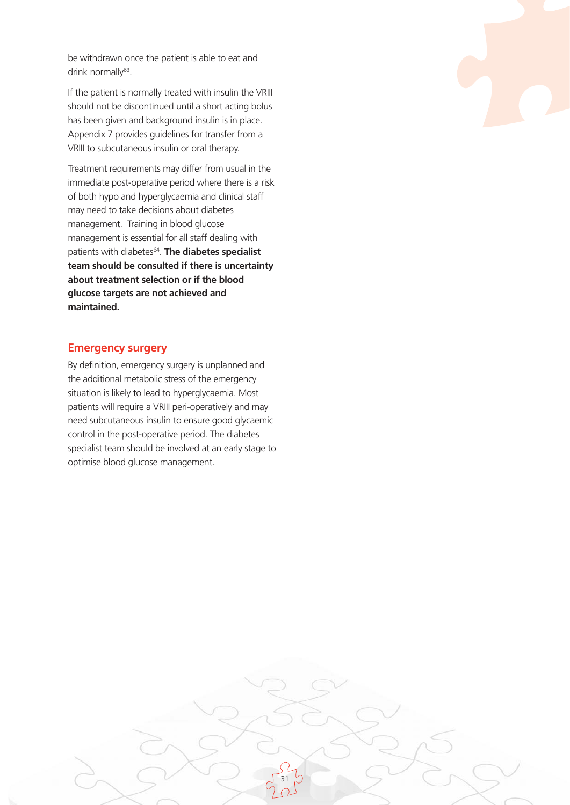be withdrawn once the patient is able to eat and drink normally<sup>63</sup>.

If the patient is normally treated with insulin the VRIII should not be discontinued until a short acting bolus has been given and background insulin is in place. Appendix 7 provides guidelines for transfer from a VRIII to subcutaneous insulin or oral therapy.

Treatment requirements may differ from usual in the immediate post-operative period where there is a risk of both hypo and hyperglycaemia and clinical staff may need to take decisions about diabetes management. Training in blood glucose management is essential for all staff dealing with patients with diabetes<sup>64</sup>. The diabetes specialist **team should be consulted if there is uncertainty about treatment selection or if the blood glucose targets are not achieved and maintained.**

#### **Emergency surgery**

By definition, emergency surgery is unplanned and the additional metabolic stress of the emergency situation is likely to lead to hyperglycaemia. Most patients will require a VRIII peri-operatively and may need subcutaneous insulin to ensure good glycaemic control in the post-operative period. The diabetes specialist team should be involved at an early stage to optimise blood glucose management.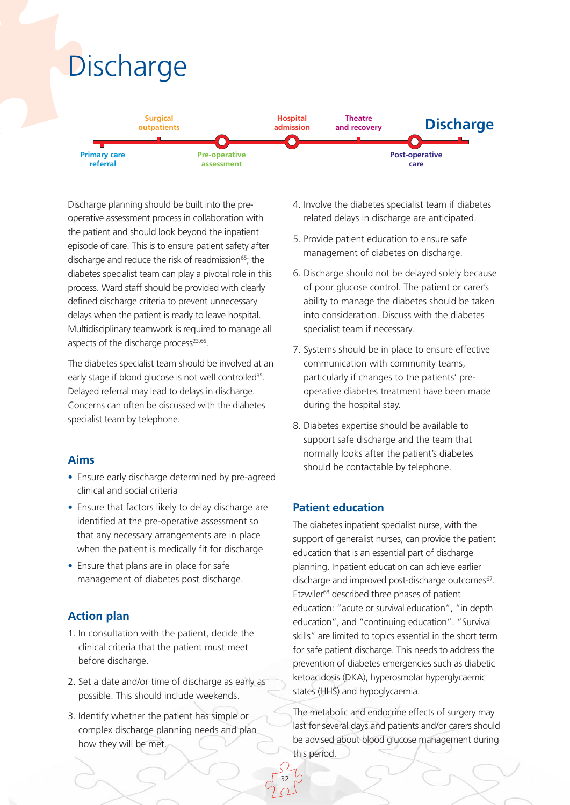

Discharge planning should be built into the preoperative assessment process in collaboration with the patient and should look beyond the inpatient episode of care. This is to ensure patient safety after discharge and reduce the risk of readmission<sup>65</sup>; the diabetes specialist team can play a pivotal role in this process. Ward staff should be provided with clearly defined discharge criteria to prevent unnecessary delays when the patient is ready to leave hospital. Multidisciplinary teamwork is required to manage all aspects of the discharge process<sup>23,66</sup>.

The diabetes specialist team should be involved at an early stage if blood glucose is not well controlled<sup>35</sup>. Delayed referral may lead to delays in discharge. Concerns can often be discussed with the diabetes specialist team by telephone.

### **Aims**

- Ensure early discharge determined by pre-agreed clinical and social criteria
- Ensure that factors likely to delay discharge are identified at the pre-operative assessment so that any necessary arrangements are in place when the patient is medically fit for discharge
- Ensure that plans are in place for safe management of diabetes post discharge.

# **Action plan**

- 1. In consultation with the patient, decide the clinical criteria that the patient must meet before discharge.
- 2. Set a date and/or time of discharge as early as possible. This should include weekends.
- 3. Identify whether the patient has simple or complex discharge planning needs and plan how they will be met.
- 4. Involve the diabetes specialist team if diabetes related delays in discharge are anticipated.
- 5. Provide patient education to ensure safe management of diabetes on discharge.
- 6. Discharge should not be delayed solely because of poor glucose control. The patient or carer's ability to manage the diabetes should be taken into consideration. Discuss with the diabetes specialist team if necessary.
- 7. Systems should be in place to ensure effective communication with community teams, particularly if changes to the patients' preoperative diabetes treatment have been made during the hospital stay.
- 8. Diabetes expertise should be available to support safe discharge and the team that normally looks after the patient's diabetes should be contactable by telephone.

#### **Patient education**

32

The diabetes inpatient specialist nurse, with the support of generalist nurses, can provide the patient education that is an essential part of discharge planning. Inpatient education can achieve earlier discharge and improved post-discharge outcomes<sup>67</sup>. Etzwiler68 described three phases of patient education: "acute or survival education", "in depth education", and "continuing education". "Survival skills" are limited to topics essential in the short term for safe patient discharge. This needs to address the prevention of diabetes emergencies such as diabetic ketoacidosis (DKA), hyperosmolar hyperglycaemic states (HHS) and hypoglycaemia.

The metabolic and endocrine effects of surgery may last for several days and patients and/or carers should be advised about blood glucose management during this period.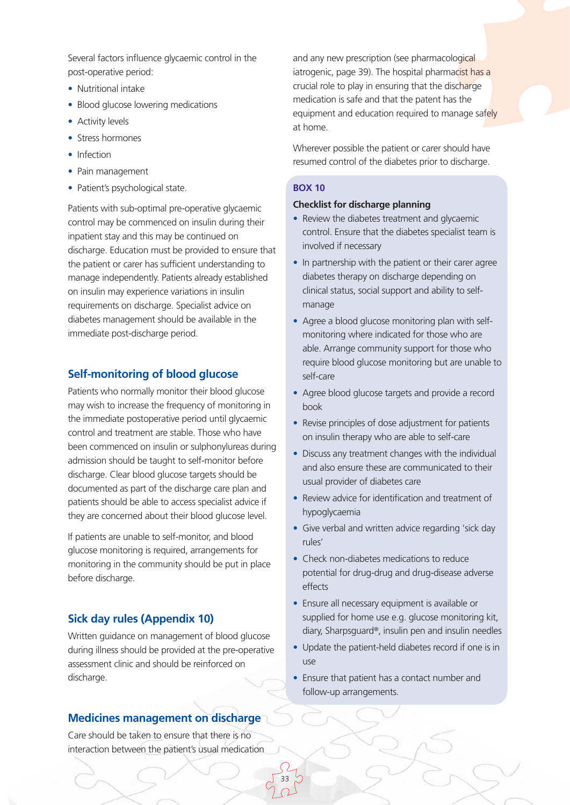Several factors influence glycaemic control in the post-operative period:

- Nutritional intake
- Blood glucose lowering medications
- Activity levels
- Stress hormones
- Infection
- Pain management
- Patient's psychological state.

Patients with sub-optimal pre-operative glycaemic control may be commenced on insulin during their inpatient stay and this may be continued on discharge. Education must be provided to ensure that the patient or carer has sufficient understanding to manage independently. Patients already established on insulin may experience variations in insulin requirements on discharge. Specialist advice on diabetes management should be available in the immediate post-discharge period.

### **Self-monitoring of blood glucose**

Patients who normally monitor their blood glucose may wish to increase the frequency of monitoring in the immediate postoperative period until glycaemic control and treatment are stable. Those who have been commenced on insulin or sulphonylureas during admission should be taught to self-monitor before discharge. Clear blood glucose targets should be documented as part of the discharge care plan and patients should be able to access specialist advice if they are concerned about their blood glucose level.

If patients are unable to self-monitor, and blood glucose monitoring is required, arrangements for monitoring in the community should be put in place before discharge.

### **Sick day rules (Appendix 10)**

Written guidance on management of blood glucose during illness should be provided at the pre-operative assessment clinic and should be reinforced on discharge.

### **Medicines management on discharge**

Care should be taken to ensure that there is no interaction between the patient's usual medication and any new prescription (see pharmacological iatrogenic, page 39). The hospital pharmacist has a crucial role to play in ensuring that the discharge medication is safe and that the patent has the equipment and education required to manage safely at home.

Wherever possible the patient or carer should have resumed control of the diabetes prior to discharge.

#### **BOX 10**

#### **Checklist for discharge planning**

- Review the diabetes treatment and glycaemic control. Ensure that the diabetes specialist team is involved if necessary
- In partnership with the patient or their carer agree diabetes therapy on discharge depending on clinical status, social support and ability to selfmanage
- Agree a blood glucose monitoring plan with selfmonitoring where indicated for those who are able. Arrange community support for those who require blood glucose monitoring but are unable to self-care
- Agree blood glucose targets and provide a record book
- Revise principles of dose adjustment for patients on insulin therapy who are able to self-care
- Discuss any treatment changes with the individual and also ensure these are communicated to their usual provider of diabetes care
- Review advice for identification and treatment of hypoglycaemia
- Give verbal and written advice regarding 'sick day rules'
- Check non-diabetes medications to reduce potential for drug-drug and drug-disease adverse effects
- Ensure all necessary equipment is available or supplied for home use e.g. glucose monitoring kit, diary, Sharpsguard®, insulin pen and insulin needles
- Update the patient-held diabetes record if one is in use
- Ensure that patient has a contact number and follow-up arrangements.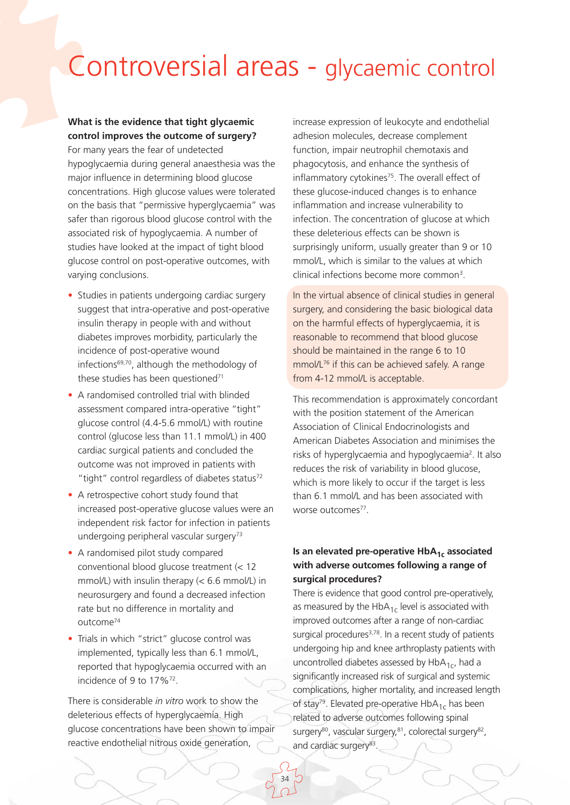# Controversial areas - glycaemic control

## **What is the evidence that tight glycaemic control improves the outcome of surgery?**

For many years the fear of undetected hypoglycaemia during general anaesthesia was the major influence in determining blood glucose concentrations. High glucose values were tolerated on the basis that "permissive hyperglycaemia" was safer than rigorous blood glucose control with the associated risk of hypoglycaemia. A number of studies have looked at the impact of tight blood glucose control on post-operative outcomes, with varying conclusions.

- Studies in patients undergoing cardiac surgery suggest that intra-operative and post-operative insulin therapy in people with and without diabetes improves morbidity, particularly the incidence of post-operative wound infections $69,70$ , although the methodology of these studies has been questioned<sup>71</sup>
- A randomised controlled trial with blinded assessment compared intra-operative "tight" glucose control (4.4-5.6 mmol/L) with routine control (glucose less than 11.1 mmol/L) in 400 cardiac surgical patients and concluded the outcome was not improved in patients with "tight" control regardless of diabetes status<sup>72</sup>
- A retrospective cohort study found that increased post-operative glucose values were an independent risk factor for infection in patients undergoing peripheral vascular surgery<sup>73</sup>
- A randomised pilot study compared conventional blood glucose treatment (< 12 mmol/L) with insulin therapy (< 6.6 mmol/L) in neurosurgery and found a decreased infection rate but no difference in mortality and outcome74
- Trials in which "strict" glucose control was implemented, typically less than 6.1 mmol/L, reported that hypoglycaemia occurred with an incidence of 9 to 17%72.

There is considerable *in vitro* work to show the deleterious effects of hyperglycaemia. High glucose concentrations have been shown to impair reactive endothelial nitrous oxide generation,

34

increase expression of leukocyte and endothelial adhesion molecules, decrease complement function, impair neutrophil chemotaxis and phagocytosis, and enhance the synthesis of inflammatory cytokines<sup>75</sup>. The overall effect of these glucose-induced changes is to enhance inflammation and increase vulnerability to infection. The concentration of glucose at which these deleterious effects can be shown is surprisingly uniform, usually greater than 9 or 10 mmol/L, which is similar to the values at which clinical infections become more common3.

In the virtual absence of clinical studies in general surgery, and considering the basic biological data on the harmful effects of hyperglycaemia, it is reasonable to recommend that blood glucose should be maintained in the range 6 to 10 mmol/L76 if this can be achieved safely. A range from 4-12 mmol/L is acceptable.

This recommendation is approximately concordant with the position statement of the American Association of Clinical Endocrinologists and American Diabetes Association and minimises the risks of hyperglycaemia and hypoglycaemia2. It also reduces the risk of variability in blood glucose, which is more likely to occur if the target is less than 6.1 mmol/L and has been associated with worse outcomes<sup>77</sup>

#### **Is an elevated pre-operative HbA<sub>1c</sub> associated with adverse outcomes following a range of surgical procedures?**

There is evidence that good control pre-operatively, as measured by the Hb $A_{1c}$  level is associated with improved outcomes after a range of non-cardiac surgical procedures $3,78$ . In a recent study of patients undergoing hip and knee arthroplasty patients with uncontrolled diabetes assessed by  $HbA_{1c}$ , had a significantly increased risk of surgical and systemic complications, higher mortality, and increased length of stay<sup>79</sup>. Elevated pre-operative HbA<sub>1c</sub> has been related to adverse outcomes following spinal surgery<sup>80</sup>, vascular surgery, 81, colorectal surgery<sup>82</sup>, and cardiac surgery<sup>83</sup>.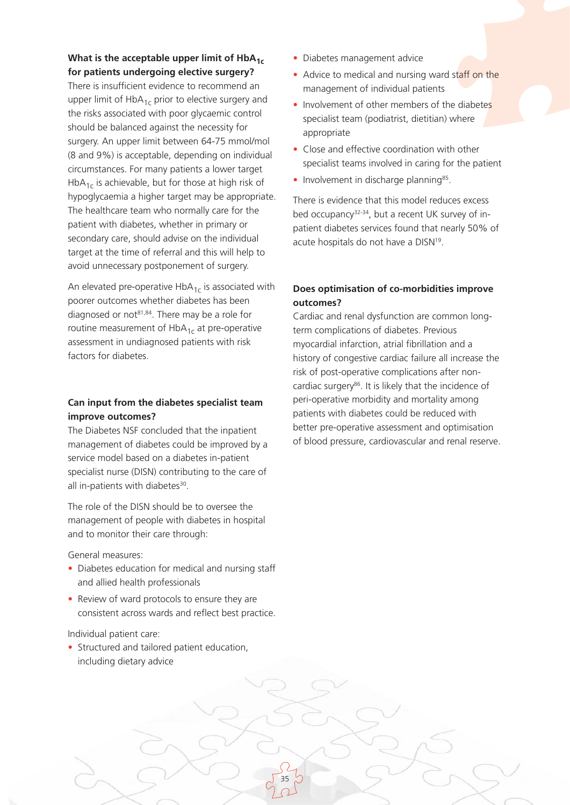### What is the acceptable upper limit of HbA<sub>1c</sub> **for patients undergoing elective surgery?**

There is insufficient evidence to recommend an upper limit of  $HbA_{1c}$  prior to elective surgery and the risks associated with poor glycaemic control should be balanced against the necessity for surgery. An upper limit between 64-75 mmol/mol (8 and 9%) is acceptable, depending on individual circumstances. For many patients a lower target HbA<sub>1c</sub> is achievable, but for those at high risk of hypoglycaemia a higher target may be appropriate. The healthcare team who normally care for the patient with diabetes, whether in primary or secondary care, should advise on the individual target at the time of referral and this will help to avoid unnecessary postponement of surgery.

An elevated pre-operative  $HbA_{1c}$  is associated with poorer outcomes whether diabetes has been diagnosed or not<sup>81,84</sup>. There may be a role for routine measurement of  $HbA_{1c}$  at pre-operative assessment in undiagnosed patients with risk factors for diabetes.

#### **Can input from the diabetes specialist team improve outcomes?**

The Diabetes NSF concluded that the inpatient management of diabetes could be improved by a service model based on a diabetes in-patient specialist nurse (DISN) contributing to the care of all in-patients with diabetes<sup>30</sup>.

The role of the DISN should be to oversee the management of people with diabetes in hospital and to monitor their care through:

General measures:

- Diabetes education for medical and nursing staff and allied health professionals
- Review of ward protocols to ensure they are consistent across wards and reflect best practice.

35

#### Individual patient care:

• Structured and tailored patient education, including dietary advice

- Diabetes management advice
- Advice to medical and nursing ward staff on the management of individual patients
- Involvement of other members of the diabetes specialist team (podiatrist, dietitian) where appropriate
- Close and effective coordination with other specialist teams involved in caring for the patient
- $\bullet$  Involvement in discharge planning<sup>85</sup>.

There is evidence that this model reduces excess bed occupancy<sup>32-34</sup>, but a recent UK survey of inpatient diabetes services found that nearly 50% of acute hospitals do not have a DISN<sup>19</sup>.

#### **Does optimisation of co-morbidities improve outcomes?**

Cardiac and renal dysfunction are common longterm complications of diabetes. Previous myocardial infarction, atrial fibrillation and a history of congestive cardiac failure all increase the risk of post-operative complications after noncardiac surgery<sup>86</sup>. It is likely that the incidence of peri-operative morbidity and mortality among patients with diabetes could be reduced with better pre-operative assessment and optimisation of blood pressure, cardiovascular and renal reserve.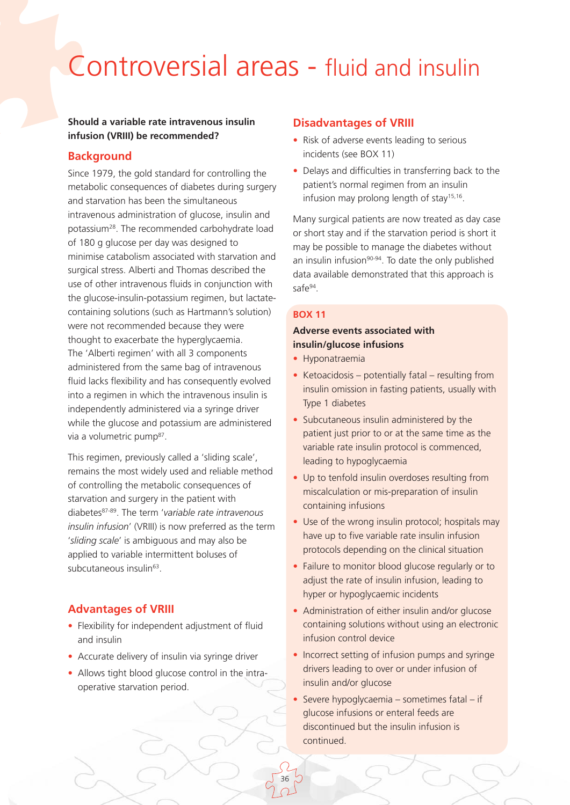# Controversial areas - fluid and insulin

#### **Should a variable rate intravenous insulin infusion (VRIII) be recommended?**

#### **Background**

Since 1979, the gold standard for controlling the metabolic consequences of diabetes during surgery and starvation has been the simultaneous intravenous administration of glucose, insulin and potassium28. The recommended carbohydrate load of 180 g glucose per day was designed to minimise catabolism associated with starvation and surgical stress. Alberti and Thomas described the use of other intravenous fluids in conjunction with the glucose-insulin-potassium regimen, but lactatecontaining solutions (such as Hartmann's solution) were not recommended because they were thought to exacerbate the hyperglycaemia. The 'Alberti regimen' with all 3 components administered from the same bag of intravenous fluid lacks flexibility and has consequently evolved into a regimen in which the intravenous insulin is independently administered via a syringe driver while the glucose and potassium are administered via a volumetric pump<sup>87</sup>.

This regimen, previously called a 'sliding scale', remains the most widely used and reliable method of controlling the metabolic consequences of starvation and surgery in the patient with diabetes87-89. The term '*variable rate intravenous insulin infusion*' (VRIII) is now preferred as the term '*sliding scale*' is ambiguous and may also be applied to variable intermittent boluses of subcutaneous insulin<sup>63</sup>.

### **Advantages of VRIII**

- Flexibility for independent adjustment of fluid and insulin
- Accurate delivery of insulin via syringe driver
- Allows tight blood glucose control in the intraoperative starvation period.

#### **Disadvantages of VRIII**

- Risk of adverse events leading to serious incidents (see BOX 11)
- Delays and difficulties in transferring back to the patient's normal regimen from an insulin infusion may prolong length of stay<sup>15,16</sup>.

Many surgical patients are now treated as day case or short stay and if the starvation period is short it may be possible to manage the diabetes without an insulin infusion<sup>90-94</sup>. To date the only published data available demonstrated that this approach is safe94.

#### **BOX 11**

### **Adverse events associated with insulin/glucose infusions**

- Hyponatraemia
- Ketoacidosis potentially fatal resulting from insulin omission in fasting patients, usually with Type 1 diabetes
- Subcutaneous insulin administered by the patient just prior to or at the same time as the variable rate insulin protocol is commenced, leading to hypoglycaemia
- Up to tenfold insulin overdoses resulting from miscalculation or mis-preparation of insulin containing infusions
- Use of the wrong insulin protocol; hospitals may have up to five variable rate insulin infusion protocols depending on the clinical situation
- Failure to monitor blood glucose regularly or to adjust the rate of insulin infusion, leading to hyper or hypoglycaemic incidents
- Administration of either insulin and/or glucose containing solutions without using an electronic infusion control device
- Incorrect setting of infusion pumps and syringe drivers leading to over or under infusion of insulin and/or glucose
- Severe hypoglycaemia sometimes fatal if glucose infusions or enteral feeds are discontinued but the insulin infusion is continued.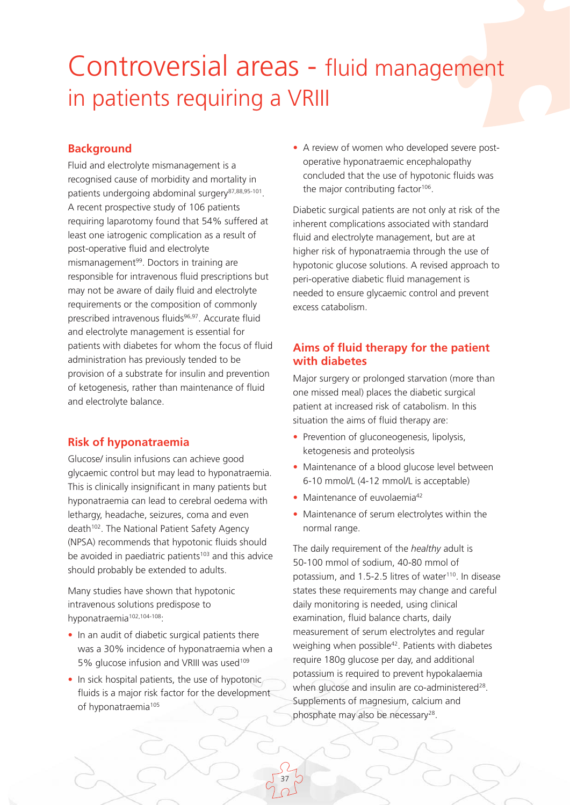## Controversial areas - fluid management in patients requiring a VRIII

### **Background**

Fluid and electrolyte mismanagement is a recognised cause of morbidity and mortality in patients undergoing abdominal surgery<sup>87,88,95-101</sup>. A recent prospective study of 106 patients requiring laparotomy found that 54% suffered at least one iatrogenic complication as a result of post-operative fluid and electrolyte mismanagement<sup>99</sup>. Doctors in training are responsible for intravenous fluid prescriptions but may not be aware of daily fluid and electrolyte requirements or the composition of commonly prescribed intravenous fluids<sup>96,97</sup>. Accurate fluid and electrolyte management is essential for patients with diabetes for whom the focus of fluid administration has previously tended to be provision of a substrate for insulin and prevention of ketogenesis, rather than maintenance of fluid and electrolyte balance.

### **Risk of hyponatraemia**

Glucose/ insulin infusions can achieve good glycaemic control but may lead to hyponatraemia. This is clinically insignificant in many patients but hyponatraemia can lead to cerebral oedema with lethargy, headache, seizures, coma and even death<sup>102</sup>. The National Patient Safety Agency (NPSA) recommends that hypotonic fluids should be avoided in paediatric patients<sup>103</sup> and this advice should probably be extended to adults.

Many studies have shown that hypotonic intravenous solutions predispose to hyponatraemia<sup>102,104-108</sup>:

- In an audit of diabetic surgical patients there was a 30% incidence of hyponatraemia when a 5% glucose infusion and VRIII was used<sup>109</sup>
- In sick hospital patients, the use of hypotonic fluids is a major risk factor for the development of hyponatraemia<sup>105</sup>

• A review of women who developed severe postoperative hyponatraemic encephalopathy concluded that the use of hypotonic fluids was the major contributing factor<sup>106</sup>.

Diabetic surgical patients are not only at risk of the inherent complications associated with standard fluid and electrolyte management, but are at higher risk of hyponatraemia through the use of hypotonic glucose solutions. A revised approach to peri-operative diabetic fluid management is needed to ensure glycaemic control and prevent excess catabolism.

### **Aims of fluid therapy for the patient with diabetes**

Major surgery or prolonged starvation (more than one missed meal) places the diabetic surgical patient at increased risk of catabolism. In this situation the aims of fluid therapy are:

- Prevention of gluconeogenesis, lipolysis, ketogenesis and proteolysis
- Maintenance of a blood glucose level between 6-10 mmol/L (4-12 mmol/L is acceptable)
- Maintenance of euvolaemia<sup>42</sup>

37

• Maintenance of serum electrolytes within the normal range.

The daily requirement of the *healthy* adult is 50-100 mmol of sodium, 40-80 mmol of potassium, and 1.5-2.5 litres of water<sup>110</sup>. In disease states these requirements may change and careful daily monitoring is needed, using clinical examination, fluid balance charts, daily measurement of serum electrolytes and regular weighing when possible<sup>42</sup>. Patients with diabetes require 180g glucose per day, and additional potassium is required to prevent hypokalaemia when glucose and insulin are co-administered<sup>28</sup>. Supplements of magnesium, calcium and phosphate may also be necessary<sup>28</sup>.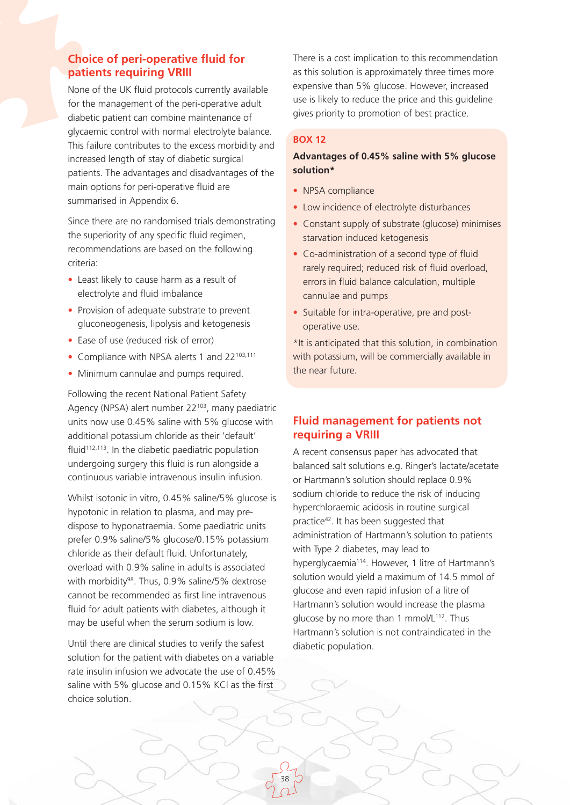### **Choice of peri-operative fluid for patients requiring VRIII**

None of the UK fluid protocols currently available for the management of the peri-operative adult diabetic patient can combine maintenance of glycaemic control with normal electrolyte balance. This failure contributes to the excess morbidity and increased length of stay of diabetic surgical patients. The advantages and disadvantages of the main options for peri-operative fluid are summarised in Appendix 6.

Since there are no randomised trials demonstrating the superiority of any specific fluid regimen, recommendations are based on the following criteria:

- Least likely to cause harm as a result of electrolyte and fluid imbalance
- Provision of adequate substrate to prevent gluconeogenesis, lipolysis and ketogenesis
- Ease of use (reduced risk of error)
- Compliance with NPSA alerts 1 and 22<sup>103,111</sup>
- Minimum cannulae and pumps required.

Following the recent National Patient Safety Agency (NPSA) alert number 22<sup>103</sup>, many paediatric units now use 0.45% saline with 5% glucose with additional potassium chloride as their 'default' fluid<sup>112,113</sup>. In the diabetic paediatric population undergoing surgery this fluid is run alongside a continuous variable intravenous insulin infusion.

Whilst isotonic in vitro, 0.45% saline/5% glucose is hypotonic in relation to plasma, and may predispose to hyponatraemia. Some paediatric units prefer 0.9% saline/5% glucose/0.15% potassium chloride as their default fluid. Unfortunately, overload with 0.9% saline in adults is associated with morbidity<sup>98</sup>. Thus, 0.9% saline/5% dextrose cannot be recommended as first line intravenous fluid for adult patients with diabetes, although it may be useful when the serum sodium is low.

Until there are clinical studies to verify the safest solution for the patient with diabetes on a variable rate insulin infusion we advocate the use of 0.45% saline with 5% glucose and 0.15% KCl as the first choice solution.

There is a cost implication to this recommendation as this solution is approximately three times more expensive than 5% glucose. However, increased use is likely to reduce the price and this guideline gives priority to promotion of best practice.

#### **BOX 12**

#### **Advantages of 0.45% saline with 5% glucose solution\***

- NPSA compliance
- Low incidence of electrolyte disturbances
- Constant supply of substrate (glucose) minimises starvation induced ketogenesis
- Co-administration of a second type of fluid rarely required; reduced risk of fluid overload, errors in fluid balance calculation, multiple cannulae and pumps
- Suitable for intra-operative, pre and postoperative use.

\*It is anticipated that this solution, in combination with potassium, will be commercially available in the near future.

### **Fluid management for patients not requiring a VRIII**

A recent consensus paper has advocated that balanced salt solutions e.g. Ringer's lactate/acetate or Hartmann's solution should replace 0.9% sodium chloride to reduce the risk of inducing hyperchloraemic acidosis in routine surgical practice42. It has been suggested that administration of Hartmann's solution to patients with Type 2 diabetes, may lead to hyperglycaemia<sup>114</sup>. However, 1 litre of Hartmann's solution would yield a maximum of 14.5 mmol of glucose and even rapid infusion of a litre of Hartmann's solution would increase the plasma glucose by no more than 1 mmol/L<sup>112</sup>. Thus Hartmann's solution is not contraindicated in the diabetic population.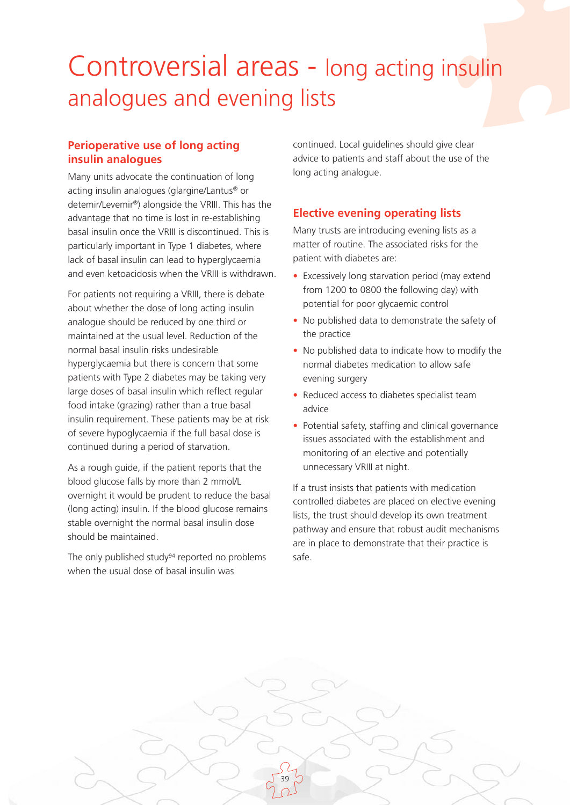## Controversial areas - long acting insulin analogues and evening lists

39

### **Perioperative use of long acting insulin analogues**

Many units advocate the continuation of long acting insulin analogues (glargine/Lantus® or detemir/Levemir®) alongside the VRIII. This has the advantage that no time is lost in re-establishing basal insulin once the VRIII is discontinued. This is particularly important in Type 1 diabetes, where lack of basal insulin can lead to hyperglycaemia and even ketoacidosis when the VRIII is withdrawn.

For patients not requiring a VRIII, there is debate about whether the dose of long acting insulin analogue should be reduced by one third or maintained at the usual level. Reduction of the normal basal insulin risks undesirable hyperglycaemia but there is concern that some patients with Type 2 diabetes may be taking very large doses of basal insulin which reflect regular food intake (grazing) rather than a true basal insulin requirement. These patients may be at risk of severe hypoglycaemia if the full basal dose is continued during a period of starvation.

As a rough guide, if the patient reports that the blood glucose falls by more than 2 mmol/L overnight it would be prudent to reduce the basal (long acting) insulin. If the blood glucose remains stable overnight the normal basal insulin dose should be maintained.

The only published study<sup>94</sup> reported no problems when the usual dose of basal insulin was

continued. Local guidelines should give clear advice to patients and staff about the use of the long acting analogue.

### **Elective evening operating lists**

Many trusts are introducing evening lists as a matter of routine. The associated risks for the patient with diabetes are:

- Excessively long starvation period (may extend from 1200 to 0800 the following day) with potential for poor glycaemic control
- No published data to demonstrate the safety of the practice
- No published data to indicate how to modify the normal diabetes medication to allow safe evening surgery
- Reduced access to diabetes specialist team advice
- Potential safety, staffing and clinical governance issues associated with the establishment and monitoring of an elective and potentially unnecessary VRIII at night.

If a trust insists that patients with medication controlled diabetes are placed on elective evening lists, the trust should develop its own treatment pathway and ensure that robust audit mechanisms are in place to demonstrate that their practice is safe.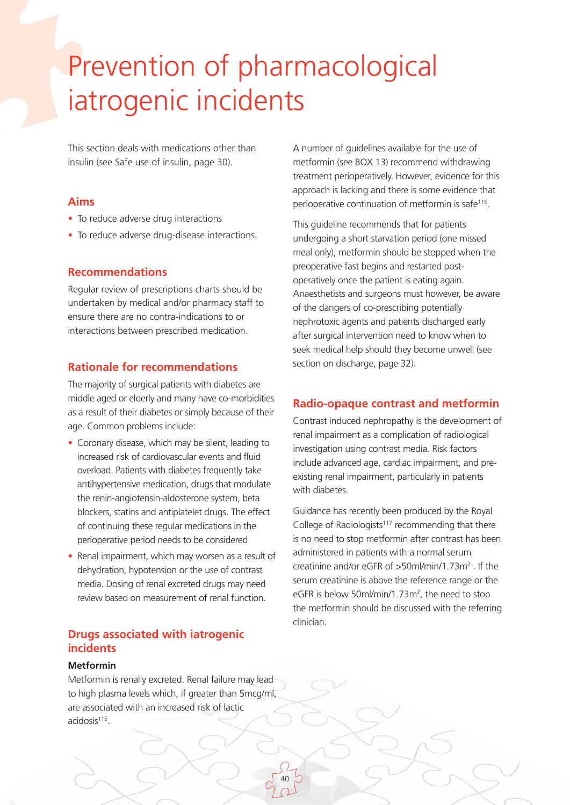# Prevention of pharmacological iatrogenic incidents

This section deals with medications other than insulin (see Safe use of insulin, page 30).

#### **Aims**

- To reduce adverse drug interactions
- To reduce adverse drug-disease interactions.

### **Recommendations**

Regular review of prescriptions charts should be undertaken by medical and/or pharmacy staff to ensure there are no contra-indications to or interactions between prescribed medication.

### **Rationale for recommendations**

The majority of surgical patients with diabetes are middle aged or elderly and many have co-morbidities as a result of their diabetes or simply because of their age. Common problems include:

- Coronary disease, which may be silent, leading to increased risk of cardiovascular events and fluid overload. Patients with diabetes frequently take antihypertensive medication, drugs that modulate the renin-angiotensin-aldosterone system, beta blockers, statins and antiplatelet drugs. The effect of continuing these regular medications in the perioperative period needs to be considered
- Renal impairment, which may worsen as a result of dehydration, hypotension or the use of contrast media. Dosing of renal excreted drugs may need review based on measurement of renal function.

### **Drugs associated with iatrogenic incidents**

#### **Metformin**

Metformin is renally excreted. Renal failure may lead to high plasma levels which, if greater than 5mcg/ml, are associated with an increased risk of lactic acidosis<sup>115</sup>.

A number of guidelines available for the use of metformin (see BOX 13) recommend withdrawing treatment perioperatively. However, evidence for this approach is lacking and there is some evidence that perioperative continuation of metformin is safe116.

This guideline recommends that for patients undergoing a short starvation period (one missed meal only), metformin should be stopped when the preoperative fast begins and restarted postoperatively once the patient is eating again. Anaesthetists and surgeons must however, be aware of the dangers of co-prescribing potentially nephrotoxic agents and patients discharged early after surgical intervention need to know when to seek medical help should they become unwell (see section on discharge, page 32).

### **Radio-opaque contrast and metformin**

Contrast induced nephropathy is the development of renal impairment as a complication of radiological investigation using contrast media. Risk factors include advanced age, cardiac impairment, and preexisting renal impairment, particularly in patients with diabetes.

Guidance has recently been produced by the Royal College of Radiologists<sup>117</sup> recommending that there is no need to stop metformin after contrast has been administered in patients with a normal serum creatinine and/or eGFR of >50ml/min/1.73m2 . If the serum creatinine is above the reference range or the eGFR is below 50ml/min/1.73m<sup>2</sup>, the need to stop the metformin should be discussed with the referring clinician.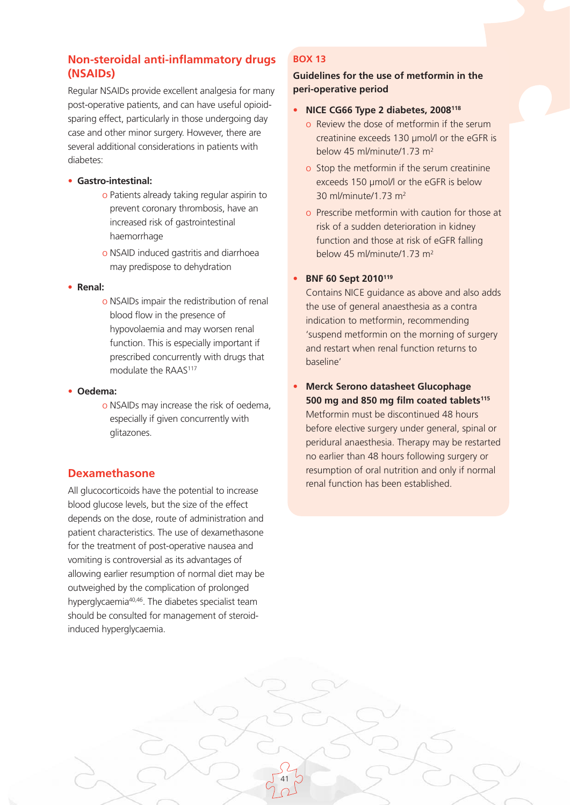### **Non-steroidal anti-inflammatory drugs (NSAIDs)**

Regular NSAIDs provide excellent analgesia for many post-operative patients, and can have useful opioidsparing effect, particularly in those undergoing day case and other minor surgery. However, there are several additional considerations in patients with diabetes:

- **Gastro-intestinal:**
	- o Patients already taking regular aspirin to prevent coronary thrombosis, have an increased risk of gastrointestinal haemorrhage
	- o NSAID induced gastritis and diarrhoea may predispose to dehydration

#### • **Renal:**

o NSAIDs impair the redistribution of renal blood flow in the presence of hypovolaemia and may worsen renal function. This is especially important if prescribed concurrently with drugs that modulate the RAAS<sup>117</sup>

#### • **Oedema:**

o NSAIDs may increase the risk of oedema, especially if given concurrently with glitazones.

### **Dexamethasone**

All glucocorticoids have the potential to increase blood glucose levels, but the size of the effect depends on the dose, route of administration and patient characteristics. The use of dexamethasone for the treatment of post-operative nausea and vomiting is controversial as its advantages of allowing earlier resumption of normal diet may be outweighed by the complication of prolonged hyperglycaemia<sup>40,46</sup>. The diabetes specialist team should be consulted for management of steroidinduced hyperglycaemia.

### **BOX 13**

**Guidelines for the use of metformin in the peri-operative period**

- **NICE CG66 Type 2 diabetes, 2008118**
	- o Review the dose of metformin if the serum creatinine exceeds 130 µmol/l or the eGFR is below 45 ml/minute/1.73 m2
	- o Stop the metformin if the serum creatinine exceeds 150 µmol/l or the eGFR is below 30 ml/minute/1.73 m2
	- o Prescribe metformin with caution for those at risk of a sudden deterioration in kidney function and those at risk of eGFR falling below 45 ml/minute/1.73 m2

### • **BNF 60 Sept 2010119**

41

Contains NICE guidance as above and also adds the use of general anaesthesia as a contra indication to metformin, recommending 'suspend metformin on the morning of surgery and restart when renal function returns to baseline'

• **Merck Serono datasheet Glucophage**  500 mg and 850 mg film coated tablets<sup>115</sup> Metformin must be discontinued 48 hours before elective surgery under general, spinal or peridural anaesthesia. Therapy may be restarted no earlier than 48 hours following surgery or resumption of oral nutrition and only if normal renal function has been established.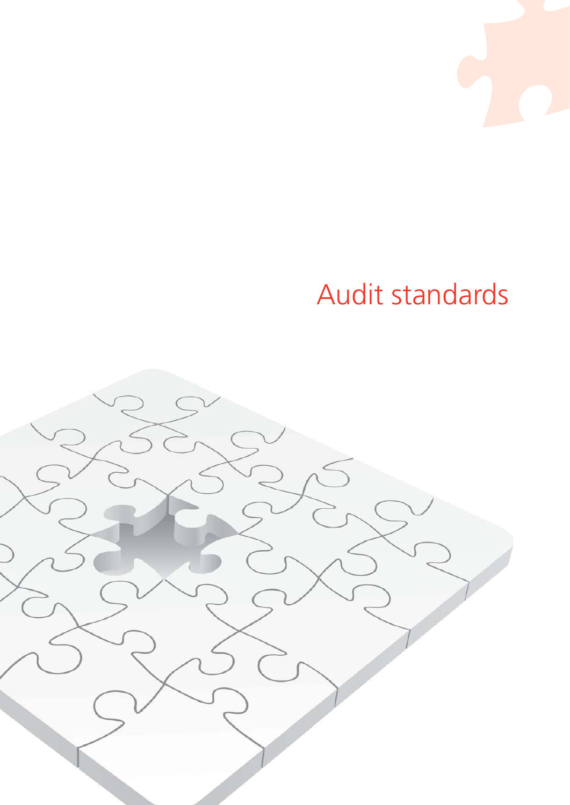# Audit standards

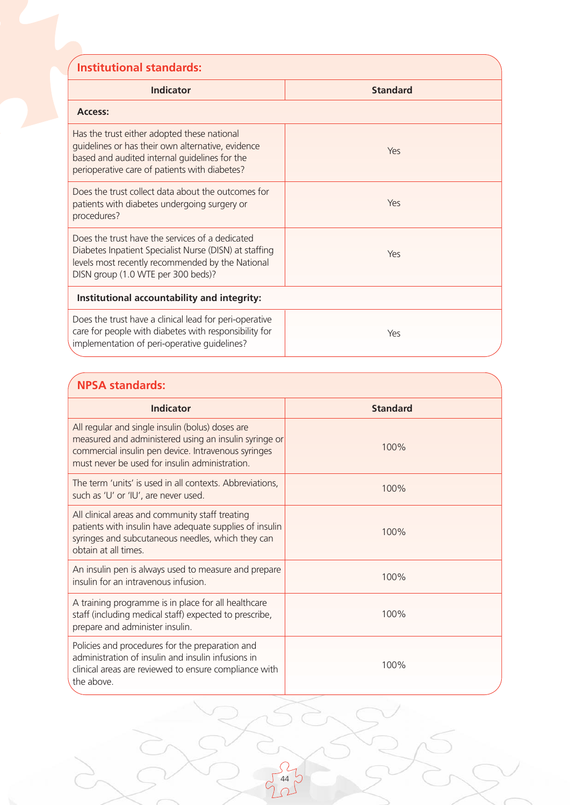| <b>Institutional standards:</b>                                                                                                                                                                     |                 |  |  |
|-----------------------------------------------------------------------------------------------------------------------------------------------------------------------------------------------------|-----------------|--|--|
| <b>Indicator</b>                                                                                                                                                                                    | <b>Standard</b> |  |  |
| Access:                                                                                                                                                                                             |                 |  |  |
| Has the trust either adopted these national<br>guidelines or has their own alternative, evidence<br>based and audited internal guidelines for the<br>perioperative care of patients with diabetes?  | Yes             |  |  |
| Does the trust collect data about the outcomes for<br>patients with diabetes undergoing surgery or<br>procedures?                                                                                   | Yes             |  |  |
| Does the trust have the services of a dedicated<br>Diabetes Inpatient Specialist Nurse (DISN) at staffing<br>levels most recently recommended by the National<br>DISN group (1.0 WTE per 300 beds)? | Yes             |  |  |
| Institutional accountability and integrity:                                                                                                                                                         |                 |  |  |
| Does the trust have a clinical lead for peri-operative<br>care for people with diabetes with responsibility for<br>implementation of peri-operative guidelines?                                     | Yes             |  |  |

### **NPSA standards:**

| Indicator                                                                                                                                                                                                          | <b>Standard</b> |  |  |
|--------------------------------------------------------------------------------------------------------------------------------------------------------------------------------------------------------------------|-----------------|--|--|
| All regular and single insulin (bolus) doses are<br>measured and administered using an insulin syringe or<br>commercial insulin pen device. Intravenous syringes<br>must never be used for insulin administration. | 100%            |  |  |
| The term 'units' is used in all contexts. Abbreviations,<br>such as 'U' or 'IU', are never used.                                                                                                                   | 100%            |  |  |
| All clinical areas and community staff treating<br>patients with insulin have adequate supplies of insulin<br>syringes and subcutaneous needles, which they can<br>obtain at all times.                            | 100%            |  |  |
| An insulin pen is always used to measure and prepare<br>insulin for an intravenous infusion.                                                                                                                       | 100%            |  |  |
| A training programme is in place for all healthcare<br>staff (including medical staff) expected to prescribe,<br>prepare and administer insulin.                                                                   | 100%            |  |  |
| Policies and procedures for the preparation and<br>administration of insulin and insulin infusions in<br>clinical areas are reviewed to ensure compliance with<br>the above.                                       | 100%            |  |  |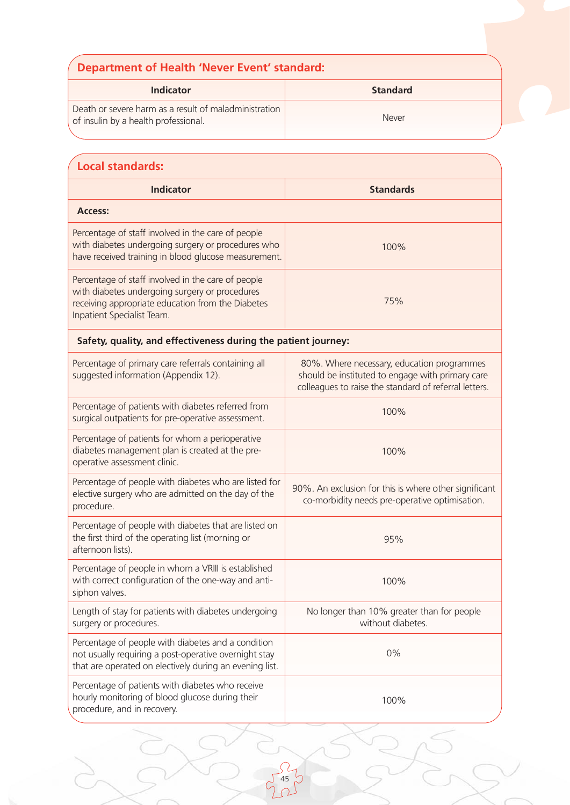| <b>Department of Health 'Never Event' standard:</b>                                           |                 |  |
|-----------------------------------------------------------------------------------------------|-----------------|--|
| Indicator                                                                                     | <b>Standard</b> |  |
| Death or severe harm as a result of maladministration<br>of insulin by a health professional. | Never           |  |

| <b>Local standards:</b>                                                                                                                                                                 |                                                                                                                                                         |  |  |
|-----------------------------------------------------------------------------------------------------------------------------------------------------------------------------------------|---------------------------------------------------------------------------------------------------------------------------------------------------------|--|--|
| <b>Indicator</b>                                                                                                                                                                        | <b>Standards</b>                                                                                                                                        |  |  |
| <b>Access:</b>                                                                                                                                                                          |                                                                                                                                                         |  |  |
| Percentage of staff involved in the care of people<br>with diabetes undergoing surgery or procedures who<br>have received training in blood glucose measurement.                        | 100%                                                                                                                                                    |  |  |
| Percentage of staff involved in the care of people<br>with diabetes undergoing surgery or procedures<br>receiving appropriate education from the Diabetes<br>Inpatient Specialist Team. | 75%                                                                                                                                                     |  |  |
| Safety, quality, and effectiveness during the patient journey:                                                                                                                          |                                                                                                                                                         |  |  |
| Percentage of primary care referrals containing all<br>suggested information (Appendix 12).                                                                                             | 80%. Where necessary, education programmes<br>should be instituted to engage with primary care<br>colleagues to raise the standard of referral letters. |  |  |
| Percentage of patients with diabetes referred from<br>surgical outpatients for pre-operative assessment.                                                                                | 100%                                                                                                                                                    |  |  |
| Percentage of patients for whom a perioperative<br>diabetes management plan is created at the pre-<br>operative assessment clinic.                                                      | 100%                                                                                                                                                    |  |  |
| Percentage of people with diabetes who are listed for<br>elective surgery who are admitted on the day of the<br>procedure.                                                              | 90%. An exclusion for this is where other significant<br>co-morbidity needs pre-operative optimisation.                                                 |  |  |
| Percentage of people with diabetes that are listed on<br>the first third of the operating list (morning or<br>afternoon lists).                                                         | 95%                                                                                                                                                     |  |  |
| Percentage of people in whom a VRIII is established<br>with correct configuration of the one-way and anti-<br>siphon valves.                                                            | 100%                                                                                                                                                    |  |  |
| Length of stay for patients with diabetes undergoing<br>surgery or procedures.                                                                                                          | No longer than 10% greater than for people<br>without diabetes.                                                                                         |  |  |
| Percentage of people with diabetes and a condition<br>not usually requiring a post-operative overnight stay<br>that are operated on electively during an evening list.                  | 0%                                                                                                                                                      |  |  |
| Percentage of patients with diabetes who receive<br>hourly monitoring of blood glucose during their<br>procedure, and in recovery.                                                      | 100%                                                                                                                                                    |  |  |

 $\begin{array}{c} 2 \\ 45 \\ 1 \end{array}$ 

 $\frac{1}{\sqrt{2}}$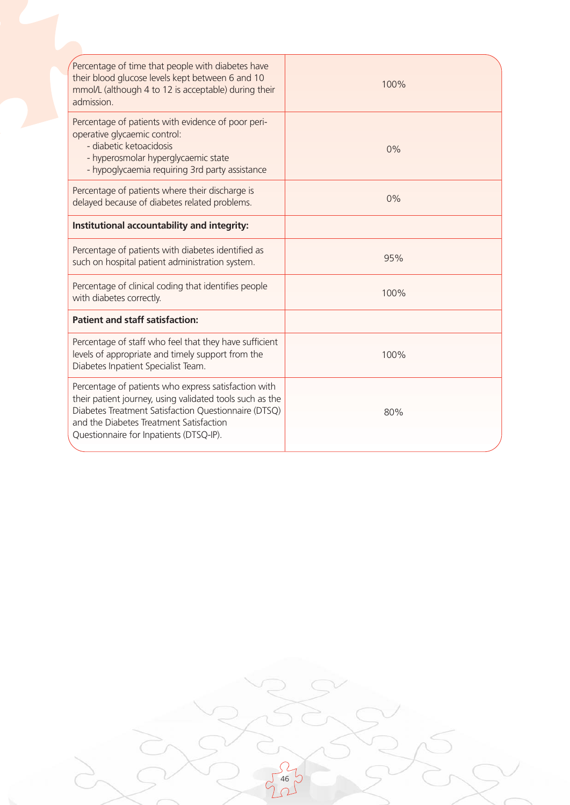| Percentage of time that people with diabetes have<br>their blood glucose levels kept between 6 and 10<br>mmol/L (although 4 to 12 is acceptable) during their<br>admission.                                                                                    | 100% |
|----------------------------------------------------------------------------------------------------------------------------------------------------------------------------------------------------------------------------------------------------------------|------|
| Percentage of patients with evidence of poor peri-<br>operative glycaemic control:<br>- diabetic ketoacidosis<br>- hyperosmolar hyperglycaemic state<br>- hypoglycaemia requiring 3rd party assistance                                                         | 0%   |
| Percentage of patients where their discharge is<br>delayed because of diabetes related problems.                                                                                                                                                               | 0%   |
| Institutional accountability and integrity:                                                                                                                                                                                                                    |      |
| Percentage of patients with diabetes identified as<br>such on hospital patient administration system.                                                                                                                                                          | 95%  |
| Percentage of clinical coding that identifies people<br>with diabetes correctly.                                                                                                                                                                               | 100% |
| <b>Patient and staff satisfaction:</b>                                                                                                                                                                                                                         |      |
| Percentage of staff who feel that they have sufficient<br>levels of appropriate and timely support from the<br>Diabetes Inpatient Specialist Team.                                                                                                             | 100% |
| Percentage of patients who express satisfaction with<br>their patient journey, using validated tools such as the<br>Diabetes Treatment Satisfaction Questionnaire (DTSQ)<br>and the Diabetes Treatment Satisfaction<br>Questionnaire for Inpatients (DTSQ-IP). | 80%  |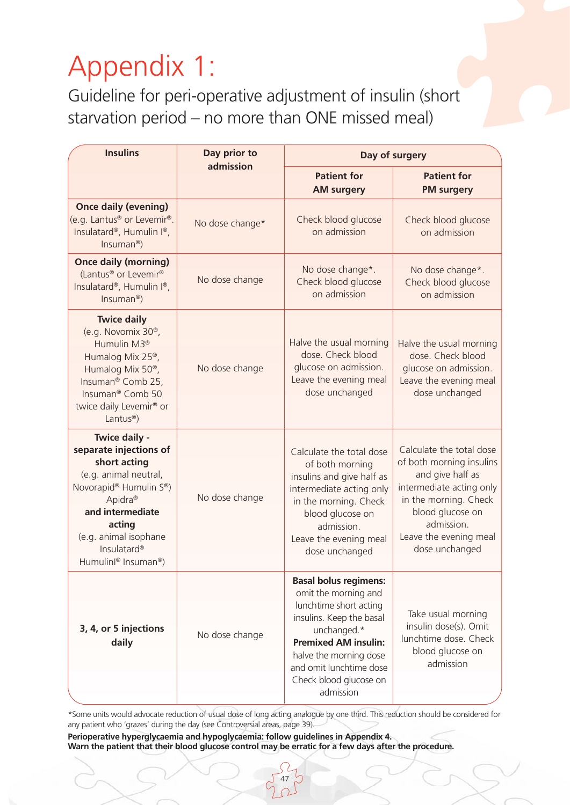# Appendix 1:

Guideline for peri-operative adjustment of insulin (short starvation period – no more than ONE missed meal)

| <b>Insulins</b>                                                                                                                                                                                                                                                                     | Day prior to<br>admission |                                                                                                                                                                                                                                                      | Day of surgery                                                                                                                                                                                              |  |
|-------------------------------------------------------------------------------------------------------------------------------------------------------------------------------------------------------------------------------------------------------------------------------------|---------------------------|------------------------------------------------------------------------------------------------------------------------------------------------------------------------------------------------------------------------------------------------------|-------------------------------------------------------------------------------------------------------------------------------------------------------------------------------------------------------------|--|
|                                                                                                                                                                                                                                                                                     |                           | <b>Patient for</b><br><b>AM surgery</b>                                                                                                                                                                                                              | <b>Patient for</b><br><b>PM surgery</b>                                                                                                                                                                     |  |
| <b>Once daily (evening)</b><br>(e.g. Lantus <sup>®</sup> or Levemir®.<br>Insulatard®, Humulin I®,<br>$Insuman®$ )                                                                                                                                                                   | No dose change*           | Check blood glucose<br>on admission                                                                                                                                                                                                                  | Check blood glucose<br>on admission                                                                                                                                                                         |  |
| <b>Once daily (morning)</b><br>(Lantus <sup>®</sup> or Levemir <sup>®</sup><br>Insulatard®, Humulin I®,<br>$Insuman®$ )                                                                                                                                                             | No dose change            | No dose change*.<br>Check blood glucose<br>on admission                                                                                                                                                                                              | No dose change*.<br>Check blood glucose<br>on admission                                                                                                                                                     |  |
| <b>Twice daily</b><br>(e.g. Novomix 30 <sup>®</sup> ,<br>Humulin M3 <sup>®</sup><br>Humalog Mix 25 <sup>®</sup> ,<br>Humalog Mix 50 <sup>®</sup> ,<br>Insuman <sup>®</sup> Comb 25,<br>Insuman <sup>®</sup> Comb 50<br>twice daily Levemir <sup>®</sup> or<br>Lantus <sup>®</sup> ) | No dose change            | Halve the usual morning<br>dose. Check blood<br>glucose on admission.<br>Leave the evening meal<br>dose unchanged                                                                                                                                    | Halve the usual morning<br>dose. Check blood<br>glucose on admission.<br>Leave the evening meal<br>dose unchanged                                                                                           |  |
| Twice daily -<br>separate injections of<br>short acting<br>(e.g. animal neutral,<br>Novorapid® Humulin S®)<br>Apidra <sup>®</sup><br>and intermediate<br>acting<br>(e.g. animal isophane<br>Insulatard <sup>®</sup><br>Humulinl® Insuman®)                                          | No dose change            | Calculate the total dose<br>of both morning<br>insulins and give half as<br>intermediate acting only<br>in the morning. Check<br>blood glucose on<br>admission.<br>Leave the evening meal<br>dose unchanged                                          | Calculate the total dose<br>of both morning insulins<br>and give half as<br>intermediate acting only<br>in the morning. Check<br>blood glucose on<br>admission.<br>Leave the evening meal<br>dose unchanged |  |
| 3, 4, or 5 injections<br>daily                                                                                                                                                                                                                                                      | No dose change            | <b>Basal bolus regimens:</b><br>omit the morning and<br>lunchtime short acting<br>insulins. Keep the basal<br>unchanged.*<br><b>Premixed AM insulin:</b><br>halve the morning dose<br>and omit lunchtime dose<br>Check blood glucose on<br>admission | Take usual morning<br>insulin dose(s). Omit<br>lunchtime dose. Check<br>blood glucose on<br>admission                                                                                                       |  |

\*Some units would advocate reduction of usual dose of long acting analogue by one third. This reduction should be considered for any patient who 'grazes' during the day (see Controversial areas, page 39).

47

**Perioperative hyperglycaemia and hypoglycaemia: follow guidelines in Appendix 4. Warn the patient that their blood glucose control may be erratic for a few days after the procedure.**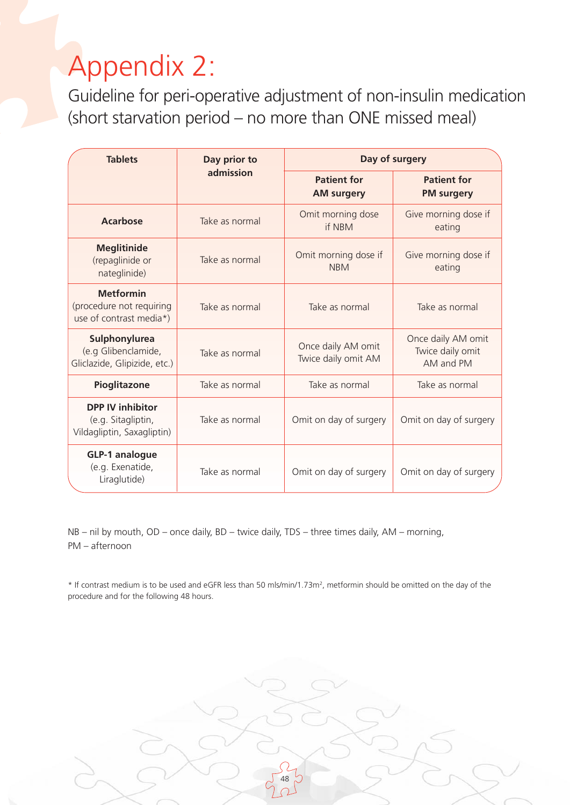# Appendix 2:

Guideline for peri-operative adjustment of non-insulin medication (short starvation period – no more than ONE missed meal)

| <b>Tablets</b>                                                              | Day prior to   |                                           | Day of surgery                                      |
|-----------------------------------------------------------------------------|----------------|-------------------------------------------|-----------------------------------------------------|
|                                                                             | admission      | <b>Patient for</b><br><b>AM surgery</b>   | <b>Patient for</b><br><b>PM surgery</b>             |
| <b>Acarbose</b>                                                             | Take as normal | Omit morning dose<br>if NBM               | Give morning dose if<br>eating                      |
| <b>Meglitinide</b><br>(repaglinide or<br>nateglinide)                       | Take as normal | Omit morning dose if<br><b>NBM</b>        | Give morning dose if<br>eating                      |
| <b>Metformin</b><br>(procedure not requiring<br>use of contrast media*)     | Take as normal | Take as normal                            | Take as normal                                      |
| Sulphonylurea<br>(e.g Glibenclamide,<br>Gliclazide, Glipizide, etc.)        | Take as normal | Once daily AM omit<br>Twice daily omit AM | Once daily AM omit<br>Twice daily omit<br>AM and PM |
| Pioglitazone                                                                | Take as normal | Take as normal                            | Take as normal                                      |
| <b>DPP IV inhibitor</b><br>(e.g. Sitagliptin,<br>Vildagliptin, Saxagliptin) | Take as normal | Omit on day of surgery                    | Omit on day of surgery                              |
| <b>GLP-1 analogue</b><br>(e.g. Exenatide,<br>Liraglutide)                   | Take as normal | Omit on day of surgery                    | Omit on day of surgery                              |

NB – nil by mouth, OD – once daily, BD – twice daily, TDS – three times daily, AM – morning, PM – afternoon

\* If contrast medium is to be used and eGFR less than 50 mls/min/1.73m2, metformin should be omitted on the day of the procedure and for the following 48 hours.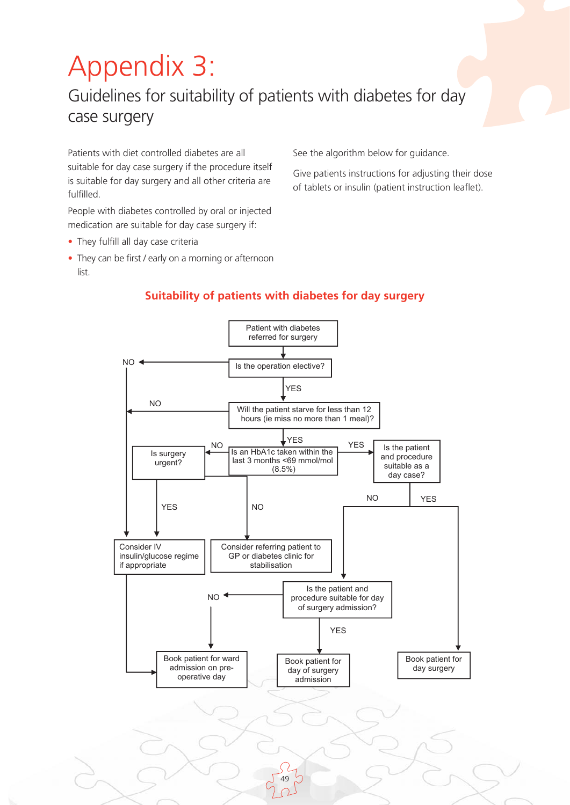# Appendix 3:

## Guidelines for suitability of patients with diabetes for day case surgery

Patients with diet controlled diabetes are all suitable for day case surgery if the procedure itself is suitable for day surgery and all other criteria are fulfilled.

People with diabetes controlled by oral or injected medication are suitable for day case surgery if:

- They fulfill all day case criteria
- They can be first / early on a morning or afternoon list.

See the algorithm below for guidance.

Give patients instructions for adjusting their dose of tablets or insulin (patient instruction leaflet).

#### 49 NO YES Patient with diabetes referred for surgery Consider IV insulin/glucose regime if appropriate Is the operation elective? Is the patient and procedure suitable for day of surgery admission? YES NO NO YES Will the patient starve for less than 12 hours (ie miss no more than 1 meal)? NO Consider referring patient to GP or diabetes clinic for stabilisation Is the patient and procedure suitable as a day case? YES Is surgery urgent? NO YES  $N<sub>O</sub>$ Book patient for day surgery Book patient for ward admission on preoperative day Book patient for day of surgery admission YES Is an HbA1c taken within the last 3 months <69 mmol/mol (8.5%)

### **Suitability of patients with diabetes for day surgery**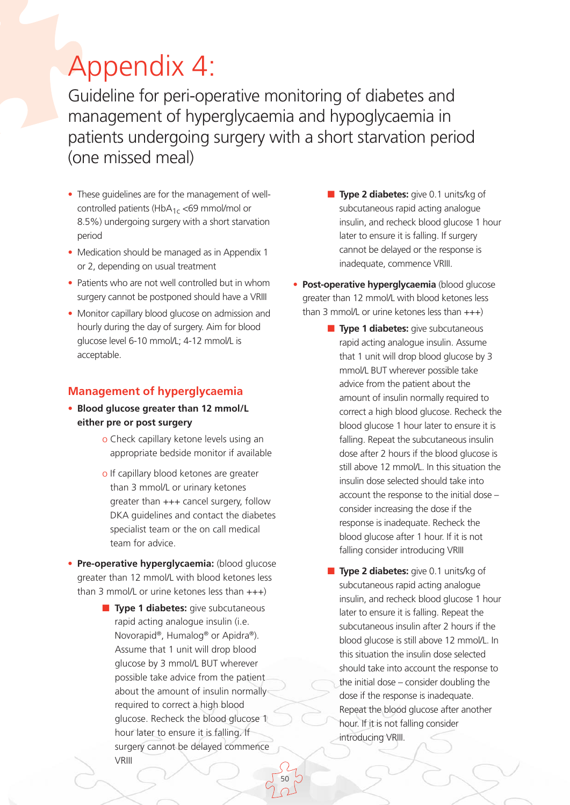## Appendix 4:

Guideline for peri-operative monitoring of diabetes and management of hyperglycaemia and hypoglycaemia in patients undergoing surgery with a short starvation period (one missed meal)

- These quidelines are for the management of wellcontrolled patients (HbA $_{1c}$  <69 mmol/mol or 8.5%) undergoing surgery with a short starvation period
- Medication should be managed as in Appendix 1 or 2, depending on usual treatment
- Patients who are not well controlled but in whom surgery cannot be postponed should have a VRIII
- Monitor capillary blood glucose on admission and hourly during the day of surgery. Aim for blood glucose level 6-10 mmol/L; 4-12 mmol/L is acceptable.

### **Management of hyperglycaemia**

- **Blood glucose greater than 12 mmol/L either pre or post surgery**
	- o Check capillary ketone levels using an appropriate bedside monitor if available
	- o If capillary blood ketones are greater than 3 mmol/L or urinary ketones greater than +++ cancel surgery, follow DKA guidelines and contact the diabetes specialist team or the on call medical team for advice.
- **Pre-operative hyperglycaemia:** (blood glucose greater than 12 mmol/L with blood ketones less than 3 mmol/L or urine ketones less than  $+++)$ 
	- **Type 1 diabetes:** give subcutaneous rapid acting analogue insulin (i.e. Novorapid®, Humalog® or Apidra®). Assume that 1 unit will drop blood glucose by 3 mmol/L BUT wherever possible take advice from the patient about the amount of insulin normally required to correct a high blood glucose. Recheck the blood glucose 1 hour later to ensure it is falling. If surgery cannot be delayed commence VRIII

- **Type 2 diabetes:** give 0.1 units/kg of subcutaneous rapid acting analogue insulin, and recheck blood glucose 1 hour later to ensure it is falling. If surgery cannot be delayed or the response is inadequate, commence VRIII.
- **Post-operative hyperglycaemia** (blood glucose greater than 12 mmol/L with blood ketones less than 3 mmol/L or urine ketones less than  $+++)$ 
	- **Type 1 diabetes:** give subcutaneous rapid acting analogue insulin. Assume that 1 unit will drop blood glucose by 3 mmol/L BUT wherever possible take advice from the patient about the amount of insulin normally required to correct a high blood glucose. Recheck the blood glucose 1 hour later to ensure it is falling. Repeat the subcutaneous insulin dose after 2 hours if the blood glucose is still above 12 mmol/L. In this situation the insulin dose selected should take into account the response to the initial dose – consider increasing the dose if the response is inadequate. Recheck the blood glucose after 1 hour. If it is not falling consider introducing VRIII
		- **Type 2 diabetes:** give 0.1 units/kg of subcutaneous rapid acting analogue insulin, and recheck blood glucose 1 hour later to ensure it is falling. Repeat the subcutaneous insulin after 2 hours if the blood glucose is still above 12 mmol/L. In this situation the insulin dose selected should take into account the response to the initial dose – consider doubling the dose if the response is inadequate. Repeat the blood glucose after another hour. If it is not falling consider introducing VRIII.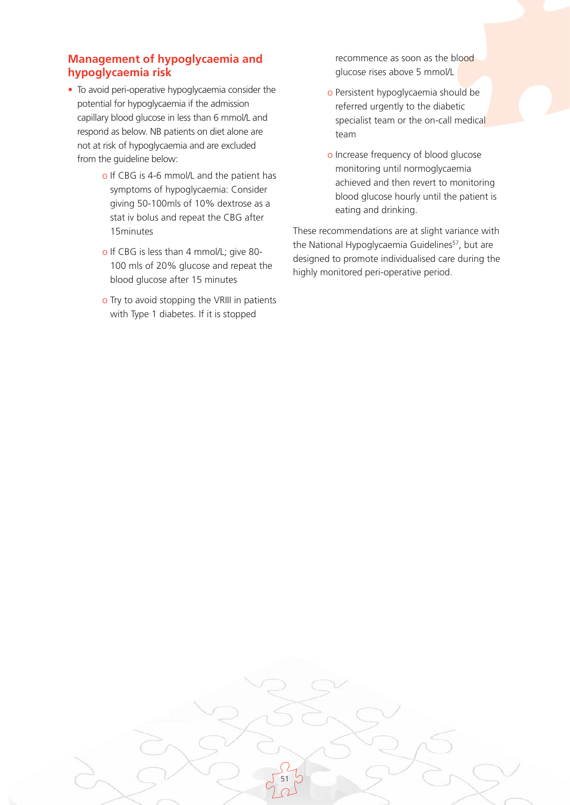### **Management of hypoglycaemia and hypoglycaemia risk**

- To avoid peri-operative hypoglycaemia consider the potential for hypoglycaemia if the admission capillary blood glucose in less than 6 mmol/L and respond as below. NB patients on diet alone are not at risk of hypoglycaemia and are excluded from the guideline below:
	- o If CBG is 4-6 mmol/L and the patient has symptoms of hypoglycaemia: Consider giving 50-100mls of 10% dextrose as a stat iv bolus and repeat the CBG after 15minutes
	- o If CBG is less than 4 mmol/L; give 80- 100 mls of 20% glucose and repeat the blood glucose after 15 minutes
	- o Try to avoid stopping the VRIII in patients with Type 1 diabetes. If it is stopped

recommence as soon as the blood glucose rises above 5 mmol/L

- o Persistent hypoglycaemia should be referred urgently to the diabetic specialist team or the on-call medical team
- o Increase frequency of blood glucose monitoring until normoglycaemia achieved and then revert to monitoring blood glucose hourly until the patient is eating and drinking.

These recommendations are at slight variance with the National Hypoglycaemia Guidelines<sup>57</sup>, but are designed to promote individualised care during the highly monitored peri-operative period.

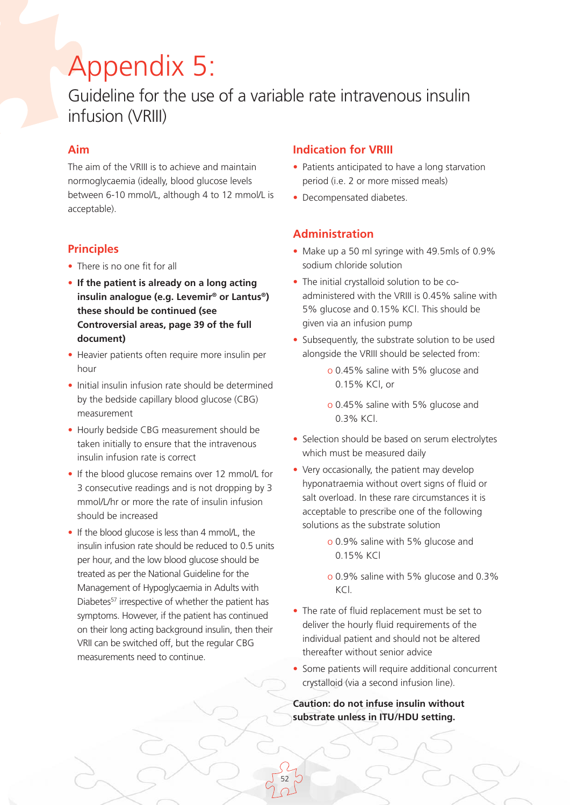# Appendix 5:

### Guideline for the use of a variable rate intravenous insulin infusion (VRIII)

### **Aim**

The aim of the VRIII is to achieve and maintain normoglycaemia (ideally, blood glucose levels between 6-10 mmol/L, although 4 to 12 mmol/L is acceptable).

### **Principles**

- There is no one fit for all
- **If the patient is already on a long acting insulin analogue (e.g. Levemir® or Lantus®) these should be continued (see Controversial areas, page 39 of the full document)**
- Heavier patients often require more insulin per hour
- Initial insulin infusion rate should be determined by the bedside capillary blood glucose (CBG) measurement
- Hourly bedside CBG measurement should be taken initially to ensure that the intravenous insulin infusion rate is correct
- If the blood glucose remains over 12 mmol/L for 3 consecutive readings and is not dropping by 3 mmol/L/hr or more the rate of insulin infusion should be increased
- If the blood glucose is less than 4 mmol/L, the insulin infusion rate should be reduced to 0.5 units per hour, and the low blood glucose should be treated as per the National Guideline for the Management of Hypoglycaemia in Adults with Diabetes<sup>57</sup> irrespective of whether the patient has symptoms. However, if the patient has continued on their long acting background insulin, then their VRII can be switched off, but the regular CBG measurements need to continue.

### **Indication for VRIII**

- Patients anticipated to have a long starvation period (i.e. 2 or more missed meals)
- Decompensated diabetes.

### **Administration**

- Make up a 50 ml syringe with 49.5mls of 0.9% sodium chloride solution
- The initial crystalloid solution to be coadministered with the VRIII is 0.45% saline with 5% glucose and 0.15% KCl. This should be given via an infusion pump
- Subsequently, the substrate solution to be used alongside the VRIII should be selected from:
	- o 0.45% saline with 5% glucose and 0.15% KCl, or
	- o 0.45% saline with 5% glucose and 0.3% KCl.
- Selection should be based on serum electrolytes which must be measured daily
- Very occasionally, the patient may develop hyponatraemia without overt signs of fluid or salt overload. In these rare circumstances it is acceptable to prescribe one of the following solutions as the substrate solution
	- o 0.9% saline with 5% glucose and 0.15% KCl
	- o 0.9% saline with 5% glucose and 0.3% KCl.
- The rate of fluid replacement must be set to deliver the hourly fluid requirements of the individual patient and should not be altered thereafter without senior advice
- Some patients will require additional concurrent crystalloid (via a second infusion line).

**Caution: do not infuse insulin without substrate unless in ITU/HDU setting.**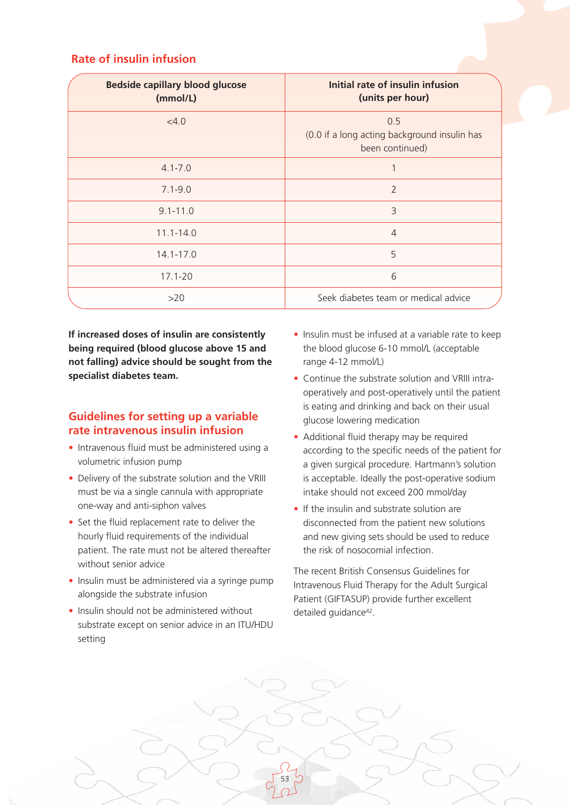### **Rate of insulin infusion**

| <b>Bedside capillary blood glucose</b><br>(mmol/L) | Initial rate of insulin infusion<br>(units per hour)                   |
|----------------------------------------------------|------------------------------------------------------------------------|
| <4.0                                               | 0.5<br>(0.0 if a long acting background insulin has<br>been continued) |
| $4.1 - 7.0$                                        |                                                                        |
| $7.1 - 9.0$                                        | $\overline{2}$                                                         |
| $9.1 - 11.0$                                       | 3                                                                      |
| $11.1 - 14.0$                                      | $\overline{4}$                                                         |
| $14.1 - 17.0$                                      | 5                                                                      |
| $17.1 - 20$                                        | 6                                                                      |
| >20                                                | Seek diabetes team or medical advice                                   |

**If increased doses of insulin are consistently being required (blood glucose above 15 and not falling) advice should be sought from the specialist diabetes team.**

### **Guidelines for setting up a variable rate intravenous insulin infusion**

- Intravenous fluid must be administered using a volumetric infusion pump
- Delivery of the substrate solution and the VRIII must be via a single cannula with appropriate one-way and anti-siphon valves
- Set the fluid replacement rate to deliver the hourly fluid requirements of the individual patient. The rate must not be altered thereafter without senior advice
- Insulin must be administered via a syringe pump alongside the substrate infusion
- Insulin should not be administered without substrate except on senior advice in an ITU/HDU setting
- Insulin must be infused at a variable rate to keep the blood glucose 6-10 mmol/L (acceptable range 4-12 mmol/L)
- Continue the substrate solution and VRIII intraoperatively and post-operatively until the patient is eating and drinking and back on their usual glucose lowering medication
- Additional fluid therapy may be required according to the specific needs of the patient for a given surgical procedure. Hartmann's solution is acceptable. Ideally the post-operative sodium intake should not exceed 200 mmol/day
- If the insulin and substrate solution are disconnected from the patient new solutions and new giving sets should be used to reduce the risk of nosocomial infection.

The recent British Consensus Guidelines for Intravenous Fluid Therapy for the Adult Surgical Patient (GIFTASUP) provide further excellent detailed guidance<sup>42</sup>.

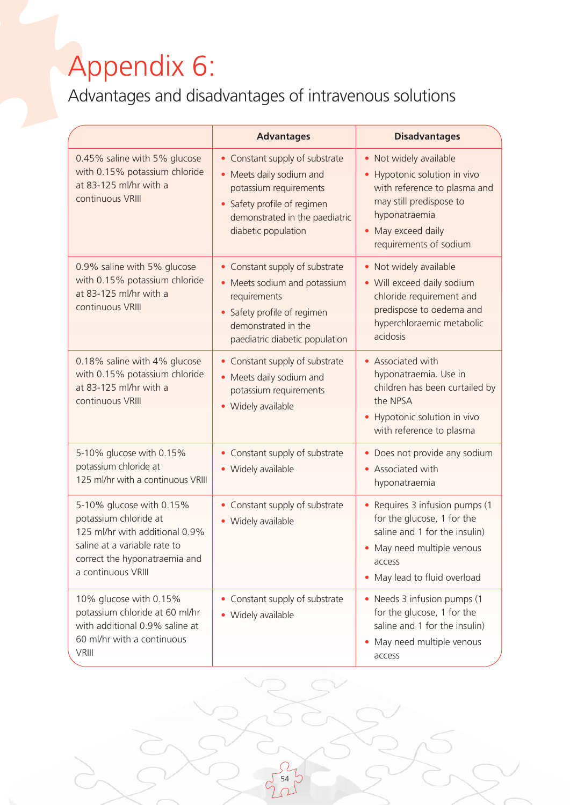# Appendix 6:

Advantages and disadvantages of intravenous solutions

|                                                                                                                                                                            | <b>Advantages</b>                                                                                                                                                                       | <b>Disadvantages</b>                                                                                                                                                                                                |
|----------------------------------------------------------------------------------------------------------------------------------------------------------------------------|-----------------------------------------------------------------------------------------------------------------------------------------------------------------------------------------|---------------------------------------------------------------------------------------------------------------------------------------------------------------------------------------------------------------------|
| 0.45% saline with 5% glucose<br>with 0.15% potassium chloride<br>at 83-125 ml/hr with a<br>continuous VRIII                                                                | • Constant supply of substrate<br>• Meets daily sodium and<br>potassium requirements<br>Safety profile of regimen<br>$\bullet$<br>demonstrated in the paediatric<br>diabetic population | Not widely available<br>$\bullet$<br>Hypotonic solution in vivo<br>$\bullet$<br>with reference to plasma and<br>may still predispose to<br>hyponatraemia<br>May exceed daily<br>$\bullet$<br>requirements of sodium |
| 0.9% saline with 5% glucose<br>with 0.15% potassium chloride<br>at 83-125 ml/hr with a<br>continuous VRIII                                                                 | • Constant supply of substrate<br>• Meets sodium and potassium<br>requirements<br>Safety profile of regimen<br>demonstrated in the<br>paediatric diabetic population                    | Not widely available<br>٠<br>• Will exceed daily sodium<br>chloride requirement and<br>predispose to oedema and<br>hyperchloraemic metabolic<br>acidosis                                                            |
| 0.18% saline with 4% glucose<br>with 0.15% potassium chloride<br>at 83-125 ml/hr with a<br>continuous VRIII                                                                | • Constant supply of substrate<br>• Meets daily sodium and<br>potassium requirements<br>• Widely available                                                                              | Associated with<br>$\bullet$<br>hyponatraemia. Use in<br>children has been curtailed by<br>the NPSA<br>Hypotonic solution in vivo<br>$\bullet$<br>with reference to plasma                                          |
| 5-10% glucose with 0.15%<br>potassium chloride at<br>125 ml/hr with a continuous VRIII                                                                                     | • Constant supply of substrate<br>• Widely available                                                                                                                                    | Does not provide any sodium<br>٠<br>Associated with<br>$\bullet$<br>hyponatraemia                                                                                                                                   |
| 5-10% glucose with 0.15%<br>potassium chloride at<br>125 ml/hr with additional 0.9%<br>saline at a variable rate to<br>correct the hyponatraemia and<br>a continuous VRIII | • Constant supply of substrate<br>• Widely available                                                                                                                                    | Requires 3 infusion pumps (1<br>$\bullet$<br>for the glucose, 1 for the<br>saline and 1 for the insulin)<br>May need multiple venous<br>٠<br>access<br>May lead to fluid overload<br>$\bullet$                      |
| 10% glucose with 0.15%<br>potassium chloride at 60 ml/hr<br>with additional 0.9% saline at<br>60 ml/hr with a continuous<br><b>VRIII</b>                                   | • Constant supply of substrate<br>• Widely available                                                                                                                                    | • Needs 3 infusion pumps (1<br>for the glucose, 1 for the<br>saline and 1 for the insulin)<br>May need multiple venous<br>access                                                                                    |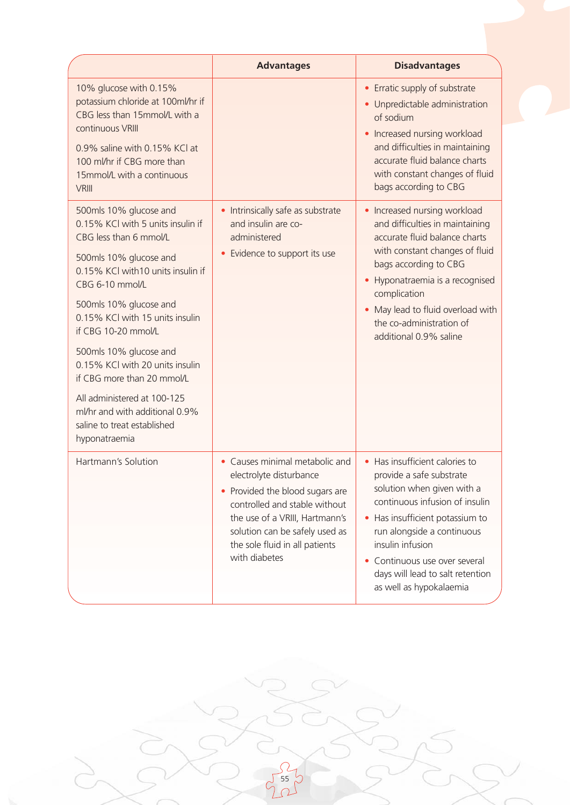|                                                                                                                                                                                                                                                                                                                                                                                                                                                                          | <b>Advantages</b>                                                                                                                                                                                                                                    | <b>Disadvantages</b>                                                                                                                                                                                                                                                                                                                  |
|--------------------------------------------------------------------------------------------------------------------------------------------------------------------------------------------------------------------------------------------------------------------------------------------------------------------------------------------------------------------------------------------------------------------------------------------------------------------------|------------------------------------------------------------------------------------------------------------------------------------------------------------------------------------------------------------------------------------------------------|---------------------------------------------------------------------------------------------------------------------------------------------------------------------------------------------------------------------------------------------------------------------------------------------------------------------------------------|
| 10% glucose with 0.15%<br>potassium chloride at 100ml/hr if<br>CBG less than 15mmol/L with a<br>continuous VRIII<br>0.9% saline with 0.15% KCl at<br>100 ml/hr if CBG more than<br>15mmol/L with a continuous<br><b>VRIII</b>                                                                                                                                                                                                                                            |                                                                                                                                                                                                                                                      | • Erratic supply of substrate<br>· Unpredictable administration<br>of sodium<br>Increased nursing workload<br>$\bullet$<br>and difficulties in maintaining<br>accurate fluid balance charts<br>with constant changes of fluid<br>bags according to CBG                                                                                |
| 500mls 10% glucose and<br>0.15% KCI with 5 units insulin if<br>CBG less than 6 mmol/L<br>500mls 10% glucose and<br>0.15% KCl with 10 units insulin if<br>CBG 6-10 mmol/L<br>500mls 10% glucose and<br>0.15% KCl with 15 units insulin<br>if CBG 10-20 mmol/L<br>500mls 10% glucose and<br>0.15% KCl with 20 units insulin<br>if CBG more than 20 mmol/L<br>All administered at 100-125<br>ml/hr and with additional 0.9%<br>saline to treat established<br>hyponatraemia | • Intrinsically safe as substrate<br>and insulin are co-<br>administered<br>Evidence to support its use                                                                                                                                              | Increased nursing workload<br>and difficulties in maintaining<br>accurate fluid balance charts<br>with constant changes of fluid<br>bags according to CBG<br>Hyponatraemia is a recognised<br>complication<br>May lead to fluid overload with<br>the co-administration of<br>additional 0.9% saline                                   |
| Hartmann's Solution                                                                                                                                                                                                                                                                                                                                                                                                                                                      | • Causes minimal metabolic and<br>electrolyte disturbance<br>• Provided the blood sugars are<br>controlled and stable without<br>the use of a VRIII, Hartmann's<br>solution can be safely used as<br>the sole fluid in all patients<br>with diabetes | • Has insufficient calories to<br>provide a safe substrate<br>solution when given with a<br>continuous infusion of insulin<br>Has insufficient potassium to<br>$\bullet$<br>run alongside a continuous<br>insulin infusion<br>Continuous use over several<br>$\bullet$<br>days will lead to salt retention<br>as well as hypokalaemia |

 $\frac{5}{55}$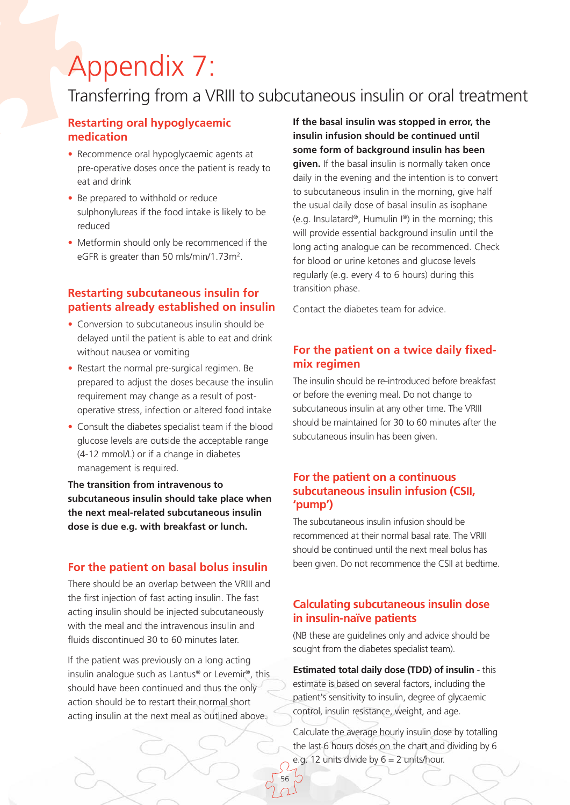# Appendix 7:

### Transferring from a VRIII to subcutaneous insulin or oral treatment

### **Restarting oral hypoglycaemic medication**

- Recommence oral hypoglycaemic agents at pre-operative doses once the patient is ready to eat and drink
- Be prepared to withhold or reduce sulphonylureas if the food intake is likely to be reduced
- Metformin should only be recommenced if the eGFR is greater than 50 mls/min/1.73m2.

### **Restarting subcutaneous insulin for patients already established on insulin**

- Conversion to subcutaneous insulin should be delayed until the patient is able to eat and drink without nausea or vomiting
- Restart the normal pre-surgical regimen. Be prepared to adjust the doses because the insulin requirement may change as a result of postoperative stress, infection or altered food intake
- Consult the diabetes specialist team if the blood glucose levels are outside the acceptable range (4-12 mmol/L) or if a change in diabetes management is required.

**The transition from intravenous to subcutaneous insulin should take place when the next meal-related subcutaneous insulin dose is due e.g. with breakfast or lunch.** 

#### **For the patient on basal bolus insulin**

There should be an overlap between the VRIII and the first injection of fast acting insulin. The fast acting insulin should be injected subcutaneously with the meal and the intravenous insulin and fluids discontinued 30 to 60 minutes later.

If the patient was previously on a long acting insulin analogue such as Lantus® or Levemir®, this should have been continued and thus the only action should be to restart their normal short acting insulin at the next meal as outlined above.

**If the basal insulin was stopped in error, the insulin infusion should be continued until some form of background insulin has been given.** If the basal insulin is normally taken once daily in the evening and the intention is to convert to subcutaneous insulin in the morning, give half the usual daily dose of basal insulin as isophane (e.g. Insulatard®, Humulin I®) in the morning; this will provide essential background insulin until the long acting analogue can be recommenced. Check for blood or urine ketones and glucose levels regularly (e.g. every 4 to 6 hours) during this transition phase.

Contact the diabetes team for advice.

### **For the patient on a twice daily fixedmix regimen**

The insulin should be re-introduced before breakfast or before the evening meal. Do not change to subcutaneous insulin at any other time. The VRIII should be maintained for 30 to 60 minutes after the subcutaneous insulin has been given.

### **For the patient on a continuous subcutaneous insulin infusion (CSII, 'pump')**

The subcutaneous insulin infusion should be recommenced at their normal basal rate. The VRIII should be continued until the next meal bolus has been given. Do not recommence the CSII at bedtime.

### **Calculating subcutaneous insulin dose in insulin-naïve patients**

(NB these are guidelines only and advice should be sought from the diabetes specialist team).

**Estimated total daily dose (TDD) of insulin** - this estimate is based on several factors, including the patient's sensitivity to insulin, degree of glycaemic control, insulin resistance, weight, and age.

Calculate the average hourly insulin dose by totalling the last 6 hours doses on the chart and dividing by 6 e.g. 12 units divide by  $6 = 2$  units/hour.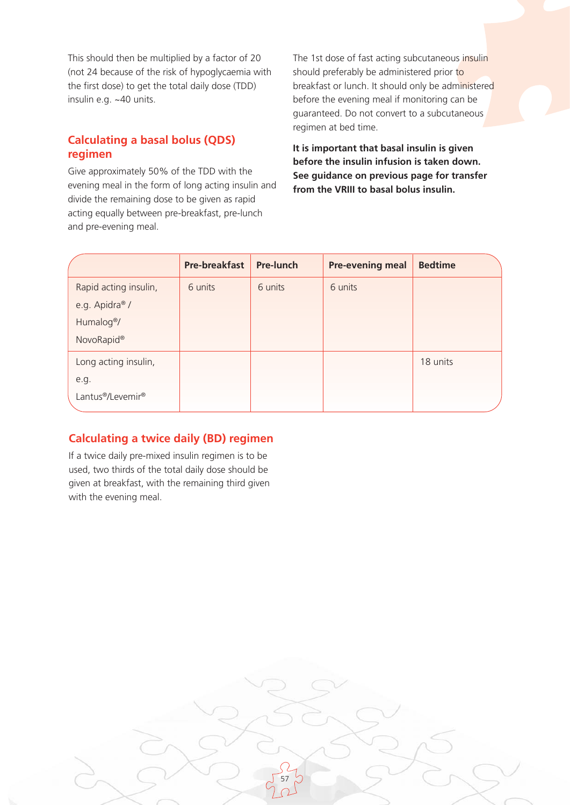This should then be multiplied by a factor of 20 (not 24 because of the risk of hypoglycaemia with the first dose) to get the total daily dose (TDD) insulin e.g. ~40 units.

### **Calculating a basal bolus (QDS) regimen**

Give approximately 50% of the TDD with the evening meal in the form of long acting insulin and divide the remaining dose to be given as rapid acting equally between pre-breakfast, pre-lunch and pre-evening meal.

The 1st dose of fast acting subcutaneous insulin should preferably be administered prior to breakfast or lunch. It should only be administered before the evening meal if monitoring can be guaranteed. Do not convert to a subcutaneous regimen at bed time.

**It is important that basal insulin is given before the insulin infusion is taken down. See guidance on previous page for transfer from the VRIII to basal bolus insulin.**

|                            | <b>Pre-breakfast</b> | <b>Pre-lunch</b> | <b>Pre-evening meal</b> | <b>Bedtime</b> |
|----------------------------|----------------------|------------------|-------------------------|----------------|
| Rapid acting insulin,      | 6 units              | 6 units          | 6 units                 |                |
| e.g. Apidra <sup>®</sup> / |                      |                  |                         |                |
| Humalog <sup>®</sup> /     |                      |                  |                         |                |
| NovoRapid®                 |                      |                  |                         |                |
| Long acting insulin,       |                      |                  |                         | 18 units       |
| e.g.                       |                      |                  |                         |                |
| Lantus®/Levemir®           |                      |                  |                         |                |

57

### **Calculating a twice daily (BD) regimen**

If a twice daily pre-mixed insulin regimen is to be used, two thirds of the total daily dose should be given at breakfast, with the remaining third given with the evening meal.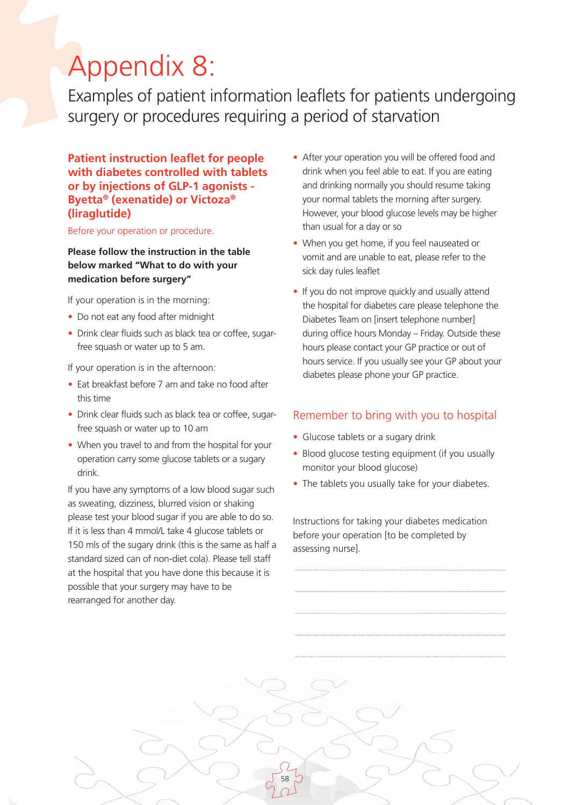# Appendix 8:

Examples of patient information leaflets for patients undergoing surgery or procedures requiring a period of starvation

58

**Patient instruction leaflet for people with diabetes controlled with tablets or by injections of GLP-1 agonists - Byetta® (exenatide) or Victoza® (liraglutide)** 

Before your operation or procedure.

**Please follow the instruction in the table below marked "What to do with your medication before surgery"**

If your operation is in the morning:

- Do not eat any food after midnight
- Drink clear fluids such as black tea or coffee, sugarfree squash or water up to 5 am.

If your operation is in the afternoon:

- Fat breakfast before 7 am and take no food after this time
- Drink clear fluids such as black tea or coffee, sugarfree squash or water up to 10 am
- When you travel to and from the hospital for your operation carry some glucose tablets or a sugary drink.

If you have any symptoms of a low blood sugar such as sweating, dizziness, blurred vision or shaking please test your blood sugar if you are able to do so. If it is less than 4 mmol/L take 4 glucose tablets or 150 mls of the sugary drink (this is the same as half a standard sized can of non-diet cola). Please tell staff at the hospital that you have done this because it is possible that your surgery may have to be rearranged for another day.

- After your operation you will be offered food and drink when you feel able to eat. If you are eating and drinking normally you should resume taking your normal tablets the morning after surgery. However, your blood glucose levels may be higher than usual for a day or so
- When you get home, if you feel nauseated or vomit and are unable to eat, please refer to the sick day rules leaflet
- If you do not improve quickly and usually attend the hospital for diabetes care please telephone the Diabetes Team on [insert telephone number] during office hours Monday – Friday. Outside these hours please contact your GP practice or out of hours service. If you usually see your GP about your diabetes please phone your GP practice.

### Remember to bring with you to hospital

- Glucose tablets or a sugary drink
- Blood glucose testing equipment (if you usually monitor your blood glucose)
- The tablets you usually take for your diabetes.

Instructions for taking your diabetes medication before your operation [to be completed by assessing nurse].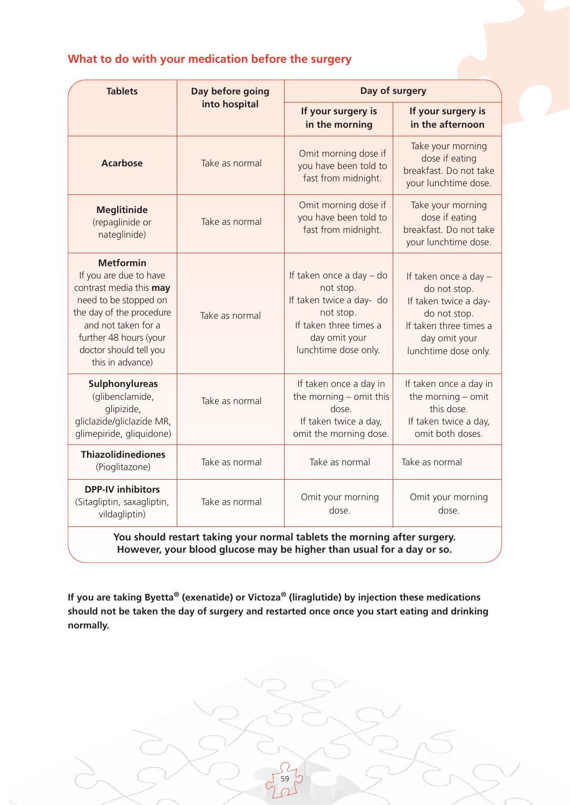### **What to do with your medication before the surgery**

| <b>Tablets</b>                                                                                                                                                                                                            | Day before going | Day of surgery                                                                                                                                    |                                                                                                                                                   |
|---------------------------------------------------------------------------------------------------------------------------------------------------------------------------------------------------------------------------|------------------|---------------------------------------------------------------------------------------------------------------------------------------------------|---------------------------------------------------------------------------------------------------------------------------------------------------|
|                                                                                                                                                                                                                           | into hospital    | If your surgery is<br>in the morning                                                                                                              | If your surgery is<br>in the afternoon                                                                                                            |
| <b>Acarbose</b>                                                                                                                                                                                                           | Take as normal   | Omit morning dose if<br>you have been told to<br>fast from midnight.                                                                              | Take your morning<br>dose if eating<br>breakfast. Do not take<br>your lunchtime dose.                                                             |
| <b>Meglitinide</b><br>(repaglinide or<br>nateglinide)                                                                                                                                                                     | Take as normal   | Omit morning dose if<br>you have been told to<br>fast from midnight.                                                                              | Take your morning<br>dose if eating<br>breakfast. Do not take<br>your lunchtime dose.                                                             |
| <b>Metformin</b><br>If you are due to have<br>contrast media this may<br>need to be stopped on<br>the day of the procedure<br>and not taken for a<br>further 48 hours (your<br>doctor should tell you<br>this in advance) | Take as normal   | If taken once a day - do<br>not stop.<br>If taken twice a day- do<br>not stop.<br>If taken three times a<br>day omit your<br>lunchtime dose only. | If taken once a day -<br>do not stop.<br>If taken twice a day-<br>do not stop.<br>If taken three times a<br>day omit your<br>lunchtime dose only. |
| Sulphonylureas<br>(glibenclamide,<br>glipizide,<br>gliclazide/gliclazide MR,<br>glimepiride, gliquidone)                                                                                                                  | Take as normal   | If taken once a day in<br>the morning - omit this<br>dose.<br>If taken twice a day,<br>omit the morning dose.                                     | If taken once a day in<br>the morning $-$ omit<br>this dose.<br>If taken twice a day,<br>omit both doses.                                         |
| <b>Thiazolidinediones</b><br>(Pioglitazone)                                                                                                                                                                               | Take as normal   | Take as normal                                                                                                                                    | Take as normal                                                                                                                                    |
| <b>DPP-IV inhibitors</b><br>(Sitagliptin, saxagliptin,<br>vildagliptin)                                                                                                                                                   | Take as normal   | Omit your morning<br>dose.                                                                                                                        | Omit your morning<br>dose.                                                                                                                        |
| You should restart taking your normal tablets the morning after surgery.<br>However, your blood glucose may be higher than usual for a day or so.                                                                         |                  |                                                                                                                                                   |                                                                                                                                                   |

**If you are taking Byetta® (exenatide) or Victoza® (liraglutide) by injection these medications should not be taken the day of surgery and restarted once once you start eating and drinking normally.**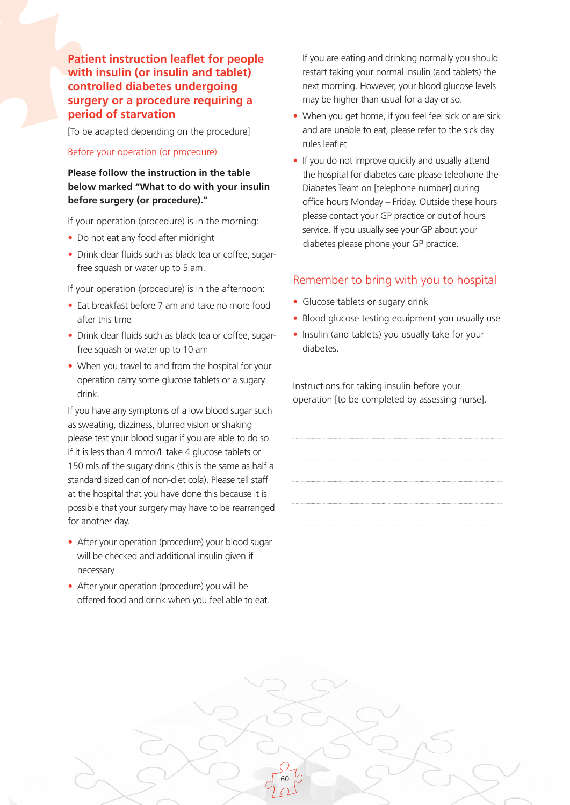**Patient instruction leaflet for people with insulin (or insulin and tablet) controlled diabetes undergoing surgery or a procedure requiring a period of starvation**

[To be adapted depending on the procedure]

#### Before your operation (or procedure)

### **Please follow the instruction in the table below marked "What to do with your insulin before surgery (or procedure)."**

If your operation (procedure) is in the morning:

- Do not eat any food after midnight
- Drink clear fluids such as black tea or coffee, sugarfree squash or water up to 5 am.

If your operation (procedure) is in the afternoon:

- Eat breakfast before 7 am and take no more food after this time
- Drink clear fluids such as black tea or coffee, sugarfree squash or water up to 10 am
- When you travel to and from the hospital for your operation carry some glucose tablets or a sugary drink.

If you have any symptoms of a low blood sugar such as sweating, dizziness, blurred vision or shaking please test your blood sugar if you are able to do so. If it is less than 4 mmol/L take 4 glucose tablets or 150 mls of the sugary drink (this is the same as half a standard sized can of non-diet cola). Please tell staff at the hospital that you have done this because it is possible that your surgery may have to be rearranged for another day.

- After your operation (procedure) your blood sugar will be checked and additional insulin given if necessary
- After your operation (procedure) you will be offered food and drink when you feel able to eat.

If you are eating and drinking normally you should restart taking your normal insulin (and tablets) the next morning. However, your blood glucose levels may be higher than usual for a day or so.

- When you get home, if you feel feel sick or are sick and are unable to eat, please refer to the sick day rules leaflet
- If you do not improve quickly and usually attend the hospital for diabetes care please telephone the Diabetes Team on [telephone number] during office hours Monday – Friday. Outside these hours please contact your GP practice or out of hours service. If you usually see your GP about your diabetes please phone your GP practice.

### Remember to bring with you to hospital

- Glucose tablets or sugary drink
- Blood glucose testing equipment you usually use
- Insulin (and tablets) you usually take for your diabetes.

Instructions for taking insulin before your operation [to be completed by assessing nurse].

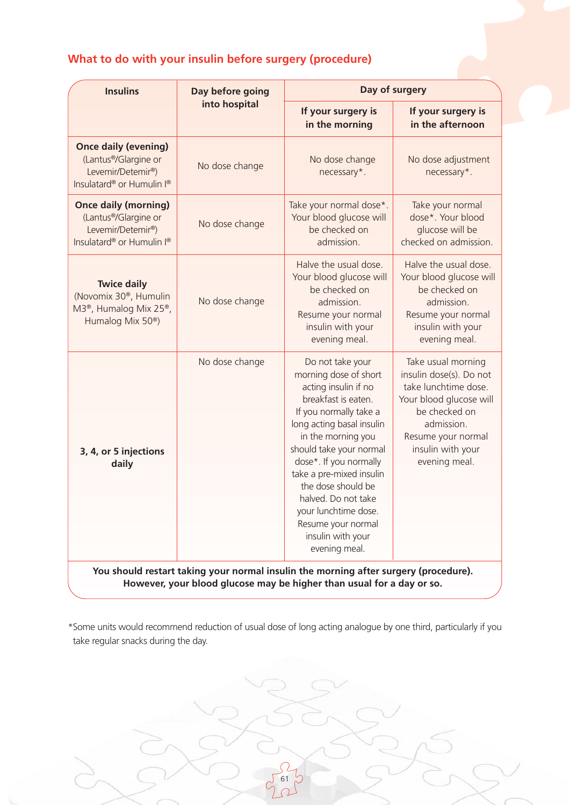### **What to do with your insulin before surgery (procedure)**

| <b>Insulins</b>                                                                                                                              | Day before going<br>into hospital | Day of surgery                                                                                                                                                                                                                                                                                                                                                                          |                                                                                                                                                                                             |
|----------------------------------------------------------------------------------------------------------------------------------------------|-----------------------------------|-----------------------------------------------------------------------------------------------------------------------------------------------------------------------------------------------------------------------------------------------------------------------------------------------------------------------------------------------------------------------------------------|---------------------------------------------------------------------------------------------------------------------------------------------------------------------------------------------|
|                                                                                                                                              |                                   | If your surgery is<br>in the morning                                                                                                                                                                                                                                                                                                                                                    | If your surgery is<br>in the afternoon                                                                                                                                                      |
| <b>Once daily (evening)</b><br>(Lantus <sup>®</sup> /Glargine or<br>Levemir/Detemir®)<br>Insulatard® or Humulin I®                           | No dose change                    | No dose change<br>necessary*.                                                                                                                                                                                                                                                                                                                                                           | No dose adjustment<br>necessary*.                                                                                                                                                           |
| <b>Once daily (morning)</b><br>(Lantus <sup>®</sup> /Glargine or<br>Levemir/Detemir <sup>®</sup> )<br>Insulatard® or Humulin I®              | No dose change                    | Take your normal dose*.<br>Your blood glucose will<br>be checked on<br>admission.                                                                                                                                                                                                                                                                                                       | Take your normal<br>dose*. Your blood<br>glucose will be<br>checked on admission.                                                                                                           |
| <b>Twice daily</b><br>(Novomix 30 <sup>®</sup> , Humulin<br>M3 <sup>®</sup> , Humalog Mix 25 <sup>®</sup> ,<br>Humalog Mix 50 <sup>®</sup> ) | No dose change                    | Halve the usual dose.<br>Your blood glucose will<br>be checked on<br>admission.<br>Resume your normal<br>insulin with your<br>evening meal.                                                                                                                                                                                                                                             | Halve the usual dose.<br>Your blood glucose will<br>be checked on<br>admission.<br>Resume your normal<br>insulin with your<br>evening meal.                                                 |
| 3, 4, or 5 injections<br>daily                                                                                                               | No dose change                    | Do not take your<br>morning dose of short<br>acting insulin if no<br>breakfast is eaten.<br>If you normally take a<br>long acting basal insulin<br>in the morning you<br>should take your normal<br>dose*. If you normally<br>take a pre-mixed insulin<br>the dose should be<br>halved. Do not take<br>your lunchtime dose.<br>Resume your normal<br>insulin with your<br>evening meal. | Take usual morning<br>insulin dose(s). Do not<br>take lunchtime dose.<br>Your blood glucose will<br>be checked on<br>admission.<br>Resume your normal<br>insulin with your<br>evening meal. |
|                                                                                                                                              |                                   | You should restart taking your normal insulin the morning after surgery (procedure).<br>However, your blood glucose may be higher than usual for a day or so.                                                                                                                                                                                                                           |                                                                                                                                                                                             |

\*Some units would recommend reduction of usual dose of long acting analogue by one third, particularly if you take regular snacks during the day.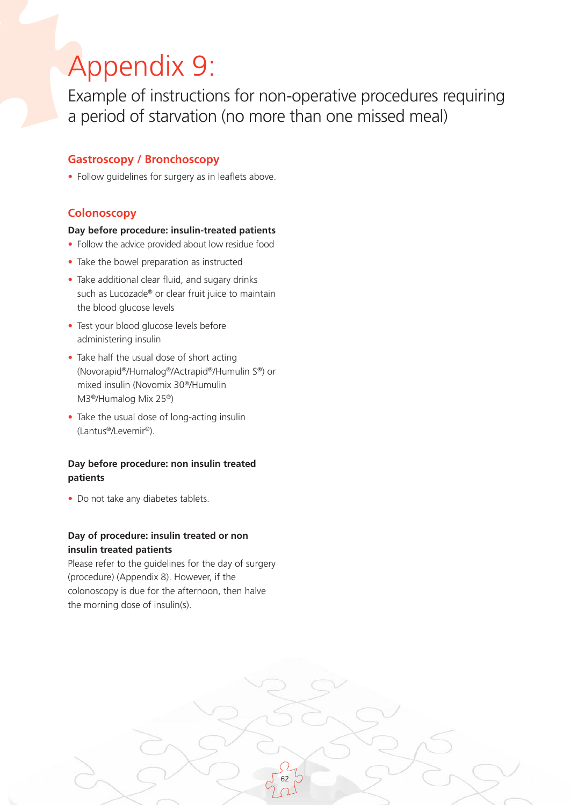# Appendix 9:

Example of instructions for non-operative procedures requiring a period of starvation (no more than one missed meal)

62

### **Gastroscopy / Bronchoscopy**

• Follow quidelines for surgery as in leaflets above.

### **Colonoscopy**

#### **Day before procedure: insulin-treated patients**

- Follow the advice provided about low residue food
- Take the bowel preparation as instructed
- Take additional clear fluid, and sugary drinks such as Lucozade® or clear fruit juice to maintain the blood glucose levels
- Test your blood glucose levels before administering insulin
- Take half the usual dose of short acting (Novorapid®/Humalog®/Actrapid®/Humulin S®) or mixed insulin (Novomix 30®/Humulin M3®/Humalog Mix 25®)
- Take the usual dose of long-acting insulin (Lantus®/Levemir®).

### **Day before procedure: non insulin treated patients**

• Do not take any diabetes tablets.

### **Day of procedure: insulin treated or non insulin treated patients**

Please refer to the guidelines for the day of surgery (procedure) (Appendix 8). However, if the colonoscopy is due for the afternoon, then halve the morning dose of insulin(s).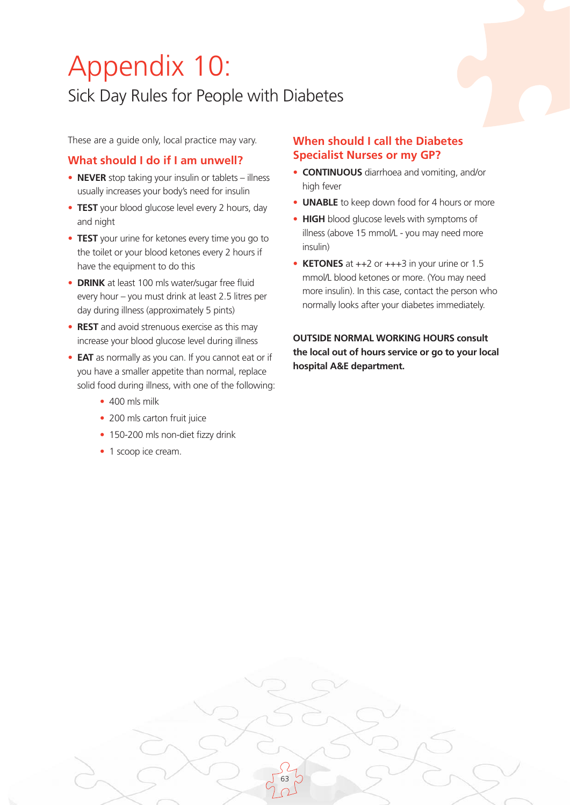# Appendix 10:

## Sick Day Rules for People with Diabetes

These are a guide only, local practice may vary.

### **What should I do if I am unwell?**

- **NEVER** stop taking your insulin or tablets illness usually increases your body's need for insulin
- **TEST** your blood glucose level every 2 hours, day and night
- **TEST** your urine for ketones every time you go to the toilet or your blood ketones every 2 hours if have the equipment to do this
- **DRINK** at least 100 mls water/sugar free fluid every hour – you must drink at least 2.5 litres per day during illness (approximately 5 pints)
- **REST** and avoid strenuous exercise as this may increase your blood glucose level during illness
- **EAT** as normally as you can. If you cannot eat or if you have a smaller appetite than normal, replace solid food during illness, with one of the following:
	- 400 mls milk
	- 200 mls carton fruit juice
	- 150-200 mls non-diet fizzy drink

63

• 1 scoop ice cream.

### **When should I call the Diabetes Specialist Nurses or my GP?**

- **CONTINUOUS** diarrhoea and vomiting, and/or high fever
- **UNABLE** to keep down food for 4 hours or more
- **HIGH** blood glucose levels with symptoms of illness (above 15 mmol/L - you may need more insulin)
- **KETONES** at ++2 or +++3 in your urine or 1.5 mmol/L blood ketones or more. (You may need more insulin). In this case, contact the person who normally looks after your diabetes immediately.

**OUTSIDE NORMAL WORKING HOURS consult the local out of hours service or go to your local hospital A&E department.**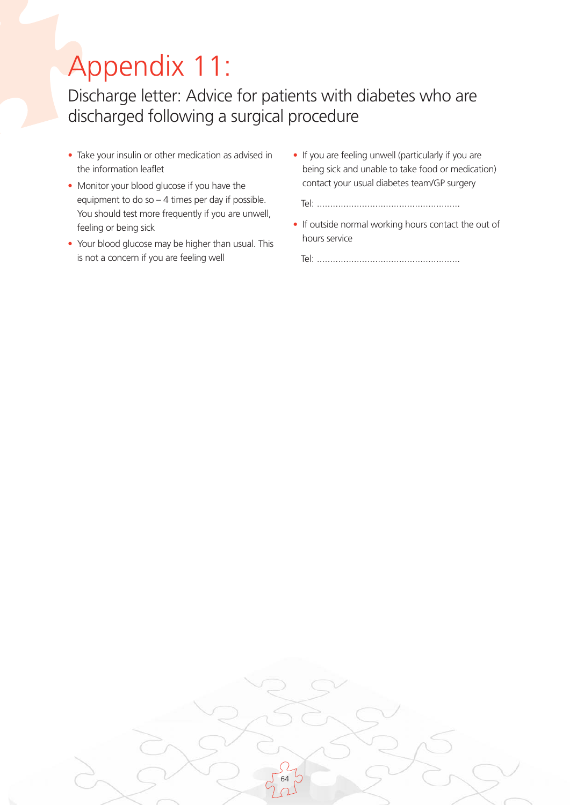# Appendix 11:

Discharge letter: Advice for patients with diabetes who are discharged following a surgical procedure

- Take your insulin or other medication as advised in the information leaflet
- Monitor your blood glucose if you have the equipment to do so – 4 times per day if possible. You should test more frequently if you are unwell, feeling or being sick
- Your blood glucose may be higher than usual. This is not a concern if you are feeling well
- If you are feeling unwell (particularly if you are being sick and unable to take food or medication) contact your usual diabetes team/GP surgery

Tel: ......................................................

• If outside normal working hours contact the out of hours service

Tel: ......................................................

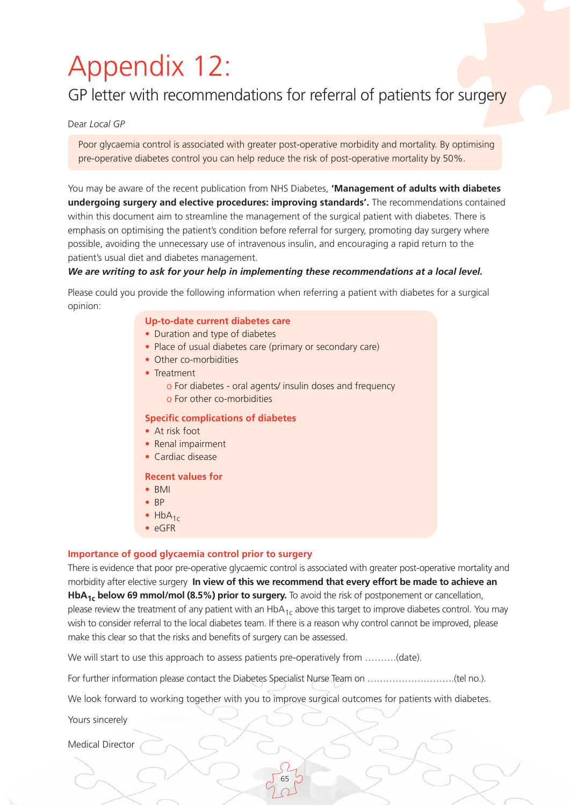# Appendix 12:

### GP letter with recommendations for referral of patients for surgery

Dear *Local GP*

Poor glycaemia control is associated with greater post-operative morbidity and mortality. By optimising pre-operative diabetes control you can help reduce the risk of post-operative mortality by 50%.

You may be aware of the recent publication from NHS Diabetes, **'Management of adults with diabetes undergoing surgery and elective procedures: improving standards'.** The recommendations contained within this document aim to streamline the management of the surgical patient with diabetes. There is emphasis on optimising the patient's condition before referral for surgery, promoting day surgery where possible, avoiding the unnecessary use of intravenous insulin, and encouraging a rapid return to the patient's usual diet and diabetes management.

#### *We are writing to ask for your help in implementing these recommendations at a local level.*

Please could you provide the following information when referring a patient with diabetes for a surgical opinion:

#### **Up-to-date current diabetes care**

- Duration and type of diabetes
- Place of usual diabetes care (primary or secondary care)
- Other co-morbidities
- Treatment
	- o For diabetes oral agents/ insulin doses and frequency
	- o For other co-morbidities

#### **Specific complications of diabetes**

- At risk foot
- Renal impairment
- Cardiac disease

#### **Recent values for**

- BMI
- BP
- $HbA_{1c}$
- eGFR

#### **Importance of good glycaemia control prior to surgery**

There is evidence that poor pre-operative glycaemic control is associated with greater post-operative mortality and morbidity after elective surgery **In view of this we recommend that every effort be made to achieve an HbA1c below 69 mmol/mol (8.5%) prior to surgery.** To avoid the risk of postponement or cancellation, please review the treatment of any patient with an  $HbA_{1c}$  above this target to improve diabetes control. You may wish to consider referral to the local diabetes team. If there is a reason why control cannot be improved, please make this clear so that the risks and benefits of surgery can be assessed.

We will start to use this approach to assess patients pre-operatively from ..........(date).

For further information please contact the Diabetes Specialist Nurse Team on ……………………….(tel no.).

We look forward to working together with you to improve surgical outcomes for patients with diabetes.

65

Yours sincerely

Medical Director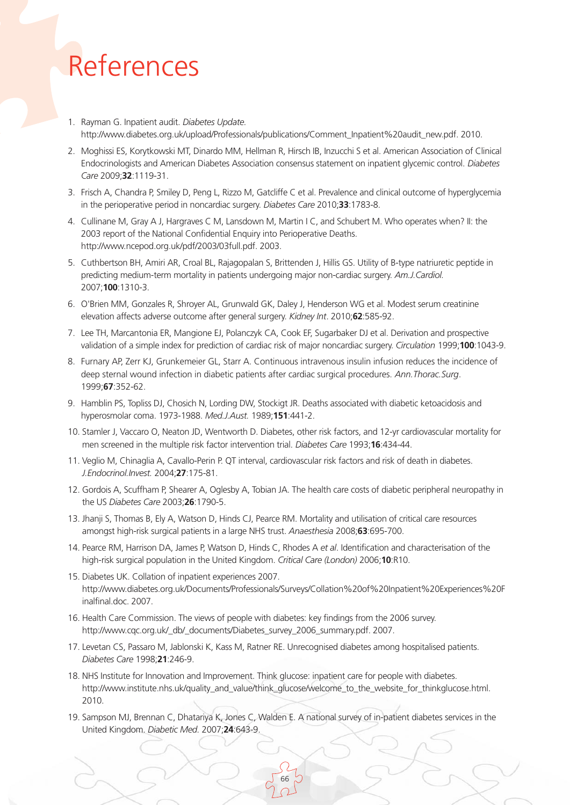# References

- 1. Rayman G. Inpatient audit. *Diabetes Update.* http://www.diabetes.org.uk/upload/Professionals/publications/Comment\_Inpatient%20audit\_new.pdf. 2010.
- 2. Moghissi ES, Korytkowski MT, Dinardo MM, Hellman R, Hirsch IB, Inzucchi S et al. American Association of Clinical Endocrinologists and American Diabetes Association consensus statement on inpatient glycemic control. *Diabetes Care* 2009;**32**:1119-31.
- 3. Frisch A, Chandra P, Smiley D, Peng L, Rizzo M, Gatcliffe C et al. Prevalence and clinical outcome of hyperglycemia in the perioperative period in noncardiac surgery. *Diabetes Care* 2010;**33**:1783-8.
- 4. Cullinane M, Gray A J, Hargraves C M, Lansdown M, Martin I C, and Schubert M. Who operates when? II: the 2003 report of the National Confidential Enquiry into Perioperative Deaths. http://www.ncepod.org.uk/pdf/2003/03full.pdf. 2003.
- 5. Cuthbertson BH, Amiri AR, Croal BL, Rajagopalan S, Brittenden J, Hillis GS. Utility of B-type natriuretic peptide in predicting medium-term mortality in patients undergoing major non-cardiac surgery. *Am.J.Cardiol.* 2007;**100**:1310-3.
- 6. O'Brien MM, Gonzales R, Shroyer AL, Grunwald GK, Daley J, Henderson WG et al. Modest serum creatinine elevation affects adverse outcome after general surgery. *Kidney Int*. 2010;**62**:585-92.
- 7. Lee TH, Marcantonia ER, Mangione EJ, Polanczyk CA, Cook EF, Sugarbaker DJ et al. Derivation and prospective validation of a simple index for prediction of cardiac risk of major noncardiac surgery. *Circulation* 1999;**100**:1043-9.
- 8. Furnary AP, Zerr KJ, Grunkemeier GL, Starr A. Continuous intravenous insulin infusion reduces the incidence of deep sternal wound infection in diabetic patients after cardiac surgical procedures. *Ann.Thorac.Surg*. 1999;**67**:352-62.
- 9. Hamblin PS, Topliss DJ, Chosich N, Lording DW, Stockigt JR. Deaths associated with diabetic ketoacidosis and hyperosmolar coma. 1973-1988. *Med.J.Aust.* 1989;**151**:441-2.
- 10. Stamler J, Vaccaro O, Neaton JD, Wentworth D. Diabetes, other risk factors, and 12-yr cardiovascular mortality for men screened in the multiple risk factor intervention trial. *Diabetes Care* 1993;**16**:434-44.
- 11. Veglio M, Chinaglia A, Cavallo-Perin P. QT interval, cardiovascular risk factors and risk of death in diabetes. *J.Endocrinol.Invest.* 2004;**27**:175-81.
- 12. Gordois A, Scuffham P, Shearer A, Oglesby A, Tobian JA. The health care costs of diabetic peripheral neuropathy in the US *Diabetes Care* 2003;**26**:1790-5.
- 13. Jhanji S, Thomas B, Ely A, Watson D, Hinds CJ, Pearce RM. Mortality and utilisation of critical care resources amongst high-risk surgical patients in a large NHS trust. *Anaesthesia* 2008;**63**:695-700.
- 14. Pearce RM, Harrison DA, James P, Watson D, Hinds C, Rhodes A *et al*. Identification and characterisation of the high-risk surgical population in the United Kingdom. *Critical Care (London)* 2006;**10**:R10.
- 15. Diabetes UK. Collation of inpatient experiences 2007. http://www.diabetes.org.uk/Documents/Professionals/Surveys/Collation%20of%20Inpatient%20Experiences%20F inalfinal.doc. 2007.
- 16. Health Care Commission. The views of people with diabetes: key findings from the 2006 survey. http://www.cqc.org.uk/\_db/\_documents/Diabetes\_survey\_2006\_summary.pdf. 2007.
- 17. Levetan CS, Passaro M, Jablonski K, Kass M, Ratner RE. Unrecognised diabetes among hospitalised patients. *Diabetes Care* 1998;**21**:246-9.
- 18. NHS Institute for Innovation and Improvement. Think glucose: inpatient care for people with diabetes. http://www.institute.nhs.uk/quality\_and\_value/think\_glucose/welcome\_to\_the\_website\_for\_thinkglucose.html. 2010.
- 19. Sampson MJ, Brennan C, Dhatariya K, Jones C, Walden E. A national survey of in-patient diabetes services in the United Kingdom. *Diabetic Med.* 2007;**24**:643-9.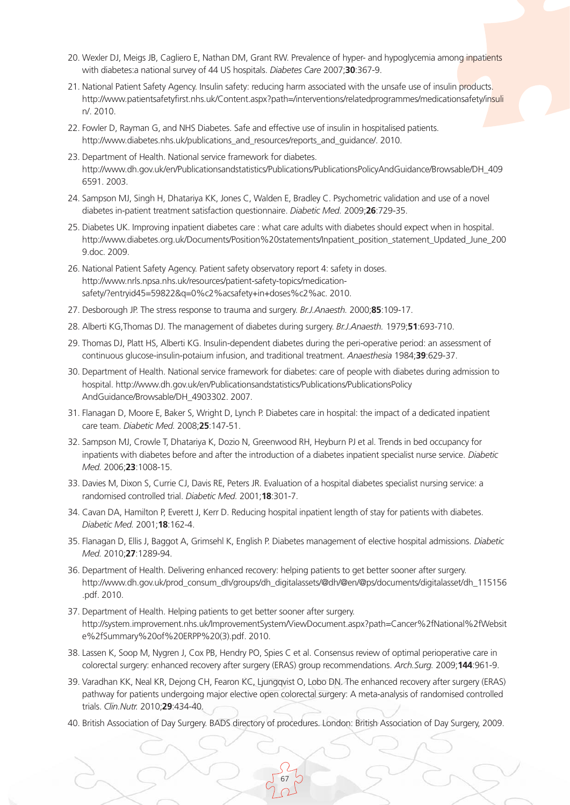- 20. Wexler DJ, Meigs JB, Cagliero E, Nathan DM, Grant RW. Prevalence of hyper- and hypoglycemia among inpatients with diabetes:a national survey of 44 US hospitals. *Diabetes Care* 2007;**30**:367-9.
- 21. National Patient Safety Agency. Insulin safety: reducing harm associated with the unsafe use of insulin products. http://www.patientsafetyfirst.nhs.uk/Content.aspx?path=/interventions/relatedprogrammes/medicationsafety/insuli n/. 2010.
- 22. Fowler D, Rayman G, and NHS Diabetes. Safe and effective use of insulin in hospitalised patients. http://www.diabetes.nhs.uk/publications\_and\_resources/reports\_and\_guidance/. 2010.
- 23. Department of Health. National service framework for diabetes. http://www.dh.gov.uk/en/Publicationsandstatistics/Publications/PublicationsPolicyAndGuidance/Browsable/DH\_409 6591. 2003.
- 24. Sampson MJ, Singh H, Dhatariya KK, Jones C, Walden E, Bradley C. Psychometric validation and use of a novel diabetes in-patient treatment satisfaction questionnaire. *Diabetic Med.* 2009;**26**:729-35.
- 25. Diabetes UK. Improving inpatient diabetes care : what care adults with diabetes should expect when in hospital. http://www.diabetes.org.uk/Documents/Position%20statements/Inpatient\_position\_statement\_Updated\_June\_200 9.doc. 2009.
- 26. National Patient Safety Agency. Patient safety observatory report 4: safety in doses. http://www.nrls.npsa.nhs.uk/resources/patient-safety-topics/medicationsafety/?entryid45=59822&q=0%c2%acsafety+in+doses%c2%ac. 2010.
- 27. Desborough JP. The stress response to trauma and surgery. *Br.J.Anaesth.* 2000;**85**:109-17.
- 28. Alberti KG,Thomas DJ. The management of diabetes during surgery. *Br.J.Anaesth.* 1979;**51**:693-710.
- 29. Thomas DJ, Platt HS, Alberti KG. Insulin-dependent diabetes during the peri-operative period: an assessment of continuous glucose-insulin-potaium infusion, and traditional treatment. *Anaesthesia* 1984;**39**:629-37.
- 30. Department of Health. National service framework for diabetes: care of people with diabetes during admission to hospital. http://www.dh.gov.uk/en/Publicationsandstatistics/Publications/PublicationsPolicy AndGuidance/Browsable/DH\_4903302. 2007.
- 31. Flanagan D, Moore E, Baker S, Wright D, Lynch P. Diabetes care in hospital: the impact of a dedicated inpatient care team. *Diabetic Med.* 2008;**25**:147-51.
- 32. Sampson MJ, Crowle T, Dhatariya K, Dozio N, Greenwood RH, Heyburn PJ et al. Trends in bed occupancy for inpatients with diabetes before and after the introduction of a diabetes inpatient specialist nurse service. *Diabetic Med.* 2006;**23**:1008-15.
- 33. Davies M, Dixon S, Currie CJ, Davis RE, Peters JR. Evaluation of a hospital diabetes specialist nursing service: a randomised controlled trial. *Diabetic Med.* 2001;**18**:301-7.
- 34. Cavan DA, Hamilton P, Everett J, Kerr D. Reducing hospital inpatient length of stay for patients with diabetes. *Diabetic Med.* 2001;**18**:162-4.
- 35. Flanagan D, Ellis J, Baggot A, Grimsehl K, English P. Diabetes management of elective hospital admissions. *Diabetic Med.* 2010;**27**:1289-94.
- 36. Department of Health. Delivering enhanced recovery: helping patients to get better sooner after surgery. http://www.dh.gov.uk/prod\_consum\_dh/groups/dh\_digitalassets/@dh/@en/@ps/documents/digitalasset/dh\_115156 .pdf. 2010.
- 37. Department of Health. Helping patients to get better sooner after surgery. http://system.improvement.nhs.uk/ImprovementSystem/ViewDocument.aspx?path=Cancer%2fNational%2fWebsit e%2fSummary%20of%20ERPP%20(3).pdf. 2010.
- 38. Lassen K, Soop M, Nygren J, Cox PB, Hendry PO, Spies C et al. Consensus review of optimal perioperative care in colorectal surgery: enhanced recovery after surgery (ERAS) group recommendations. *Arch.Surg.* 2009;**144**:961-9.
- 39. Varadhan KK, Neal KR, Dejong CH, Fearon KC, Ljungqvist O, Lobo DN. The enhanced recovery after surgery (ERAS) pathway for patients undergoing major elective open colorectal surgery: A meta-analysis of randomised controlled trials. *Clin.Nutr.* 2010;**29**:434-40.
- 40. British Association of Day Surgery. BADS directory of procedures. London: British Association of Day Surgery, 2009.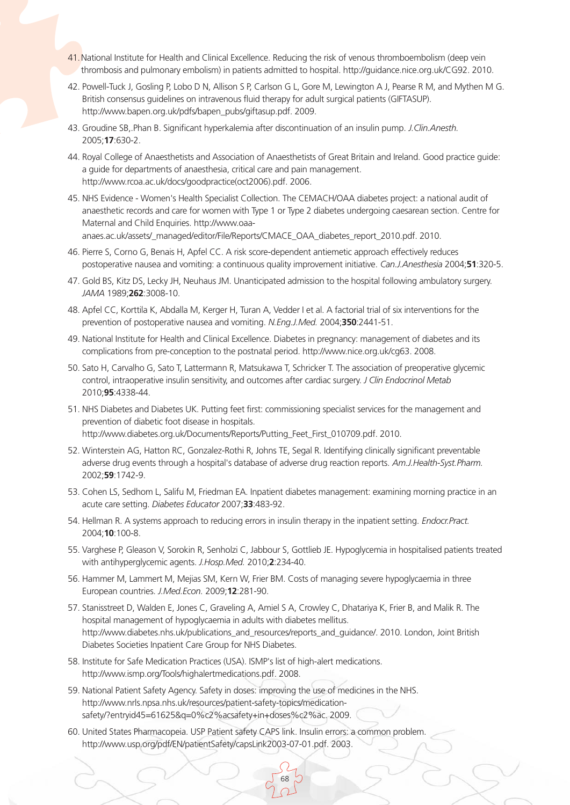- 41. National Institute for Health and Clinical Excellence. Reducing the risk of venous thromboembolism (deep vein thrombosis and pulmonary embolism) in patients admitted to hospital. http://guidance.nice.org.uk/CG92. 2010.
- 42. Powell-Tuck J, Gosling P, Lobo D N, Allison S P, Carlson G L, Gore M, Lewington A J, Pearse R M, and Mythen M G. British consensus guidelines on intravenous fluid therapy for adult surgical patients (GIFTASUP). http://www.bapen.org.uk/pdfs/bapen\_pubs/giftasup.pdf. 2009.
- 43. Groudine SB,.Phan B. Significant hyperkalemia after discontinuation of an insulin pump. *J.Clin.Anesth.* 2005;**17**:630-2.
- 44. Royal College of Anaesthetists and Association of Anaesthetists of Great Britain and Ireland. Good practice guide: a guide for departments of anaesthesia, critical care and pain management. http://www.rcoa.ac.uk/docs/goodpractice(oct2006).pdf. 2006.
- 45. NHS Evidence Women's Health Specialist Collection. The CEMACH/OAA diabetes project: a national audit of anaesthetic records and care for women with Type 1 or Type 2 diabetes undergoing caesarean section. Centre for Maternal and Child Enquiries. http://www.oaaanaes.ac.uk/assets/\_managed/editor/File/Reports/CMACE\_OAA\_diabetes\_report\_2010.pdf. 2010.
- 46. Pierre S, Corno G, Benais H, Apfel CC. A risk score-dependent antiemetic approach effectively reduces postoperative nausea and vomiting: a continuous quality improvement initiative. *Can.J.Anesthesia* 2004;**51**:320-5.
- 47. Gold BS, Kitz DS, Lecky JH, Neuhaus JM. Unanticipated admission to the hospital following ambulatory surgery. *JAMA* 1989;**262**:3008-10.
- 48. Apfel CC, Korttila K, Abdalla M, Kerger H, Turan A, Vedder I et al. A factorial trial of six interventions for the prevention of postoperative nausea and vomiting. *N.Eng.J.Med.* 2004;**350**:2441-51.
- 49. National Institute for Health and Clinical Excellence. Diabetes in pregnancy: management of diabetes and its complications from pre-conception to the postnatal period. http://www.nice.org.uk/cg63. 2008.
- 50. Sato H, Carvalho G, Sato T, Lattermann R, Matsukawa T, Schricker T. The association of preoperative glycemic control, intraoperative insulin sensitivity, and outcomes after cardiac surgery. *J Clin Endocrinol Metab* 2010;**95**:4338-44.
- 51. NHS Diabetes and Diabetes UK. Putting feet first: commissioning specialist services for the management and prevention of diabetic foot disease in hospitals. http://www.diabetes.org.uk/Documents/Reports/Putting\_Feet\_First\_010709.pdf. 2010.
- 52. Winterstein AG, Hatton RC, Gonzalez-Rothi R, Johns TE, Segal R. Identifying clinically significant preventable adverse drug events through a hospital's database of adverse drug reaction reports. *Am.J.Health-Syst.Pharm.* 2002;**59**:1742-9.
- 53. Cohen LS, Sedhom L, Salifu M, Friedman EA. Inpatient diabetes management: examining morning practice in an acute care setting. *Diabetes Educator* 2007;**33**:483-92.
- 54. Hellman R. A systems approach to reducing errors in insulin therapy in the inpatient setting. *Endocr.Pract.* 2004;**10**:100-8.
- 55. Varghese P, Gleason V, Sorokin R, Senholzi C, Jabbour S, Gottlieb JE. Hypoglycemia in hospitalised patients treated with antihyperglycemic agents. *J.Hosp.Med.* 2010;**2**:234-40.
- 56. Hammer M, Lammert M, Mejias SM, Kern W, Frier BM. Costs of managing severe hypoglycaemia in three European countries. *J.Med.Econ.* 2009;**12**:281-90.
- 57. Stanisstreet D, Walden E, Jones C, Graveling A, Amiel S A, Crowley C, Dhatariya K, Frier B, and Malik R. The hospital management of hypoglycaemia in adults with diabetes mellitus. http://www.diabetes.nhs.uk/publications\_and\_resources/reports\_and\_guidance/. 2010. London, Joint British Diabetes Societies Inpatient Care Group for NHS Diabetes.

- 58. Institute for Safe Medication Practices (USA). ISMP's list of high-alert medications. http://www.ismp.org/Tools/highalertmedications.pdf. 2008.
- 59. National Patient Safety Agency. Safety in doses: improving the use of medicines in the NHS. http://www.nrls.npsa.nhs.uk/resources/patient-safety-topics/medicationsafety/?entryid45=61625&q=0%c2%acsafety+in+doses%c2%ac. 2009.
- 60. United States Pharmacopeia. USP Patient safety CAPS link. Insulin errors: a common problem. http://www.usp.org/pdf/EN/patientSafety/capsLink2003-07-01.pdf. 2003.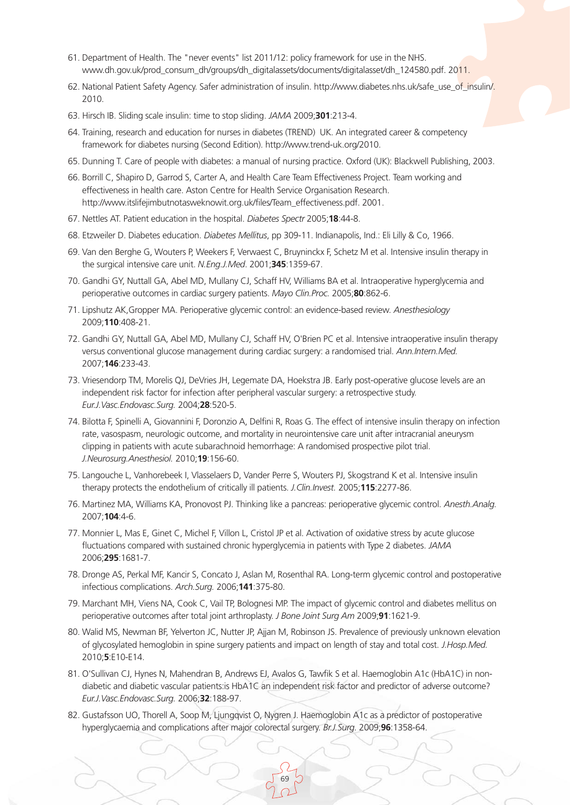- 61. Department of Health. The "never events" list 2011/12: policy framework for use in the NHS. www.dh.gov.uk/prod\_consum\_dh/groups/dh\_digitalassets/documents/digitalasset/dh\_124580.pdf. 2011.
- 62. National Patient Safety Agency. Safer administration of insulin. http://www.diabetes.nhs.uk/safe\_use\_of\_insulin/. 2010.
- 63. Hirsch IB. Sliding scale insulin: time to stop sliding. *JAMA* 2009;**301**:213-4.
- 64. Training, research and education for nurses in diabetes (TREND) UK. An integrated career & competency framework for diabetes nursing (Second Edition). http://www.trend-uk.org/2010.
- 65. Dunning T. Care of people with diabetes: a manual of nursing practice. Oxford (UK): Blackwell Publishing, 2003.
- 66. Borrill C, Shapiro D, Garrod S, Carter A, and Health Care Team Effectiveness Project. Team working and effectiveness in health care. Aston Centre for Health Service Organisation Research. http://www.itslifejimbutnotasweknowit.org.uk/files/Team\_effectiveness.pdf. 2001.
- 67. Nettles AT. Patient education in the hospital. *Diabetes Spectr* 2005;**18**:44-8.
- 68. Etzweiler D. Diabetes education. *Diabetes Mellitus*, pp 309-11. Indianapolis, Ind.: Eli Lilly & Co, 1966.
- 69. Van den Berghe G, Wouters P, Weekers F, Verwaest C, Bruyninckx F, Schetz M et al. Intensive insulin therapy in the surgical intensive care unit. *N.Eng.J.Med*. 2001;**345**:1359-67.
- 70. Gandhi GY, Nuttall GA, Abel MD, Mullany CJ, Schaff HV, Williams BA et al. Intraoperative hyperglycemia and perioperative outcomes in cardiac surgery patients. *Mayo Clin.Proc.* 2005;**80**:862-6.
- 71. Lipshutz AK,Gropper MA. Perioperative glycemic control: an evidence-based review. *Anesthesiology* 2009;**110**:408-21.
- 72. Gandhi GY, Nuttall GA, Abel MD, Mullany CJ, Schaff HV, O'Brien PC et al. Intensive intraoperative insulin therapy versus conventional glucose management during cardiac surgery: a randomised trial. *Ann.Intern.Med.* 2007;**146**:233-43.
- 73. Vriesendorp TM, Morelis QJ, DeVries JH, Legemate DA, Hoekstra JB. Early post-operative glucose levels are an independent risk factor for infection after peripheral vascular surgery: a retrospective study. *Eur.J.Vasc.Endovasc.Surg.* 2004;**28**:520-5.
- 74. Bilotta F, Spinelli A, Giovannini F, Doronzio A, Delfini R, Roas G. The effect of intensive insulin therapy on infection rate, vasospasm, neurologic outcome, and mortality in neurointensive care unit after intracranial aneurysm clipping in patients with acute subarachnoid hemorrhage: A randomised prospective pilot trial. *J.Neurosurg.Anesthesiol.* 2010;**19**:156-60.
- 75. Langouche L, Vanhorebeek I, Vlasselaers D, Vander Perre S, Wouters PJ, Skogstrand K et al. Intensive insulin therapy protects the endothelium of critically ill patients. *J.Clin.Invest.* 2005;**115**:2277-86.
- 76. Martinez MA, Williams KA, Pronovost PJ. Thinking like a pancreas: perioperative glycemic control. *Anesth.Analg.* 2007;**104**:4-6.
- 77. Monnier L, Mas E, Ginet C, Michel F, Villon L, Cristol JP et al. Activation of oxidative stress by acute glucose fluctuations compared with sustained chronic hyperglycemia in patients with Type 2 diabetes. *JAMA* 2006;**295**:1681-7.
- 78. Dronge AS, Perkal MF, Kancir S, Concato J, Aslan M, Rosenthal RA. Long-term glycemic control and postoperative infectious complications. *Arch.Surg.* 2006;**141**:375-80.
- 79. Marchant MH, Viens NA, Cook C, Vail TP, Bolognesi MP. The impact of glycemic control and diabetes mellitus on perioperative outcomes after total joint arthroplasty. *J Bone Joint Surg Am* 2009;**91**:1621-9.
- 80. Walid MS, Newman BF, Yelverton JC, Nutter JP, Ajjan M, Robinson JS. Prevalence of previously unknown elevation of glycosylated hemoglobin in spine surgery patients and impact on length of stay and total cost. *J.Hosp.Med.* 2010;**5**:E10-E14.
- 81. O'Sullivan CJ, Hynes N, Mahendran B, Andrews EJ, Avalos G, Tawfik S et al. Haemoglobin A1c (HbA1C) in nondiabetic and diabetic vascular patients:is HbA1C an independent risk factor and predictor of adverse outcome? *Eur.J.Vasc.Endovasc.Surg.* 2006;**32**:188-97.
- 82. Gustafsson UO, Thorell A, Soop M, Ljungqvist O, Nygren J. Haemoglobin A1c as a predictor of postoperative hyperglycaemia and complications after major colorectal surgery. *Br.J.Surg.* 2009;**96**:1358-64.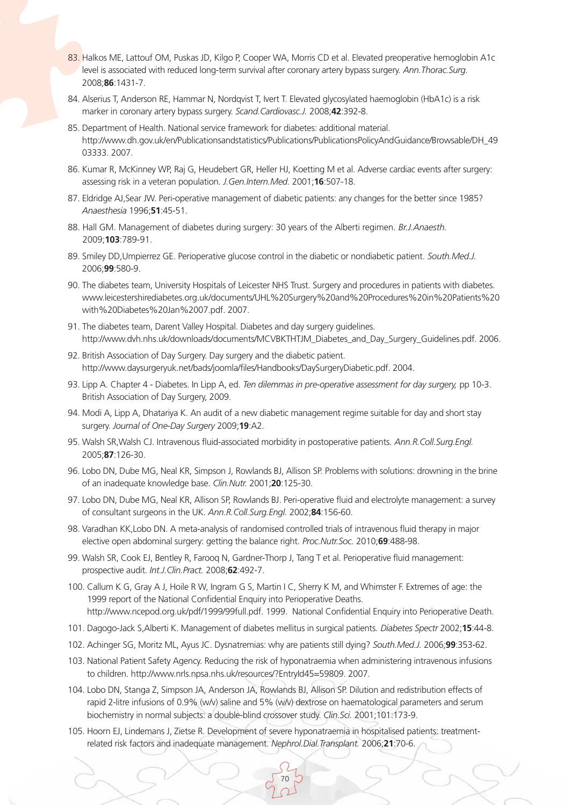- 83. Halkos ME, Lattouf OM, Puskas JD, Kilgo P, Cooper WA, Morris CD et al. Elevated preoperative hemoglobin A1c level is associated with reduced long-term survival after coronary artery bypass surgery. *Ann.Thorac.Surg.* 2008;**86**:1431-7.
- 84. Alserius T, Anderson RE, Hammar N, Nordqvist T, Ivert T. Elevated glycosylated haemoglobin (HbA1c) is a risk marker in coronary artery bypass surgery. *Scand.Cardiovasc.J.* 2008;**42**:392-8.
- 85. Department of Health. National service framework for diabetes: additional material. http://www.dh.gov.uk/en/Publicationsandstatistics/Publications/PublicationsPolicyAndGuidance/Browsable/DH\_49 03333. 2007.
- 86. Kumar R, McKinney WP, Raj G, Heudebert GR, Heller HJ, Koetting M et al. Adverse cardiac events after surgery: assessing risk in a veteran population. *J.Gen.Intern.Med.* 2001;**16**:507-18.
- 87. Eldridge AJ,Sear JW. Peri-operative management of diabetic patients: any changes for the better since 1985? *Anaesthesia* 1996;**51**:45-51.
- 88. Hall GM. Management of diabetes during surgery: 30 years of the Alberti regimen. *Br.J.Anaesth.* 2009;**103**:789-91.
- 89. Smiley DD,Umpierrez GE. Perioperative glucose control in the diabetic or nondiabetic patient. *South.Med.J.* 2006;**99**:580-9.
- 90. The diabetes team, University Hospitals of Leicester NHS Trust. Surgery and procedures in patients with diabetes. www.leicestershirediabetes.org.uk/documents/UHL%20Surgery%20and%20Procedures%20in%20Patients%20 with%20Diabetes%20Jan%2007.pdf. 2007.
- 91. The diabetes team, Darent Valley Hospital. Diabetes and day surgery guidelines. http://www.dvh.nhs.uk/downloads/documents/MCVBKTHTJM\_Diabetes\_and\_Day\_Surgery\_Guidelines.pdf. 2006.
- 92. British Association of Day Surgery. Day surgery and the diabetic patient. http://www.daysurgeryuk.net/bads/joomla/files/Handbooks/DaySurgeryDiabetic.pdf. 2004.
- 93. Lipp A. Chapter 4 Diabetes. In Lipp A, ed. *Ten dilemmas in pre-operative assessment for day surgery,* pp 10-3. British Association of Day Surgery, 2009.
- 94. Modi A, Lipp A, Dhatariya K. An audit of a new diabetic management regime suitable for day and short stay surgery. *Journal of One-Day Surgery* 2009;**19**:A2.
- 95. Walsh SR,Walsh CJ. Intravenous fluid-associated morbidity in postoperative patients. *Ann.R.Coll.Surg.Engl.* 2005;**87**:126-30.
- 96. Lobo DN, Dube MG, Neal KR, Simpson J, Rowlands BJ, Allison SP. Problems with solutions: drowning in the brine of an inadequate knowledge base. *Clin.Nutr.* 2001;**20**:125-30.
- 97. Lobo DN, Dube MG, Neal KR, Allison SP, Rowlands BJ. Peri-operative fluid and electrolyte management: a survey of consultant surgeons in the UK. *Ann.R.Coll.Surg.Engl.* 2002;**84**:156-60.
- 98. Varadhan KK,Lobo DN. A meta-analysis of randomised controlled trials of intravenous fluid therapy in major elective open abdominal surgery: getting the balance right. *Proc.Nutr.Soc.* 2010;**69**:488-98.
- 99. Walsh SR, Cook EJ, Bentley R, Farooq N, Gardner-Thorp J, Tang T et al. Perioperative fluid management: prospective audit. *Int.J.Clin.Pract.* 2008;**62**:492-7.
- 100. Callum K G, Gray A J, Hoile R W, Ingram G S, Martin I C, Sherry K M, and Whimster F. Extremes of age: the 1999 report of the National Confidential Enquiry into Perioperative Deaths. http://www.ncepod.org.uk/pdf/1999/99full.pdf. 1999. National Confidential Enquiry into Perioperative Death.
- 101. Dagogo-Jack S,Alberti K. Management of diabetes mellitus in surgical patients. *Diabetes Spectr* 2002;**15**:44-8.
- 102. Achinger SG, Moritz ML, Ayus JC. Dysnatremias: why are patients still dying? *South.Med.J.* 2006;**99**:353-62.
- 103. National Patient Safety Agency. Reducing the risk of hyponatraemia when administering intravenous infusions to children. http://www.nrls.npsa.nhs.uk/resources/?EntryId45=59809. 2007.
- 104. Lobo DN, Stanga Z, Simpson JA, Anderson JA, Rowlands BJ, Allison SP. Dilution and redistribution effects of rapid 2-litre infusions of 0.9% (w/v) saline and 5% (w/v) dextrose on haematological parameters and serum biochemistry in normal subjects: a double-blind crossover study. *Clin.Sci.* 2001;101:173-9.
- 105. Hoorn EJ, Lindemans J, Zietse R. Development of severe hyponatraemia in hospitalised patients: treatmentrelated risk factors and inadequate management. *Nephrol.Dial.Transplant.* 2006;**21**:70-6.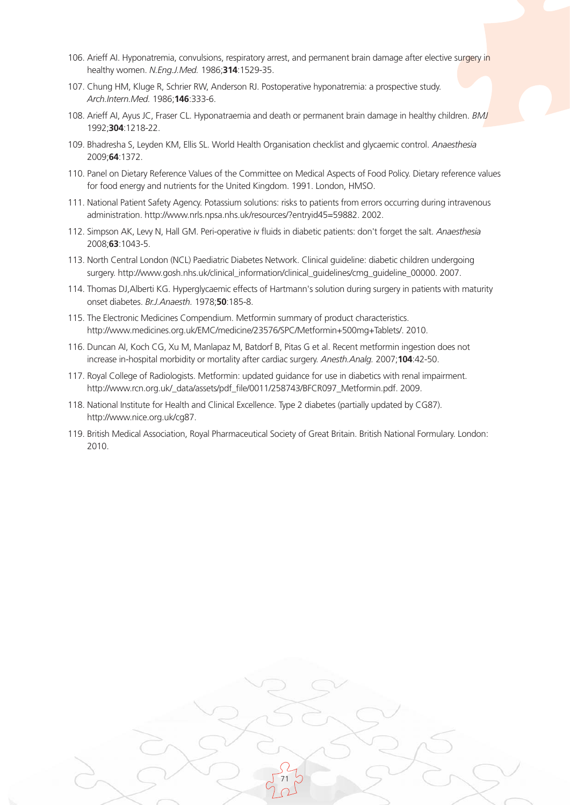- 106. Arieff AI. Hyponatremia, convulsions, respiratory arrest, and permanent brain damage after elective surgery in healthy women. *N.Eng.J.Med.* 1986;**314**:1529-35.
- 107. Chung HM, Kluge R, Schrier RW, Anderson RJ. Postoperative hyponatremia: a prospective study. *Arch.Intern.Med.* 1986;**146**:333-6.
- 108. Arieff AI, Ayus JC, Fraser CL. Hyponatraemia and death or permanent brain damage in healthy children. *BMJ* 1992;**304**:1218-22.
- 109. Bhadresha S, Leyden KM, Ellis SL. World Health Organisation checklist and glycaemic control. *Anaesthesia* 2009;**64**:1372.
- 110. Panel on Dietary Reference Values of the Committee on Medical Aspects of Food Policy. Dietary reference values for food energy and nutrients for the United Kingdom. 1991. London, HMSO.
- 111. National Patient Safety Agency. Potassium solutions: risks to patients from errors occurring during intravenous administration. http://www.nrls.npsa.nhs.uk/resources/?entryid45=59882. 2002.
- 112. Simpson AK, Levy N, Hall GM. Peri-operative iv fluids in diabetic patients: don't forget the salt. *Anaesthesia* 2008;**63**:1043-5.
- 113. North Central London (NCL) Paediatric Diabetes Network. Clinical guideline: diabetic children undergoing surgery. http://www.gosh.nhs.uk/clinical\_information/clinical\_guidelines/cmg\_guideline\_00000. 2007.
- 114. Thomas DJ,Alberti KG. Hyperglycaemic effects of Hartmann's solution during surgery in patients with maturity onset diabetes. *Br.J.Anaesth.* 1978;**50**:185-8.
- 115. The Electronic Medicines Compendium. Metformin summary of product characteristics. http://www.medicines.org.uk/EMC/medicine/23576/SPC/Metformin+500mg+Tablets/. 2010.
- 116. Duncan AI, Koch CG, Xu M, Manlapaz M, Batdorf B, Pitas G et al. Recent metformin ingestion does not increase in-hospital morbidity or mortality after cardiac surgery. *Anesth.Analg.* 2007;**104**:42-50.
- 117. Royal College of Radiologists. Metformin: updated guidance for use in diabetics with renal impairment. http://www.rcn.org.uk/\_data/assets/pdf\_file/0011/258743/BFCR097\_Metformin.pdf. 2009.
- 118. National Institute for Health and Clinical Excellence. Type 2 diabetes (partially updated by CG87). http://www.nice.org.uk/cg87.
- 119. British Medical Association, Royal Pharmaceutical Society of Great Britain. British National Formulary. London: 2010.